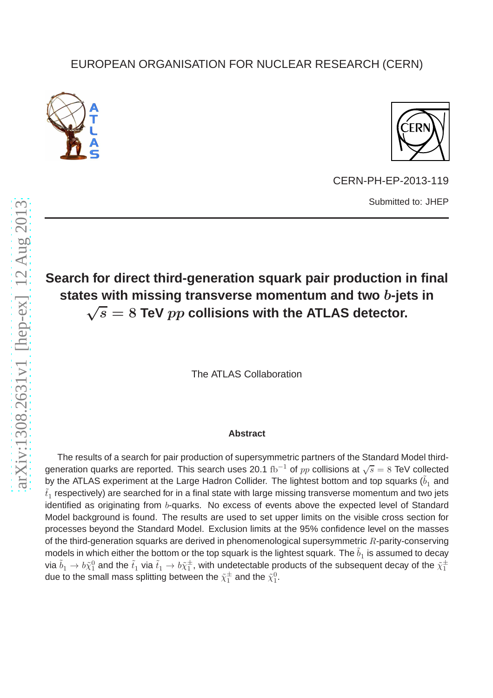## EUROPEAN ORGANISATION FOR NUCLEAR RESEARCH (CERN)





CERN-PH-EP-2013-119 Submitted to: JHEP

# **Search for direct third-generation squark pair production in final states with missing transverse momentum and two** b**-jets in**  $\sqrt{s} = 8$  TeV  $pp$  collisions with the ATLAS detector.

The ATLAS Collaboration

#### **Abstract**

The results of a search for pair production of supersymmetric partners of the Standard Model thirdgeneration quarks are reported. This search uses 20.1 fb $^{-1}$  of  $pp$  collisions at  $\sqrt{s}=8$  TeV collected by the ATLAS experiment at the Large Hadron Collider. The lightest bottom and top squarks ( $\tilde{b}_1$  and  $\tilde{t}_1$  respectively) are searched for in a final state with large missing transverse momentum and two jets identified as originating from b-quarks. No excess of events above the expected level of Standard Model background is found. The results are used to set upper limits on the visible cross section for processes beyond the Standard Model. Exclusion limits at the 95% confidence level on the masses of the third-generation squarks are derived in phenomenological supersymmetric R-parity-conserving models in which either the bottom or the top squark is the lightest squark. The  $\tilde{b}_1$  is assumed to decay via  $\tilde{b}_1 \to b \tilde{\chi}^0_1$  and the  $\tilde{t}_1$  via  $\tilde{t}_1 \to b \tilde{\chi}^{\pm}_1$  $_1^\pm$ , with undetectable products of the subsequent decay of the  ${\tilde\chi}_1^\pm$ 1 due to the small mass splitting between the  $\tilde{\chi}^{\pm}_1$  $_1^{\pm}$  and the  $\tilde{\chi}_1^0$ .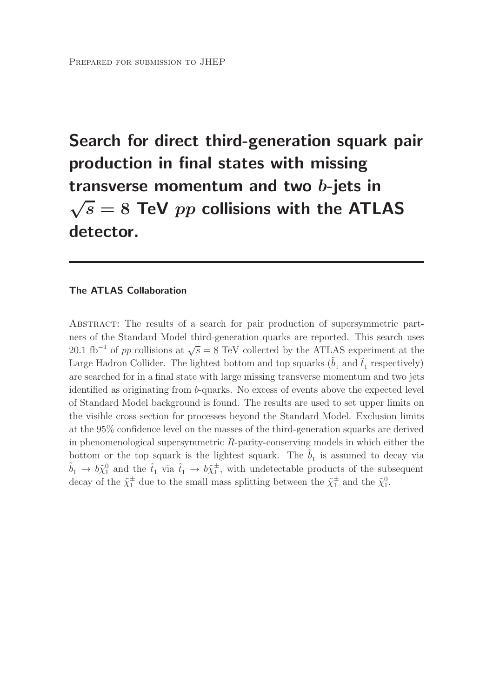Search for direct third-generation squark pair production in final states with missing transverse momentum and two b-jets in  $\sqrt{s}=8$  TeV  $pp$  collisions with the ATLAS detector.

#### The ATLAS Collaboration

Abstract: The results of a search for pair production of supersymmetric partners of the Standard Model third-generation quarks are reported. This search uses 20.1 fb<sup>-1</sup> of pp collisions at  $\sqrt{s} = 8$  TeV collected by the ATLAS experiment at the Large Hadron Collider. The lightest bottom and top squarks  $(\tilde{b}_1$  and  $\tilde{t}_1$  respectively) are searched for in a final state with large missing transverse momentum and two jets identified as originating from b-quarks. No excess of events above the expected level of Standard Model background is found. The results are used to set upper limits on the visible cross section for processes beyond the Standard Model. Exclusion limits at the 95% confidence level on the masses of the third-generation squarks are derived in phenomenological supersymmetric  $R$ -parity-conserving models in which either the bottom or the top squark is the lightest squark. The  $\tilde{b}_1$  is assumed to decay via  $\tilde{b}_1 \rightarrow b \tilde{\chi}_1^0$  and the  $\tilde{t}_1$  via  $\tilde{t}_1 \rightarrow b \tilde{\chi}_1^{\pm}$  $\frac{1}{1}$ , with undetectable products of the subsequent decay of the  $\tilde{\chi}_1^{\pm}$  due to the small mass splitting between the  $\tilde{\chi}_1^{\pm}$  and the  $\tilde{\chi}_1^0$ .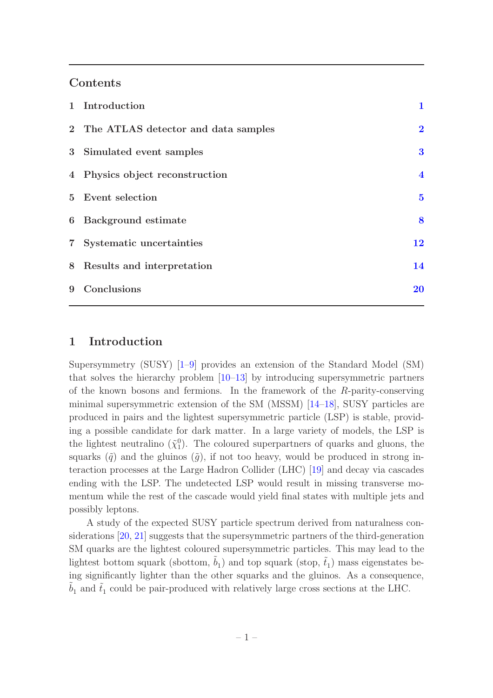#### Contents

| 1 Introduction                        | 1                       |
|---------------------------------------|-------------------------|
| 2 The ATLAS detector and data samples | $\overline{2}$          |
| 3 Simulated event samples             | $\bf{3}$                |
| 4 Physics object reconstruction       | $\overline{\mathbf{4}}$ |
| 5 Event selection                     | $\overline{\mathbf{5}}$ |
| 6 Background estimate                 | 8                       |
| 7 Systematic uncertainties            | 12                      |
| 8 Results and interpretation          | 14                      |
| 9 Conclusions                         | 20                      |

#### <span id="page-2-0"></span>1 Introduction

Supersymmetry (SUSY) [\[1](#page-22-0)[–9](#page-22-1)] provides an extension of the Standard Model (SM) that solves the hierarchy problem [\[10](#page-22-2)[–13\]](#page-22-3) by introducing supersymmetric partners of the known bosons and fermions. In the framework of the R-parity-conserving minimal supersymmetric extension of the SM (MSSM) [\[14](#page-22-4)[–18](#page-22-5)], SUSY particles are produced in pairs and the lightest supersymmetric particle (LSP) is stable, providing a possible candidate for dark matter. In a large variety of models, the LSP is the lightest neutralino  $(\tilde{\chi}_1^0)$ . The coloured superpartners of quarks and gluons, the squarks  $(\tilde{q})$  and the gluinos  $(\tilde{q})$ , if not too heavy, would be produced in strong interaction processes at the Large Hadron Collider (LHC) [\[19\]](#page-23-0) and decay via cascades ending with the LSP. The undetected LSP would result in missing transverse momentum while the rest of the cascade would yield final states with multiple jets and possibly leptons.

A study of the expected SUSY particle spectrum derived from naturalness considerations [\[20](#page-23-1), [21](#page-23-2)] suggests that the supersymmetric partners of the third-generation SM quarks are the lightest coloured supersymmetric particles. This may lead to the lightest bottom squark (sbottom,  $\tilde{b}_1$ ) and top squark (stop,  $\tilde{t}_1$ ) mass eigenstates being significantly lighter than the other squarks and the gluinos. As a consequence,  $\tilde{b}_1$  and  $\tilde{t}_1$  could be pair-produced with relatively large cross sections at the LHC.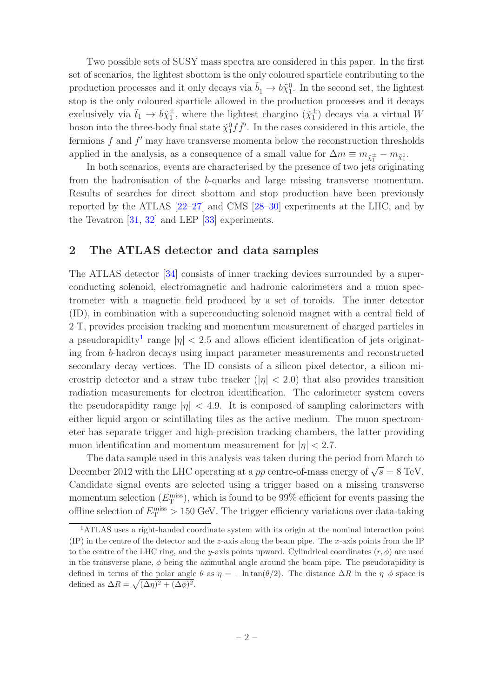Two possible sets of SUSY mass spectra are considered in this paper. In the first set of scenarios, the lightest sbottom is the only coloured sparticle contributing to the production processes and it only decays via  $\tilde{b}_1 \to b\tilde{\chi}_1^0$ . In the second set, the lightest stop is the only coloured sparticle allowed in the production processes and it decays exclusively via  $\tilde{t}_1 \rightarrow b \tilde{\chi}_1^{\pm}$  $\frac{1}{1}$ , where the lightest chargino  $(\tilde{\chi}_1^{\pm}$  $_{1}^{\pm}$ ) decays via a virtual  $W$ boson into the three-body final state  $\tilde{\chi}_1^0 f \bar{f}'$ . In the cases considered in this article, the fermions  $f$  and  $f'$  may have transverse momenta below the reconstruction thresholds applied in the analysis, as a consequence of a small value for  $\Delta m \equiv m_{\tilde{\chi}_1^{\pm}} - m_{\tilde{\chi}_1^0}$ .

In both scenarios, events are characterised by the presence of two jets originating from the hadronisation of the b-quarks and large missing transverse momentum. Results of searches for direct sbottom and stop production have been previously reported by the ATLAS [\[22](#page-23-3)[–27](#page-23-4)] and CMS [\[28](#page-23-5)[–30](#page-23-6)] experiments at the LHC, and by the Tevatron [\[31,](#page-23-7) [32\]](#page-23-8) and LEP [\[33\]](#page-24-0) experiments.

#### <span id="page-3-0"></span>2 The ATLAS detector and data samples

The ATLAS detector [\[34\]](#page-24-1) consists of inner tracking devices surrounded by a superconducting solenoid, electromagnetic and hadronic calorimeters and a muon spectrometer with a magnetic field produced by a set of toroids. The inner detector (ID), in combination with a superconducting solenoid magnet with a central field of 2 T, provides precision tracking and momentum measurement of charged particles in a pseudorapidity<sup>[1](#page-3-1)</sup> range  $|\eta| < 2.5$  and allows efficient identification of jets originating from b-hadron decays using impact parameter measurements and reconstructed secondary decay vertices. The ID consists of a silicon pixel detector, a silicon microstrip detector and a straw tube tracker ( $|\eta| < 2.0$ ) that also provides transition radiation measurements for electron identification. The calorimeter system covers the pseudorapidity range  $|\eta| < 4.9$ . It is composed of sampling calorimeters with either liquid argon or scintillating tiles as the active medium. The muon spectrometer has separate trigger and high-precision tracking chambers, the latter providing muon identification and momentum measurement for  $|\eta| < 2.7$ .

The data sample used in this analysis was taken during the period from March to December 2012 with the LHC operating at a pp centre-of-mass energy of  $\sqrt{s} = 8$  TeV. Candidate signal events are selected using a trigger based on a missing transverse momentum selection  $(E_{\text{T}}^{\text{miss}})$ , which is found to be 99% efficient for events passing the offline selection of  $E_{\rm T}^{\rm miss} > 150$  GeV. The trigger efficiency variations over data-taking

<span id="page-3-1"></span><sup>&</sup>lt;sup>1</sup>ATLAS uses a right-handed coordinate system with its origin at the nominal interaction point  $(IP)$  in the centre of the detector and the z-axis along the beam pipe. The x-axis points from the IP to the centre of the LHC ring, and the y-axis points upward. Cylindrical coordinates  $(r, \phi)$  are used in the transverse plane,  $\phi$  being the azimuthal angle around the beam pipe. The pseudorapidity is defined in terms of the polar angle  $\theta$  as  $\eta = -\ln \tan(\theta/2)$ . The distance  $\Delta R$  in the  $\eta$ – $\phi$  space is defined as  $\Delta R = \sqrt{(\Delta \eta)^2 + (\Delta \phi)^2}$ .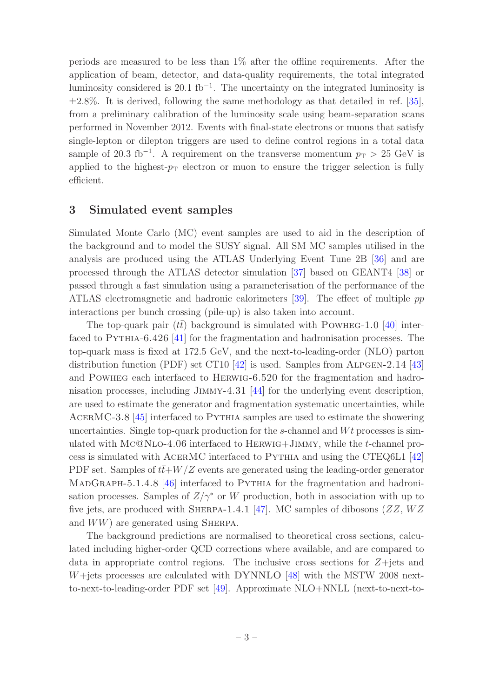periods are measured to be less than  $1\%$  after the offline requirements. After the application of beam, detector, and data-quality requirements, the total integrated luminosity considered is 20.1 fb<sup>−</sup><sup>1</sup> . The uncertainty on the integrated luminosity is  $\pm 2.8\%$ . It is derived, following the same methodology as that detailed in ref. [\[35](#page-24-2)], from a preliminary calibration of the luminosity scale using beam-separation scans performed in November 2012. Events with final-state electrons or muons that satisfy single-lepton or dilepton triggers are used to define control regions in a total data sample of 20.3 fb<sup>-1</sup>. A requirement on the transverse momentum  $p_T > 25$  GeV is applied to the highest- $p_T$  electron or muon to ensure the trigger selection is fully efficient.

#### <span id="page-4-0"></span>3 Simulated event samples

Simulated Monte Carlo (MC) event samples are used to aid in the description of the background and to model the SUSY signal. All SM MC samples utilised in the analysis are produced using the ATLAS Underlying Event Tune 2B [\[36](#page-24-3)] and are processed through the ATLAS detector simulation [\[37\]](#page-24-4) based on GEANT4 [\[38\]](#page-24-5) or passed through a fast simulation using a parameterisation of the performance of the ATLAS electromagnetic and hadronic calorimeters [\[39\]](#page-24-6). The effect of multiple pp interactions per bunch crossing (pile-up) is also taken into account.

The top-quark pair  $(t\bar{t})$  background is simulated with POWHEG-1.0 [\[40\]](#page-24-7) inter-faced to PYTHIA-6.426 [\[41](#page-24-8)] for the fragmentation and hadronisation processes. The top-quark mass is fixed at 172.5 GeV, and the next-to-leading-order (NLO) parton distribution function (PDF) set CT10 [\[42](#page-24-9)] is used. Samples from ALPGEN-2.14 [\[43\]](#page-24-10) and Powheg each interfaced to Herwig-6.520 for the fragmentation and hadronisation processes, including Jimmy-4.31 [\[44](#page-24-11)] for the underlying event description, are used to estimate the generator and fragmentation systematic uncertainties, while ACERMC-3.8 [\[45\]](#page-24-12) interfaced to PYTHIA samples are used to estimate the showering uncertainties. Single top-quark production for the s-channel and  $Wt$  processes is simulated with Mc@Nlo-4.06 interfaced to Herwig+Jimmy, while the t-channel process is simulated with AcerMC interfaced to Pythia and using the CTEQ6L1 [\[42\]](#page-24-9) PDF set. Samples of  $t\bar{t}+W/Z$  events are generated using the leading-order generator MADGRAPH-5.1.4.8 [\[46](#page-24-13)] interfaced to PYTHIA for the fragmentation and hadronisation processes. Samples of  $Z/\gamma^*$  or W production, both in association with up to five jets, are produced with SHERPA-1.4.1 [\[47](#page-24-14)]. MC samples of dibosons  $(ZZ, WZ)$ and  $WW$ ) are generated using SHERPA.

The background predictions are normalised to theoretical cross sections, calculated including higher-order QCD corrections where available, and are compared to data in appropriate control regions. The inclusive cross sections for  $Z+{\rm jets}$  and  $W +$ jets processes are calculated with DYNNLO [\[48](#page-24-15)] with the MSTW 2008 nextto-next-to-leading-order PDF set [\[49\]](#page-25-0). Approximate NLO+NNLL (next-to-next-to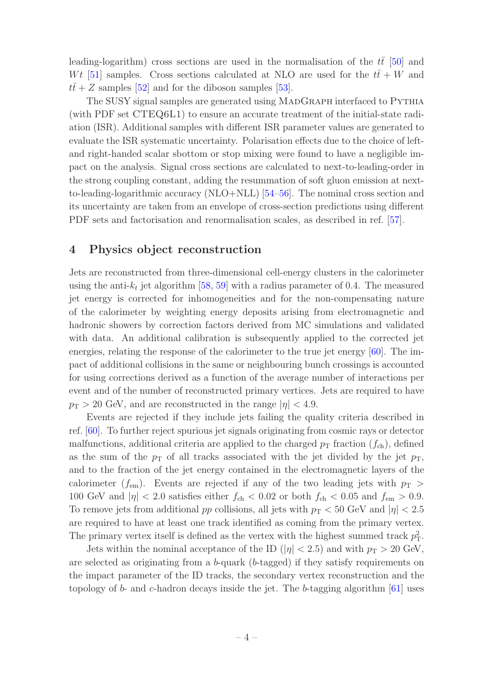leading-logarithm) cross sections are used in the normalisation of the  $t\bar{t}$  [\[50\]](#page-25-1) and Wt [\[51](#page-25-2)] samples. Cross sections calculated at NLO are used for the  $t\bar{t}+W$  and  $t\bar{t}+Z$  samples [\[52\]](#page-25-3) and for the diboson samples [\[53\]](#page-25-4).

The SUSY signal samples are generated using MADGRAPH interfaced to PYTHIA (with PDF set CTEQ6L1) to ensure an accurate treatment of the initial-state radiation (ISR). Additional samples with different ISR parameter values are generated to evaluate the ISR systematic uncertainty. Polarisation effects due to the choice of leftand right-handed scalar sbottom or stop mixing were found to have a negligible impact on the analysis. Signal cross sections are calculated to next-to-leading-order in the strong coupling constant, adding the resummation of soft gluon emission at nextto-leading-logarithmic accuracy (NLO+NLL) [\[54](#page-25-5)[–56\]](#page-25-6). The nominal cross section and its uncertainty are taken from an envelope of cross-section predictions using different PDF sets and factorisation and renormalisation scales, as described in ref. [\[57](#page-25-7)].

## <span id="page-5-0"></span>4 Physics object reconstruction

Jets are reconstructed from three-dimensional cell-energy clusters in the calorimeter using the anti- $k_t$  jet algorithm [\[58](#page-25-8), [59](#page-25-9)] with a radius parameter of 0.4. The measured jet energy is corrected for inhomogeneities and for the non-compensating nature of the calorimeter by weighting energy deposits arising from electromagnetic and hadronic showers by correction factors derived from MC simulations and validated with data. An additional calibration is subsequently applied to the corrected jet energies, relating the response of the calorimeter to the true jet energy [\[60\]](#page-25-10). The impact of additional collisions in the same or neighbouring bunch crossings is accounted for using corrections derived as a function of the average number of interactions per event and of the number of reconstructed primary vertices. Jets are required to have  $p_T > 20$  GeV, and are reconstructed in the range  $|\eta| < 4.9$ .

Events are rejected if they include jets failing the quality criteria described in ref. [\[60\]](#page-25-10). To further reject spurious jet signals originating from cosmic rays or detector malfunctions, additional criteria are applied to the charged  $p_T$  fraction  $(f_{ch})$ , defined as the sum of the  $p_T$  of all tracks associated with the jet divided by the jet  $p_T$ , and to the fraction of the jet energy contained in the electromagnetic layers of the calorimeter  $(f_{em})$ . Events are rejected if any of the two leading jets with  $p_T >$ 100 GeV and  $|\eta| < 2.0$  satisfies either  $f_{\text{ch}} < 0.02$  or both  $f_{\text{ch}} < 0.05$  and  $f_{\text{em}} > 0.9$ . To remove jets from additional pp collisions, all jets with  $p_T < 50$  GeV and  $|\eta| < 2.5$ are required to have at least one track identified as coming from the primary vertex. The primary vertex itself is defined as the vertex with the highest summed track  $p_T^2$ .

Jets within the nominal acceptance of the ID ( $|\eta| < 2.5$ ) and with  $p_T > 20$  GeV, are selected as originating from a  $b$ -quark ( $b$ -tagged) if they satisfy requirements on the impact parameter of the ID tracks, the secondary vertex reconstruction and the topology of  $b$ - and c-hadron decays inside the jet. The  $b$ -tagging algorithm [\[61\]](#page-25-11) uses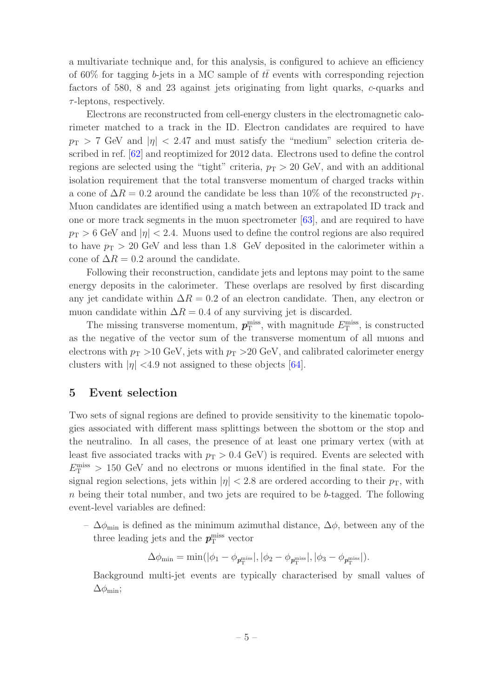a multivariate technique and, for this analysis, is configured to achieve an efficiency of 60% for tagging b-jets in a MC sample of  $t\bar{t}$  events with corresponding rejection factors of 580, 8 and 23 against jets originating from light quarks, c-quarks and  $\tau$ -leptons, respectively.

Electrons are reconstructed from cell-energy clusters in the electromagnetic calorimeter matched to a track in the ID. Electron candidates are required to have  $p_{\rm T} > 7$  GeV and  $|\eta| < 2.47$  and must satisfy the "medium" selection criteria described in ref. [\[62\]](#page-25-12) and reoptimized for 2012 data. Electrons used to define the control regions are selected using the "tight" criteria,  $p_T > 20$  GeV, and with an additional isolation requirement that the total transverse momentum of charged tracks within a cone of  $\Delta R = 0.2$  around the candidate be less than 10% of the reconstructed  $p_T$ . Muon candidates are identified using a match between an extrapolated ID track and one or more track segments in the muon spectrometer [\[63](#page-25-13)], and are required to have  $p_T > 6$  GeV and  $|\eta| < 2.4$ . Muons used to define the control regions are also required to have  $p_T > 20$  GeV and less than 1.8 GeV deposited in the calorimeter within a cone of  $\Delta R = 0.2$  around the candidate.

Following their reconstruction, candidate jets and leptons may point to the same energy deposits in the calorimeter. These overlaps are resolved by first discarding any jet candidate within  $\Delta R = 0.2$  of an electron candidate. Then, any electron or muon candidate within  $\Delta R = 0.4$  of any surviving jet is discarded.

The missing transverse momentum,  $p_T^{\text{miss}}$ , with magnitude  $E_T^{\text{miss}}$ , is constructed as the negative of the vector sum of the transverse momentum of all muons and electrons with  $p_T > 10$  GeV, jets with  $p_T > 20$  GeV, and calibrated calorimeter energy clusters with  $|\eta|$  <4.9 not assigned to these objects [\[64](#page-26-0)].

#### <span id="page-6-0"></span>5 Event selection

Two sets of signal regions are defined to provide sensitivity to the kinematic topologies associated with different mass splittings between the sbottom or the stop and the neutralino. In all cases, the presence of at least one primary vertex (with at least five associated tracks with  $p_T > 0.4$  GeV) is required. Events are selected with  $E_{\rm T}^{\rm miss} > 150$  GeV and no electrons or muons identified in the final state. For the signal region selections, jets within  $|\eta| < 2.8$  are ordered according to their  $p_T$ , with  $n$  being their total number, and two jets are required to be  $b$ -tagged. The following event-level variables are defined:

– ∆φmin is defined as the minimum azimuthal distance, ∆φ, between any of the three leading jets and the  $p_{\rm T}^{\rm miss}$  vector

$$
\Delta\phi_{\min} = \min(|\phi_1 - \phi_{p_T^{\text{miss}}}|, |\phi_2 - \phi_{p_T^{\text{miss}}}|, |\phi_3 - \phi_{p_T^{\text{miss}}}|).
$$

Background multi-jet events are typically characterised by small values of  $\Delta\phi_{\rm min}$ ;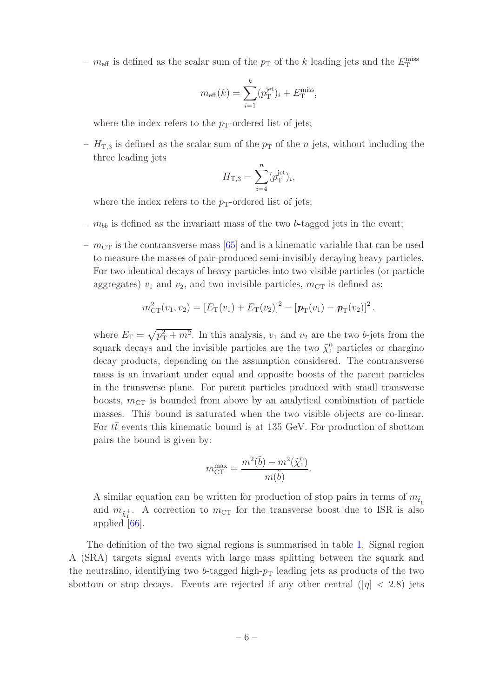–  $m_{\text{eff}}$  is defined as the scalar sum of the  $p_{\text{T}}$  of the k leading jets and the  $E_{\text{T}}^{\text{miss}}$ 

$$
m_{\text{eff}}(k) = \sum_{i=1}^{k} (p_{\text{T}}^{\text{jet}})_{i} + E_{\text{T}}^{\text{miss}},
$$

where the index refers to the  $p_T$ -ordered list of jets;

–  $H_{\text{T,3}}$  is defined as the scalar sum of the  $p_{\text{T}}$  of the n jets, without including the three leading jets

$$
H_{\rm T,3} = \sum_{i=4}^{n} (p_{\rm T}^{\rm jet})_i,
$$

where the index refers to the  $p_T$ -ordered list of jets;

- $m_{bb}$  is defined as the invariant mass of the two b-tagged jets in the event;
- $m_{\text{CT}}$  is the contransverse mass [\[65](#page-26-1)] and is a kinematic variable that can be used to measure the masses of pair-produced semi-invisibly decaying heavy particles. For two identical decays of heavy particles into two visible particles (or particle aggregates)  $v_1$  and  $v_2$ , and two invisible particles,  $m_{\text{CT}}$  is defined as:

$$
m_{\text{CT}}^2(v_1,v_2) = \left[E_{\text{T}}(v_1) + E_{\text{T}}(v_2)\right]^2 - \left[\boldsymbol{p}_{\text{T}}(v_1) - \boldsymbol{p}_{\text{T}}(v_2)\right]^2,
$$

where  $E_T = \sqrt{p_T^2 + m^2}$ . In this analysis,  $v_1$  and  $v_2$  are the two b-jets from the squark decays and the invisible particles are the two  $\tilde{\chi}_1^0$  particles or chargino decay products, depending on the assumption considered. The contransverse mass is an invariant under equal and opposite boosts of the parent particles in the transverse plane. For parent particles produced with small transverse boosts,  $m_{\text{CT}}$  is bounded from above by an analytical combination of particle masses. This bound is saturated when the two visible objects are co-linear. For  $t\bar{t}$  events this kinematic bound is at 135 GeV. For production of sbottom pairs the bound is given by:

$$
m_{\text{CT}}^{\text{max}} = \frac{m^2(\tilde{b}) - m^2(\tilde{\chi}_1^0)}{m(\tilde{b})}.
$$

A similar equation can be written for production of stop pairs in terms of  $m_{\tilde{t}_1}$ and  $m_{\tilde{\chi}_1^{\pm}}$ . A correction to  $m_{\text{CT}}$  for the transverse boost due to ISR is also applied [\[66\]](#page-26-2).

The definition of the two signal regions is summarised in table [1.](#page-8-0) Signal region A (SRA) targets signal events with large mass splitting between the squark and the neutralino, identifying two b-tagged high- $p_T$  leading jets as products of the two sbottom or stop decays. Events are rejected if any other central  $(|\eta| < 2.8)$  jets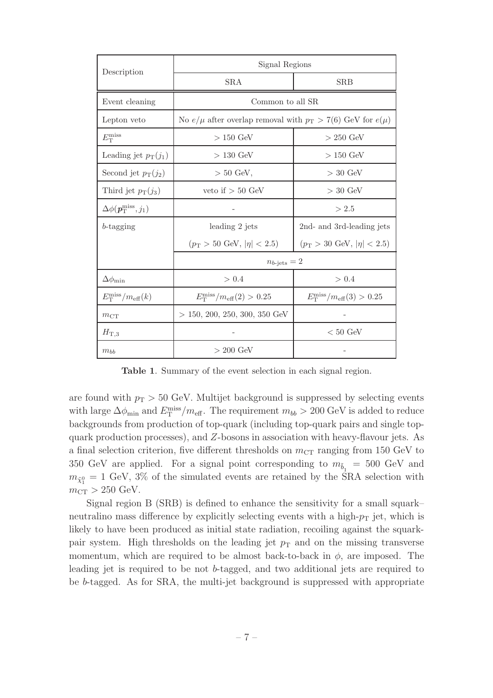| Description                                                    | Signal Regions                                                      |                                              |  |  |  |  |
|----------------------------------------------------------------|---------------------------------------------------------------------|----------------------------------------------|--|--|--|--|
|                                                                | <b>SRA</b>                                                          | <b>SRB</b>                                   |  |  |  |  |
| Event cleaning                                                 | Common to all SR                                                    |                                              |  |  |  |  |
| Lepton veto                                                    | No $e/\mu$ after overlap removal with $p_T > 7(6)$ GeV for $e(\mu)$ |                                              |  |  |  |  |
| $E_{\rm T}^{\rm miss}$                                         | $>150$ GeV                                                          | $>250$ GeV                                   |  |  |  |  |
| Leading jet $p_T(j_1)$                                         | $>130$ GeV                                                          | $>150$ GeV                                   |  |  |  |  |
| Second jet $p_T(j_2)$                                          | $> 50$ GeV,                                                         | $> 30$ GeV                                   |  |  |  |  |
| Third jet $p_T(j_3)$                                           | veto if $> 50$ GeV                                                  | $> 30 \text{ GeV}$                           |  |  |  |  |
| $\Delta\phi(\boldsymbol{p}_{\textrm{T}}^{\textrm{miss}}, j_1)$ |                                                                     | > 2.5                                        |  |  |  |  |
| $b$ -tagging                                                   | leading 2 jets                                                      | 2nd- and 3rd-leading jets                    |  |  |  |  |
|                                                                | $(p_T > 50 \text{ GeV},  \eta  < 2.5)$                              | $(p_T > 30 \text{ GeV},  \eta  < 2.5)$       |  |  |  |  |
|                                                                | $n_{b\text{-jets}} = 2$                                             |                                              |  |  |  |  |
| $\Delta\phi_{\rm min}$                                         | > 0.4                                                               | > 0.4                                        |  |  |  |  |
| $E_{\rm T}^{\rm miss}/m_{\rm eff}(k)$                          | $E_{\rm T}^{\rm miss}/m_{\rm eff}(2)>0.25$                          | $E_{\rm T}^{\rm miss}/m_{\rm eff}(3) > 0.25$ |  |  |  |  |
| $m_{\mathrm{CT}}$                                              | $> 150, 200, 250, 300, 350$ GeV                                     |                                              |  |  |  |  |
| $H_{\text{T},3}$                                               |                                                                     | $< 50$ GeV                                   |  |  |  |  |
| $m_{bb}$                                                       | $>200~\text{GeV}$                                                   |                                              |  |  |  |  |

<span id="page-8-0"></span>Table 1. Summary of the event selection in each signal region.

are found with  $p_T > 50$  GeV. Multijet background is suppressed by selecting events with large  $\Delta\phi_{\rm min}$  and  $E_{\rm T}^{\rm miss}/m_{\rm eff}$ . The requirement  $m_{bb} > 200$  GeV is added to reduce backgrounds from production of top-quark (including top-quark pairs and single topquark production processes), and Z-bosons in association with heavy-flavour jets. As a final selection criterion, five different thresholds on  $m_{CT}$  ranging from 150 GeV to 350 GeV are applied. For a signal point corresponding to  $m_{\tilde{b}_1} = 500$  GeV and  $m_{\tilde{\chi}^0_1} = 1$  GeV, 3% of the simulated events are retained by the SRA selection with  $m_{\text{CT}} > 250 \text{ GeV}.$ 

Signal region B (SRB) is defined to enhance the sensitivity for a small squark– neutralino mass difference by explicitly selecting events with a high- $p<sub>T</sub>$  jet, which is likely to have been produced as initial state radiation, recoiling against the squarkpair system. High thresholds on the leading jet  $p_T$  and on the missing transverse momentum, which are required to be almost back-to-back in  $\phi$ , are imposed. The leading jet is required to be not b-tagged, and two additional jets are required to be b-tagged. As for SRA, the multi-jet background is suppressed with appropriate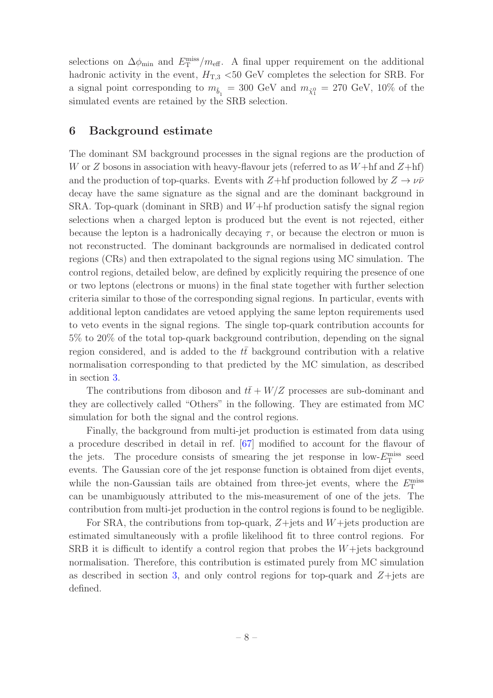selections on  $\Delta\phi_{\rm min}$  and  $E_{\rm T}^{\rm miss}/m_{\rm eff}$ . A final upper requirement on the additional hadronic activity in the event,  $H_{\text{T,3}}$  <50 GeV completes the selection for SRB. For a signal point corresponding to  $m_{\tilde{b}_1} = 300$  GeV and  $m_{\tilde{\chi}_1^0} = 270$  GeV, 10% of the simulated events are retained by the SRB selection.

#### <span id="page-9-0"></span>6 Background estimate

The dominant SM background processes in the signal regions are the production of W or Z bosons in association with heavy-flavour jets (referred to as  $W + hf$  and  $Z + hf$ ) and the production of top-quarks. Events with Z+hf production followed by  $Z \to \nu\bar{\nu}$ decay have the same signature as the signal and are the dominant background in SRA. Top-quark (dominant in SRB) and  $W+hf$  production satisfy the signal region selections when a charged lepton is produced but the event is not rejected, either because the lepton is a hadronically decaying  $\tau$ , or because the electron or muon is not reconstructed. The dominant backgrounds are normalised in dedicated control regions (CRs) and then extrapolated to the signal regions using MC simulation. The control regions, detailed below, are defined by explicitly requiring the presence of one or two leptons (electrons or muons) in the final state together with further selection criteria similar to those of the corresponding signal regions. In particular, events with additional lepton candidates are vetoed applying the same lepton requirements used to veto events in the signal regions. The single top-quark contribution accounts for 5% to 20% of the total top-quark background contribution, depending on the signal region considered, and is added to the  $t\bar{t}$  background contribution with a relative normalisation corresponding to that predicted by the MC simulation, as described in section [3.](#page-4-0)

The contributions from diboson and  $tt+W/Z$  processes are sub-dominant and they are collectively called "Others" in the following. They are estimated from MC simulation for both the signal and the control regions.

Finally, the background from multi-jet production is estimated from data using a procedure described in detail in ref. [\[67\]](#page-26-3) modified to account for the flavour of the jets. The procedure consists of smearing the jet response in low- $E_{\rm T}^{\rm miss}$  seed events. The Gaussian core of the jet response function is obtained from dijet events, while the non-Gaussian tails are obtained from three-jet events, where the  $E_{\rm T}^{\rm miss}$ can be unambiguously attributed to the mis-measurement of one of the jets. The contribution from multi-jet production in the control regions is found to be negligible.

For SRA, the contributions from top-quark,  $Z+$ jets and  $W+$ jets production are estimated simultaneously with a profile likelihood fit to three control regions. For SRB it is difficult to identify a control region that probes the  $W+$  jets background normalisation. Therefore, this contribution is estimated purely from MC simulation as described in section [3,](#page-4-0) and only control regions for top-quark and  $Z+$ jets are defined.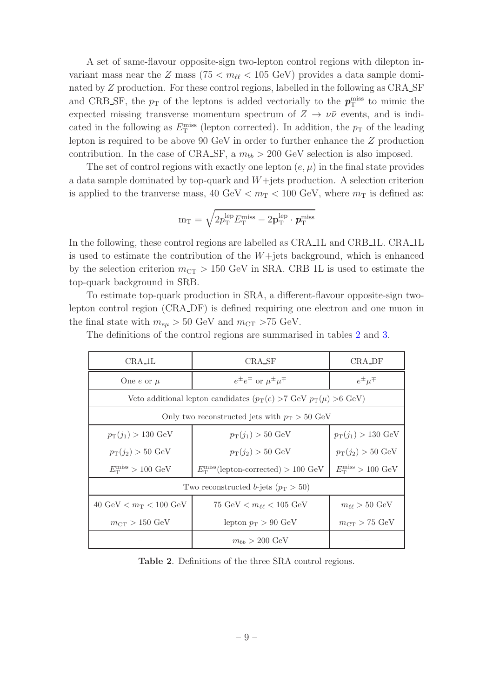A set of same-flavour opposite-sign two-lepton control regions with dilepton invariant mass near the Z mass (75  $< m_{\ell\ell} < 105 \text{ GeV}$ ) provides a data sample dominated by Z production. For these control regions, labelled in the following as CRA SF and CRB SF, the  $p_T$  of the leptons is added vectorially to the  $p_T^{\text{miss}}$  to mimic the expected missing transverse momentum spectrum of  $Z \rightarrow \nu\bar{\nu}$  events, and is indicated in the following as  $E_{\rm T}^{\rm miss}$  (lepton corrected). In addition, the  $p_{\rm T}$  of the leading lepton is required to be above 90 GeV in order to further enhance the Z production contribution. In the case of CRA SF, a  $m_{bb} > 200$  GeV selection is also imposed.

The set of control regions with exactly one lepton  $(e, \mu)$  in the final state provides a data sample dominated by top-quark and  $W+$ jets production. A selection criterion is applied to the tranverse mass,  $40 \text{ GeV} < m_T < 100 \text{ GeV}$ , where  $m_T$  is defined as:

$$
m_T = \sqrt{2p_T^{lep}E_T^{miss} - 2\mathbf{p}_T^{lep} \cdot \boldsymbol{p}_T^{miss}}
$$

In the following, these control regions are labelled as CRA 1L and CRB 1L. CRA 1L is used to estimate the contribution of the  $W+$ jets background, which is enhanced by the selection criterion  $m_{\text{CT}} > 150 \text{ GeV}$  in SRA. CRB-1L is used to estimate the top-quark background in SRB.

To estimate top-quark production in SRA, a different-flavour opposite-sign twolepton control region (CRA DF) is defined requiring one electron and one muon in the final state with  $m_{e\mu} > 50$  GeV and  $m_{CT} > 75$  GeV.

The definitions of the control regions are summarised in tables [2](#page-10-0) and [3.](#page-11-0)

| CRA_1L                                                                                 | CRA_SF                                              | CRA DF                                 |  |  |  |  |
|----------------------------------------------------------------------------------------|-----------------------------------------------------|----------------------------------------|--|--|--|--|
| One $e$ or $\mu$                                                                       | $e^{\pm}e^{\mp}$ or $\mu^{\pm}\mu^{\mp}$            | $e^{\pm} \mu^{\mp}$                    |  |  |  |  |
| Veto additional lepton candidates $(p_T(e) > 7 \text{ GeV } p_T(\mu) > 6 \text{ GeV})$ |                                                     |                                        |  |  |  |  |
|                                                                                        | Only two reconstructed jets with $p_T > 50$ GeV     |                                        |  |  |  |  |
| $p_T(j_1) > 130 \text{ GeV}$                                                           | $p_T(j_1) > 50 \text{ GeV}$                         | $p_T(j_1) > 130 \text{ GeV}$           |  |  |  |  |
| $p_T(j_2) > 50 \text{ GeV}$                                                            | $p_T(j_2) > 50 \text{ GeV}$                         | $p_T(j_2) > 50 \text{ GeV}$            |  |  |  |  |
| $E_{\rm T}^{\rm miss} > 100~{\rm GeV}$                                                 | $E_{\rm T}^{\rm miss}$ (lepton-corrected) > 100 GeV | $E_{\rm T}^{\rm miss} > 100~{\rm GeV}$ |  |  |  |  |
| Two reconstructed b-jets $(p_T > 50)$                                                  |                                                     |                                        |  |  |  |  |
| $40 \text{ GeV} < m_T < 100 \text{ GeV}$                                               | 75 GeV $< m_{\ell\ell} < 105$ GeV                   | $m_{\ell\ell} > 50 \text{ GeV}$        |  |  |  |  |
| $m_{\text{CT}} > 150 \text{ GeV}$                                                      | lepton $p_T > 90$ GeV                               | $m_{\text{CT}} > 75 \text{ GeV}$       |  |  |  |  |
|                                                                                        | $m_{bb} > 200$ GeV                                  |                                        |  |  |  |  |

<span id="page-10-0"></span>Table 2. Definitions of the three SRA control regions.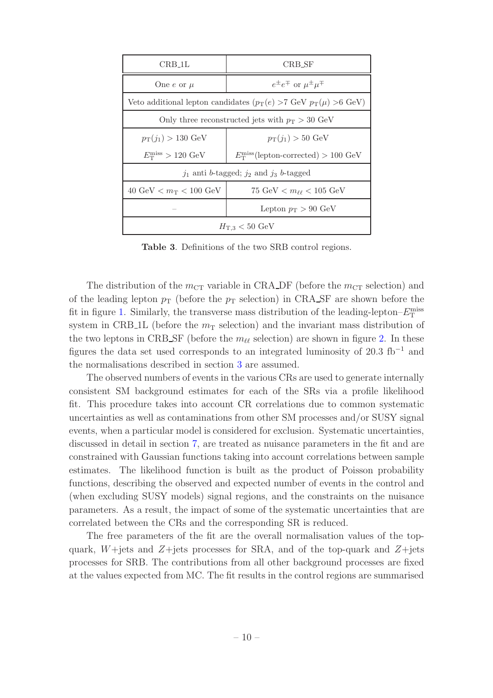| CRB_1L                                                                                 | CRB_SF                                              |  |  |  |
|----------------------------------------------------------------------------------------|-----------------------------------------------------|--|--|--|
| One $e$ or $\mu$                                                                       | $e^{\pm}e^{\mp}$ or $\mu^{\pm}\mu^{\mp}$            |  |  |  |
| Veto additional lepton candidates $(p_T(e) > 7 \text{ GeV } p_T(\mu) > 6 \text{ GeV})$ |                                                     |  |  |  |
|                                                                                        | Only three reconstructed jets with $p_T > 30$ GeV   |  |  |  |
| $p_T(j_1) > 130 \text{ GeV}$                                                           | $p_T(j_1) > 50 \text{ GeV}$                         |  |  |  |
| $E_{\rm T}^{\rm miss} > 120~{\rm GeV}$                                                 | $E_{\rm T}^{\rm miss}$ (lepton-corrected) > 100 GeV |  |  |  |
| $j_1$ anti b-tagged; $j_2$ and $j_3$ b-tagged                                          |                                                     |  |  |  |
| $40 \text{ GeV} < m_T < 100 \text{ GeV}$                                               | 75 GeV $< m_{\ell\ell} < 105$ GeV                   |  |  |  |
|                                                                                        | Lepton $p_T > 90$ GeV                               |  |  |  |
| $H_{\text{T,3}} < 50 \text{ GeV}$                                                      |                                                     |  |  |  |

<span id="page-11-0"></span>Table 3. Definitions of the two SRB control regions.

The distribution of the  $m_{\text{CT}}$  variable in CRA DF (before the  $m_{\text{CT}}$  selection) and of the leading lepton  $p_T$  (before the  $p_T$  selection) in CRA SF are shown before the fit in figure [1.](#page-12-0) Similarly, the transverse mass distribution of the leading-lepton– $E_{\rm T}^{\rm miss}$ system in CRB 1L (before the  $m<sub>T</sub>$  selection) and the invariant mass distribution of the two leptons in CRB SF (before the  $m_{\ell\ell}$  selection) are shown in figure [2.](#page-12-1) In these figures the data set used corresponds to an integrated luminosity of 20.3  $\text{fb}^{-1}$  and the normalisations described in section [3](#page-4-0) are assumed.

The observed numbers of events in the various CRs are used to generate internally consistent SM background estimates for each of the SRs via a profile likelihood fit. This procedure takes into account CR correlations due to common systematic uncertainties as well as contaminations from other SM processes and/or SUSY signal events, when a particular model is considered for exclusion. Systematic uncertainties, discussed in detail in section [7,](#page-13-0) are treated as nuisance parameters in the fit and are constrained with Gaussian functions taking into account correlations between sample estimates. The likelihood function is built as the product of Poisson probability functions, describing the observed and expected number of events in the control and (when excluding SUSY models) signal regions, and the constraints on the nuisance parameters. As a result, the impact of some of the systematic uncertainties that are correlated between the CRs and the corresponding SR is reduced.

The free parameters of the fit are the overall normalisation values of the topquark, W+jets and Z+jets processes for SRA, and of the top-quark and Z+jets processes for SRB. The contributions from all other background processes are fixed at the values expected from MC. The fit results in the control regions are summarised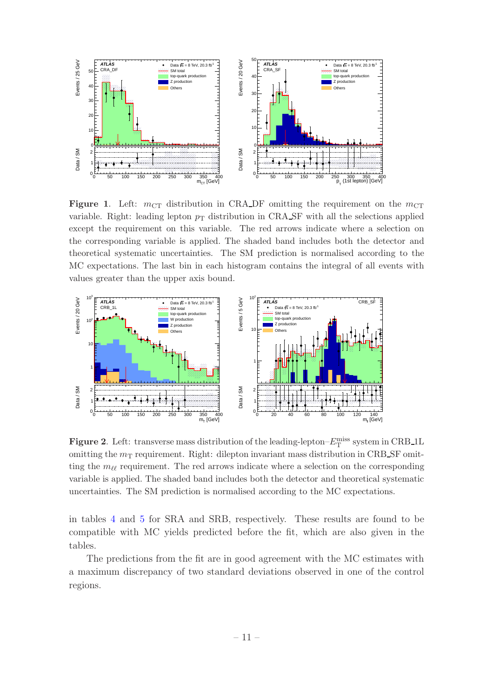

<span id="page-12-0"></span>Figure 1. Left:  $m_{CT}$  distribution in CRA DF omitting the requirement on the  $m_{CT}$ variable. Right: leading lepton  $p<sub>T</sub>$  distribution in CRA SF with all the selections applied except the requirement on this variable. The red arrows indicate where a selection on the corresponding variable is applied. The shaded band includes both the detector and theoretical systematic uncertainties. The SM prediction is normalised according to the MC expectations. The last bin in each histogram contains the integral of all events with values greater than the upper axis bound.



<span id="page-12-1"></span>**Figure 2**. Left: transverse mass distribution of the leading-lepton– $E_{\rm T}^{\rm miss}$  system in CRB<sub>-1</sub>L omitting the  $m<sub>T</sub>$  requirement. Right: dilepton invariant mass distribution in CRB SF omitting the  $m_{\ell\ell}$  requirement. The red arrows indicate where a selection on the corresponding variable is applied. The shaded band includes both the detector and theoretical systematic uncertainties. The SM prediction is normalised according to the MC expectations.

in tables [4](#page-13-1) and [5](#page-14-0) for SRA and SRB, respectively. These results are found to be compatible with MC yields predicted before the fit, which are also given in the tables.

The predictions from the fit are in good agreement with the MC estimates with a maximum discrepancy of two standard deviations observed in one of the control regions.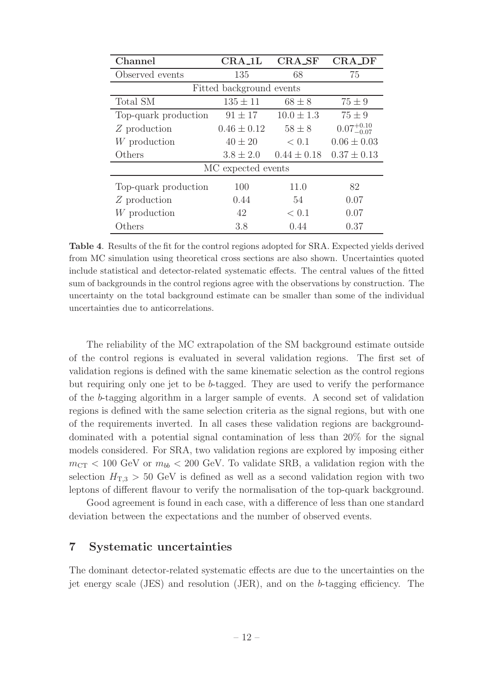| Channel                  | $CRA_1L$        | <b>CRA_SF</b>   | <b>CRA_DF</b>          |  |  |  |  |  |
|--------------------------|-----------------|-----------------|------------------------|--|--|--|--|--|
| Observed events          | 135             | 68              | 75                     |  |  |  |  |  |
| Fitted background events |                 |                 |                        |  |  |  |  |  |
| Total SM                 | $135 \pm 11$    | $68 \pm 8$      | $75 \pm 9$             |  |  |  |  |  |
| Top-quark production     | $91 \pm 17$     | $10.0 \pm 1.3$  | $75 \pm 9$             |  |  |  |  |  |
| Z production             | $0.46 \pm 0.12$ | $58 \pm 8$      | $0.07^{+0.10}_{-0.07}$ |  |  |  |  |  |
| W production             | $40 \pm 20$     | < 0.1           | $0.06 \pm 0.03$        |  |  |  |  |  |
| Others                   | $3.8 \pm 2.0$   | $0.44 \pm 0.18$ | $0.37 \pm 0.13$        |  |  |  |  |  |
| MC expected events       |                 |                 |                        |  |  |  |  |  |
| Top-quark production     | 100             | 11.0            | 82                     |  |  |  |  |  |
| Z production             | 0.44            | 54              | 0.07                   |  |  |  |  |  |
| W production             | 42              | < 0.1           | 0.07                   |  |  |  |  |  |
| Others                   | 3.8             | 0.44            | 0.37                   |  |  |  |  |  |

<span id="page-13-1"></span>Table 4. Results of the fit for the control regions adopted for SRA. Expected yields derived from MC simulation using theoretical cross sections are also shown. Uncertainties quoted include statistical and detector-related systematic effects. The central values of the fitted sum of backgrounds in the control regions agree with the observations by construction. The uncertainty on the total background estimate can be smaller than some of the individual uncertainties due to anticorrelations.

The reliability of the MC extrapolation of the SM background estimate outside of the control regions is evaluated in several validation regions. The first set of validation regions is defined with the same kinematic selection as the control regions but requiring only one jet to be b-tagged. They are used to verify the performance of the b-tagging algorithm in a larger sample of events. A second set of validation regions is defined with the same selection criteria as the signal regions, but with one of the requirements inverted. In all cases these validation regions are backgrounddominated with a potential signal contamination of less than 20% for the signal models considered. For SRA, two validation regions are explored by imposing either  $m_{\text{CT}}$  < 100 GeV or  $m_{bb}$  < 200 GeV. To validate SRB, a validation region with the selection  $H_{T,3} > 50$  GeV is defined as well as a second validation region with two leptons of different flavour to verify the normalisation of the top-quark background.

Good agreement is found in each case, with a difference of less than one standard deviation between the expectations and the number of observed events.

#### <span id="page-13-0"></span>7 Systematic uncertainties

The dominant detector-related systematic effects are due to the uncertainties on the jet energy scale (JES) and resolution (JER), and on the b-tagging efficiency. The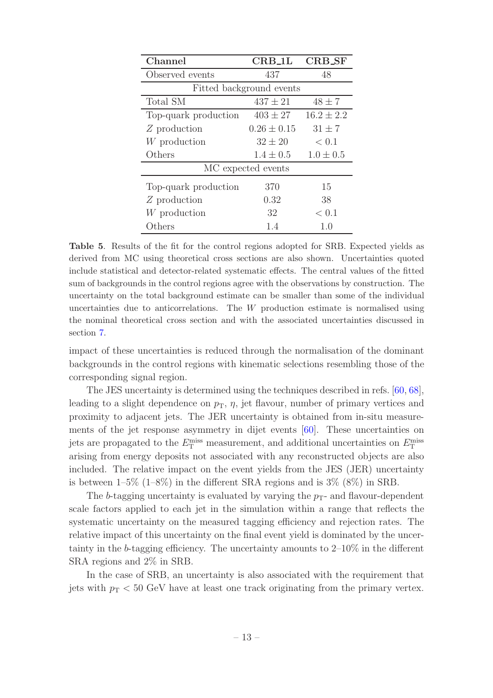| Channel                  | $\rm CRB_1L$    | <b>CRB_SF</b>  |  |  |  |  |
|--------------------------|-----------------|----------------|--|--|--|--|
| Observed events          | 437             | 48             |  |  |  |  |
| Fitted background events |                 |                |  |  |  |  |
| Total SM                 | $437 \pm 21$    | $48 \pm 7$     |  |  |  |  |
| Top-quark production     | $403 \pm 27$    | $16.2 \pm 2.2$ |  |  |  |  |
| Z production             | $0.26 \pm 0.15$ | $31 \pm 7$     |  |  |  |  |
| W production             | $32 \pm 20$     | < 0.1          |  |  |  |  |
| Others                   | $1.4 \pm 0.5$   | $1.0 \pm 0.5$  |  |  |  |  |
| MC expected events       |                 |                |  |  |  |  |
| Top-quark production     | 370             | 15             |  |  |  |  |
| Z production             | 0.32            | 38             |  |  |  |  |
| W production             | 32              | < 0.1          |  |  |  |  |
| Others                   | 1.4             | 1.0            |  |  |  |  |

<span id="page-14-0"></span>Table 5. Results of the fit for the control regions adopted for SRB. Expected yields as derived from MC using theoretical cross sections are also shown. Uncertainties quoted include statistical and detector-related systematic effects. The central values of the fitted sum of backgrounds in the control regions agree with the observations by construction. The uncertainty on the total background estimate can be smaller than some of the individual uncertainties due to anticorrelations. The W production estimate is normalised using the nominal theoretical cross section and with the associated uncertainties discussed in section [7.](#page-13-0)

impact of these uncertainties is reduced through the normalisation of the dominant backgrounds in the control regions with kinematic selections resembling those of the corresponding signal region.

The JES uncertainty is determined using the techniques described in refs. [\[60,](#page-25-10) [68](#page-26-4)], leading to a slight dependence on  $p_T$ ,  $\eta$ , jet flavour, number of primary vertices and proximity to adjacent jets. The JER uncertainty is obtained from in-situ measurements of the jet response asymmetry in dijet events [\[60](#page-25-10)]. These uncertainties on jets are propagated to the  $E_{\rm T}^{\rm miss}$  measurement, and additional uncertainties on  $E_{\rm T}^{\rm miss}$ arising from energy deposits not associated with any reconstructed objects are also included. The relative impact on the event yields from the JES (JER) uncertainty is between  $1-5\%$  ( $1-8\%$ ) in the different SRA regions and is  $3\%$  ( $8\%$ ) in SRB.

The b-tagging uncertainty is evaluated by varying the  $p_T$ - and flavour-dependent scale factors applied to each jet in the simulation within a range that reflects the systematic uncertainty on the measured tagging efficiency and rejection rates. The relative impact of this uncertainty on the final event yield is dominated by the uncertainty in the b-tagging efficiency. The uncertainty amounts to  $2\n-10\%$  in the different SRA regions and 2% in SRB.

In the case of SRB, an uncertainty is also associated with the requirement that jets with  $p_T < 50$  GeV have at least one track originating from the primary vertex.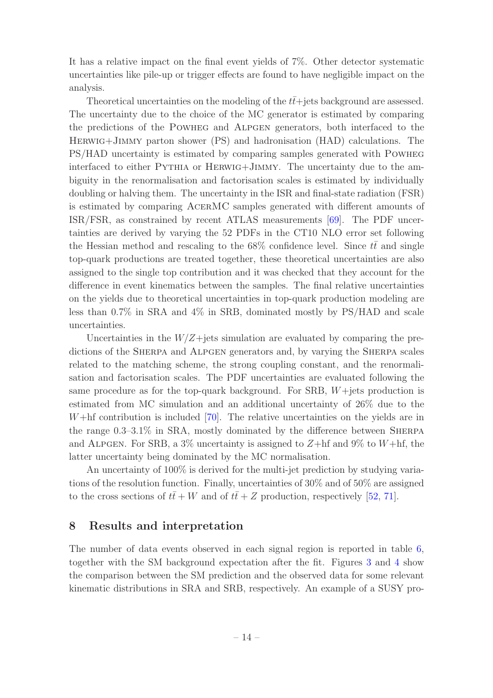It has a relative impact on the final event yields of 7%. Other detector systematic uncertainties like pile-up or trigger effects are found to have negligible impact on the analysis.

Theoretical uncertainties on the modeling of the  $t\bar{t}$ +jets background are assessed. The uncertainty due to the choice of the MC generator is estimated by comparing the predictions of the Powheg and Alpgen generators, both interfaced to the Herwig+Jimmy parton shower (PS) and hadronisation (HAD) calculations. The PS/HAD uncertainty is estimated by comparing samples generated with Powheg interfaced to either PYTHIA or HERWIG+JIMMY. The uncertainty due to the ambiguity in the renormalisation and factorisation scales is estimated by individually doubling or halving them. The uncertainty in the ISR and final-state radiation (FSR) is estimated by comparing AcerMC samples generated with different amounts of ISR/FSR, as constrained by recent ATLAS measurements [\[69](#page-26-5)]. The PDF uncertainties are derived by varying the 52 PDFs in the CT10 NLO error set following the Hessian method and rescaling to the  $68\%$  confidence level. Since  $t\bar{t}$  and single top-quark productions are treated together, these theoretical uncertainties are also assigned to the single top contribution and it was checked that they account for the difference in event kinematics between the samples. The final relative uncertainties on the yields due to theoretical uncertainties in top-quark production modeling are less than 0.7% in SRA and 4% in SRB, dominated mostly by PS/HAD and scale uncertainties.

Uncertainties in the  $W/Z +$ jets simulation are evaluated by comparing the predictions of the SHERPA and ALPGEN generators and, by varying the SHERPA scales related to the matching scheme, the strong coupling constant, and the renormalisation and factorisation scales. The PDF uncertainties are evaluated following the same procedure as for the top-quark background. For SRB,  $W+$  jets production is estimated from MC simulation and an additional uncertainty of 26% due to the  $W+hf$  contribution is included [\[70](#page-26-6)]. The relative uncertainties on the yields are in the range  $0.3-3.1\%$  in SRA, mostly dominated by the difference between SHERPA and ALPGEN. For SRB, a  $3\%$  uncertainty is assigned to Z+hf and  $9\%$  to W+hf, the latter uncertainty being dominated by the MC normalisation.

An uncertainty of 100% is derived for the multi-jet prediction by studying variations of the resolution function. Finally, uncertainties of 30% and of 50% are assigned to the cross sections of  $t\bar{t}+W$  and of  $t\bar{t}+Z$  production, respectively [\[52](#page-25-3), [71](#page-26-7)].

#### <span id="page-15-0"></span>8 Results and interpretation

The number of data events observed in each signal region is reported in table [6,](#page-16-0) together with the SM background expectation after the fit. Figures [3](#page-16-1) and [4](#page-17-0) show the comparison between the SM prediction and the observed data for some relevant kinematic distributions in SRA and SRB, respectively. An example of a SUSY pro-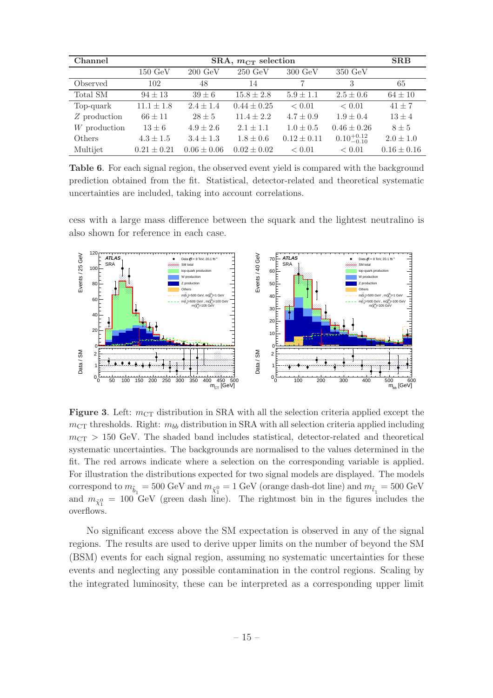| Channel        | SRA, $m_{CT}$ selection |                   |                   |                   |                        | <b>SRB</b>      |
|----------------|-------------------------|-------------------|-------------------|-------------------|------------------------|-----------------|
|                | $150 \text{ GeV}$       | $200 \text{ GeV}$ | $250 \text{ GeV}$ | $300 \text{ GeV}$ | $350 \text{ GeV}$      |                 |
| Observed       | 102                     | 48                | 14                |                   | 3                      | 65              |
| Total SM       | $94 \pm 13$             | $39 \pm 6$        | $15.8 \pm 2.8$    | $5.9 \pm 1.1$     | $2.5 \pm 0.6$          | $64 \pm 10$     |
| Top-quark      | $11.1 \pm 1.8$          | $2.4 \pm 1.4$     | $0.44 \pm 0.25$   | < 0.01            | < 0.01                 | $41 + 7$        |
| $Z$ production | $66 \pm 11$             | $28 + 5$          | $11.4 \pm 2.2$    | $4.7 \pm 0.9$     | $1.9 \pm 0.4$          | $13 \pm 4$      |
| $W$ production | $13 \pm 6$              | $4.9 \pm 2.6$     | $2.1 \pm 1.1$     | $1.0 \pm 0.5$     | $0.46 \pm 0.26$        | $8 \pm 5$       |
| Others         | $4.3 \pm 1.5$           | $3.4 \pm 1.3$     | $1.8 \pm 0.6$     | $0.12 \pm 0.11$   | $0.10^{+0.12}_{-0.10}$ | $2.0 \pm 1.0$   |
| Multijet       | $0.21 \pm 0.21$         | $0.06 \pm 0.06$   | $0.02 \pm 0.02$   | < 0.01            | < 0.01                 | $0.16 \pm 0.16$ |

<span id="page-16-0"></span>Table 6. For each signal region, the observed event yield is compared with the background prediction obtained from the fit. Statistical, detector-related and theoretical systematic uncertainties are included, taking into account correlations.

cess with a large mass difference between the squark and the lightest neutralino is also shown for reference in each case.



<span id="page-16-1"></span>Figure 3. Left:  $m_{CT}$  distribution in SRA with all the selection criteria applied except the  $m_{\text{CT}}$  thresholds. Right:  $m_{bb}$  distribution in SRA with all selection criteria applied including  $m_{\text{CT}} > 150$  GeV. The shaded band includes statistical, detector-related and theoretical systematic uncertainties. The backgrounds are normalised to the values determined in the fit. The red arrows indicate where a selection on the corresponding variable is applied. For illustration the distributions expected for two signal models are displayed. The models correspond to  $m_{\tilde{b}_1}=500~\text{GeV}$  and  $m_{\tilde{\chi}^0_1}=1~\text{GeV}$  (orange dash-dot line) and  $m_{\tilde{t}_1}=500~\text{GeV}$ and  $m_{\tilde{\chi}^0_1} = 100$  GeV (green dash line). The rightmost bin in the figures includes the overflows.

No significant excess above the SM expectation is observed in any of the signal regions. The results are used to derive upper limits on the number of beyond the SM (BSM) events for each signal region, assuming no systematic uncertainties for these events and neglecting any possible contamination in the control regions. Scaling by the integrated luminosity, these can be interpreted as a corresponding upper limit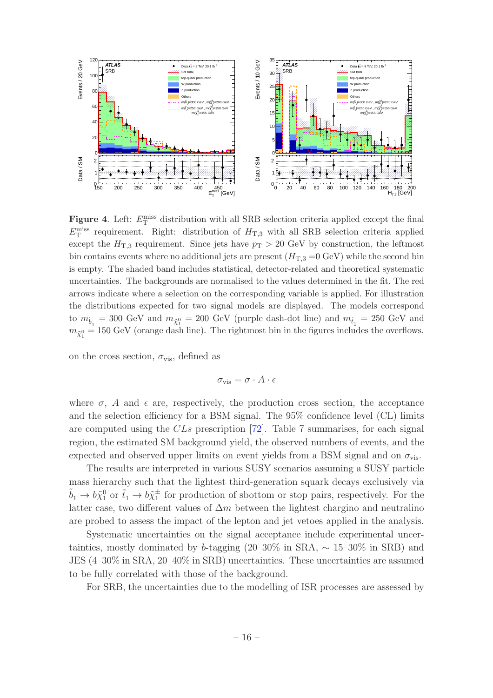

<span id="page-17-0"></span>**Figure 4.** Left:  $E_T^{\text{miss}}$  distribution with all SRB selection criteria applied except the final  $E_{\rm T}^{\rm miss}$  requirement. Right: distribution of  $H_{\rm T,3}$  with all SRB selection criteria applied except the  $H_{\text{T,3}}$  requirement. Since jets have  $p_{\text{T}} > 20 \text{ GeV}$  by construction, the leftmost bin contains events where no additional jets are present  $(H<sub>T,3</sub> = 0 \text{ GeV})$  while the second bin is empty. The shaded band includes statistical, detector-related and theoretical systematic uncertainties. The backgrounds are normalised to the values determined in the fit. The red arrows indicate where a selection on the corresponding variable is applied. For illustration the distributions expected for two signal models are displayed. The models correspond to  $m_{\tilde{b}_1} = 300 \text{ GeV}$  and  $m_{\tilde{\chi}_1^0} = 200 \text{ GeV}$  (purple dash-dot line) and  $m_{\tilde{t}_1} = 250 \text{ GeV}$  and  $m_{\tilde{\chi}^0_1} = 150 \text{ GeV}$  (orange dash line). The rightmost bin in the figures includes the overflows.

on the cross section,  $\sigma_{\rm vis}$ , defined as

$$
\sigma_{\rm vis} = \sigma \cdot A \cdot \epsilon
$$

where  $\sigma$ , A and  $\epsilon$  are, respectively, the production cross section, the acceptance and the selection efficiency for a BSM signal. The 95% confidence level (CL) limits are computed using the CLs prescription [\[72\]](#page-26-8). Table [7](#page-18-0) summarises, for each signal region, the estimated SM background yield, the observed numbers of events, and the expected and observed upper limits on event yields from a BSM signal and on  $\sigma_{\rm vis}$ .

The results are interpreted in various SUSY scenarios assuming a SUSY particle mass hierarchy such that the lightest third-generation squark decays exclusively via  $\tilde{b}_1 \to b \tilde{\chi}_1^0$  or  $\tilde{t}_1 \to b \tilde{\chi}_1^{\pm}$  $_1^{\pm}$  for production of sbottom or stop pairs, respectively. For the latter case, two different values of  $\Delta m$  between the lightest chargino and neutralino are probed to assess the impact of the lepton and jet vetoes applied in the analysis.

Systematic uncertainties on the signal acceptance include experimental uncertainties, mostly dominated by b-tagging  $(20-30\%$  in SRA,  $\sim 15-30\%$  in SRB) and JES (4–30% in SRA, 20–40% in SRB) uncertainties. These uncertainties are assumed to be fully correlated with those of the background.

For SRB, the uncertainties due to the modelling of ISR processes are assessed by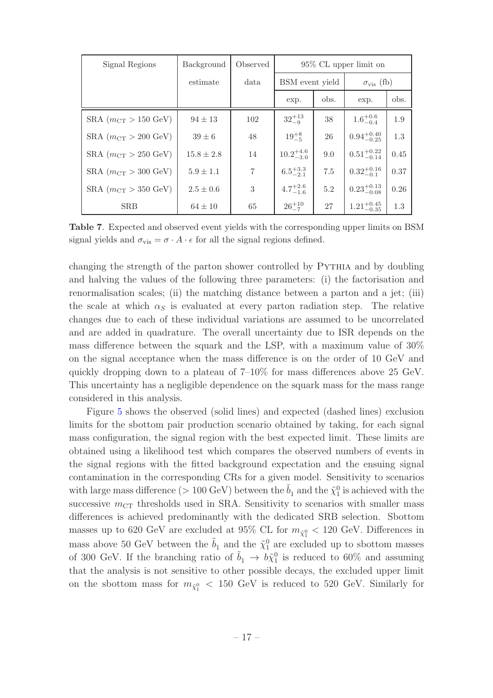| Signal Regions                          | Background     | Observed       | 95% CL upper limit on |      |                         |      |  |
|-----------------------------------------|----------------|----------------|-----------------------|------|-------------------------|------|--|
|                                         | estimate       | data           | BSM event yield       |      | $\sigma_{\rm vis}$ (fb) |      |  |
|                                         |                |                | exp.                  | obs. | exp.                    | obs. |  |
| SRA $(m_{\text{CT}} > 150 \text{ GeV})$ | $94 \pm 13$    | 102            | $32^{+13}_{-9}$       | 38   | $1.6^{+0.6}_{-0.4}$     | 1.9  |  |
| SRA $(m_{\text{CT}} > 200 \text{ GeV})$ | $39 \pm 6$     | 48             | $19^{+8}_{-5}$        | 26   | $0.94^{+0.40}_{-0.25}$  | 1.3  |  |
| SRA $(m_{\text{CT}} > 250 \text{ GeV})$ | $15.8 \pm 2.8$ | 14             | $10.2^{+4.6}_{-3.0}$  | 9.0  | $0.51^{+0.22}_{-0.14}$  | 0.45 |  |
| SRA $(m_{\text{CT}} > 300 \text{ GeV})$ | $5.9 \pm 1.1$  | $\overline{7}$ | $6.5^{+3.3}_{-2.1}$   | 7.5  | $0.32^{+0.16}_{-0.1}$   | 0.37 |  |
| SRA $(m_{\text{CT}} > 350 \text{ GeV})$ | $2.5 \pm 0.6$  | 3              | $4.7^{+2.6}_{-1.6}$   | 5.2  | $0.23_{-0.08}^{+0.13}$  | 0.26 |  |
| <b>SRB</b>                              | $64 \pm 10$    | 65             | $26^{+10}_{-7}$       | 27   | $1.21_{-0.35}^{+0.45}$  | 1.3  |  |

<span id="page-18-0"></span>Table 7. Expected and observed event yields with the corresponding upper limits on BSM signal yields and  $\sigma_{\text{vis}} = \sigma \cdot A \cdot \epsilon$  for all the signal regions defined.

changing the strength of the parton shower controlled by PYTHIA and by doubling and halving the values of the following three parameters: (i) the factorisation and renormalisation scales; (ii) the matching distance between a parton and a jet; (iii) the scale at which  $\alpha_S$  is evaluated at every parton radiation step. The relative changes due to each of these individual variations are assumed to be uncorrelated and are added in quadrature. The overall uncertainty due to ISR depends on the mass difference between the squark and the LSP, with a maximum value of 30% on the signal acceptance when the mass difference is on the order of 10 GeV and quickly dropping down to a plateau of  $7-10\%$  for mass differences above 25 GeV. This uncertainty has a negligible dependence on the squark mass for the mass range considered in this analysis.

Figure [5](#page-19-0) shows the observed (solid lines) and expected (dashed lines) exclusion limits for the sbottom pair production scenario obtained by taking, for each signal mass configuration, the signal region with the best expected limit. These limits are obtained using a likelihood test which compares the observed numbers of events in the signal regions with the fitted background expectation and the ensuing signal contamination in the corresponding CRs for a given model. Sensitivity to scenarios with large mass difference ( $> 100 \text{ GeV}$ ) between the  $\tilde{b}_1$  and the  $\tilde{\chi}^0_1$  is achieved with the successive  $m_{\text{CT}}$  thresholds used in SRA. Sensitivity to scenarios with smaller mass differences is achieved predominantly with the dedicated SRB selection. Sbottom masses up to 620 GeV are excluded at 95% CL for  $m_{\tilde{\chi}_1^0} < 120$  GeV. Differences in mass above 50 GeV between the  $\tilde{b}_1$  and the  $\tilde{\chi}^0_1$  are excluded up to sbottom masses of 300 GeV. If the branching ratio of  $\tilde{b}_1 \rightarrow b\tilde{\chi}_1^0$  is reduced to 60% and assuming that the analysis is not sensitive to other possible decays, the excluded upper limit on the sbottom mass for  $m_{\tilde{\chi}^0_1} < 150$  GeV is reduced to 520 GeV. Similarly for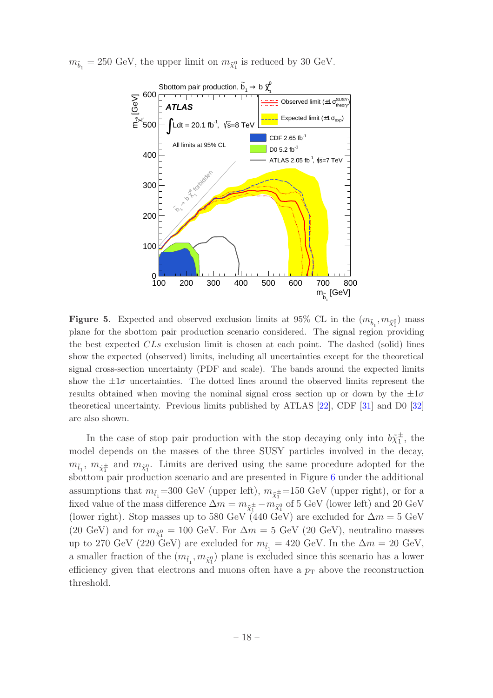$m_{\tilde{b}_1} = 250 \text{ GeV}$ , the upper limit on  $m_{\tilde{\chi}_1^0}$  is reduced by 30 GeV.



<span id="page-19-0"></span>**Figure 5.** Expected and observed exclusion limits at 95% CL in the  $(m_{\tilde{b}_1}, m_{\tilde{\chi}^0_1})$  mass plane for the sbottom pair production scenario considered. The signal region providing the best expected CLs exclusion limit is chosen at each point. The dashed (solid) lines show the expected (observed) limits, including all uncertainties except for the theoretical signal cross-section uncertainty (PDF and scale). The bands around the expected limits show the  $\pm 1\sigma$  uncertainties. The dotted lines around the observed limits represent the results obtained when moving the nominal signal cross section up or down by the  $\pm 1\sigma$ theoretical uncertainty. Previous limits published by ATLAS [\[22](#page-23-3)], CDF [\[31](#page-23-7)] and D0 [\[32\]](#page-23-8) are also shown.

In the case of stop pair production with the stop decaying only into  $b\tilde{\chi}_1^{\pm}$  $\frac{1}{1}$ , the model depends on the masses of the three SUSY particles involved in the decay,  $m_{\tilde{t}_1}$ ,  $m_{\tilde{\chi}_1^{\pm}}$  and  $m_{\tilde{\chi}_1^{0}}$ . Limits are derived using the same procedure adopted for the sbottom pair production scenario and are presented in Figure [6](#page-20-0) under the additional assumptions that  $m_{\tilde{t}_1}$ =300 GeV (upper left),  $m_{\tilde{\chi}_1^{\pm}}$ =150 GeV (upper right), or for a fixed value of the mass difference  $\Delta m = m_{\tilde{\chi}_1^\pm} - m_{\tilde{\chi}_1^0}$  of 5 GeV (lower left) and 20 GeV (lower right). Stop masses up to 580 GeV (440 GeV) are excluded for  $\Delta m = 5$  GeV (20 GeV) and for  $m_{\tilde{\chi}_{1}^{0}} = 100$  GeV. For  $\Delta m = 5$  GeV (20 GeV), neutralino masses up to 270 GeV (220 GeV) are excluded for  $m_{\tilde{t}_1} = 420$  GeV. In the  $\Delta m = 20$  GeV, a smaller fraction of the  $(m_{\tilde{t}_1}, m_{\tilde{\chi}_1^0})$  plane is excluded since this scenario has a lower efficiency given that electrons and muons often have a  $p<sub>T</sub>$  above the reconstruction threshold.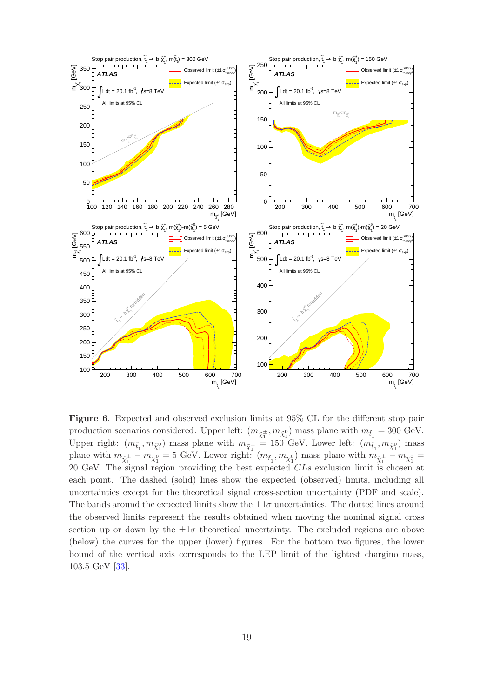

<span id="page-20-0"></span>Figure 6. Expected and observed exclusion limits at 95% CL for the different stop pair production scenarios considered. Upper left:  $(m_{\tilde{\chi}_1^{\pm}}, m_{\tilde{\chi}_1^0})$  mass plane with  $m_{\tilde{t}_1} = 300 \text{ GeV}$ . Upper right:  $(m_{\tilde{t}_1}, m_{\tilde{\chi}_1^0})$  mass plane with  $m_{\tilde{\chi}_1^{\pm}} = 150$  GeV. Lower left:  $(m_{\tilde{t}_1}, m_{\tilde{\chi}_1^0})$  mass plane with  $m_{\tilde{\chi}_1^{\pm}} - m_{\tilde{\chi}_1^0} = 5$  GeV. Lower right:  $(m_{\tilde{t}_1}, m_{\tilde{\chi}_1^0})$  mass plane with  $m_{\tilde{\chi}_1^{\pm}} - m_{\tilde{\chi}_1^0} =$ 20 GeV. The signal region providing the best expected CLs exclusion limit is chosen at each point. The dashed (solid) lines show the expected (observed) limits, including all uncertainties except for the theoretical signal cross-section uncertainty (PDF and scale). The bands around the expected limits show the  $\pm 1\sigma$  uncertainties. The dotted lines around the observed limits represent the results obtained when moving the nominal signal cross section up or down by the  $\pm 1\sigma$  theoretical uncertainty. The excluded regions are above (below) the curves for the upper (lower) figures. For the bottom two figures, the lower bound of the vertical axis corresponds to the LEP limit of the lightest chargino mass, 103.5 GeV [\[33\]](#page-24-0).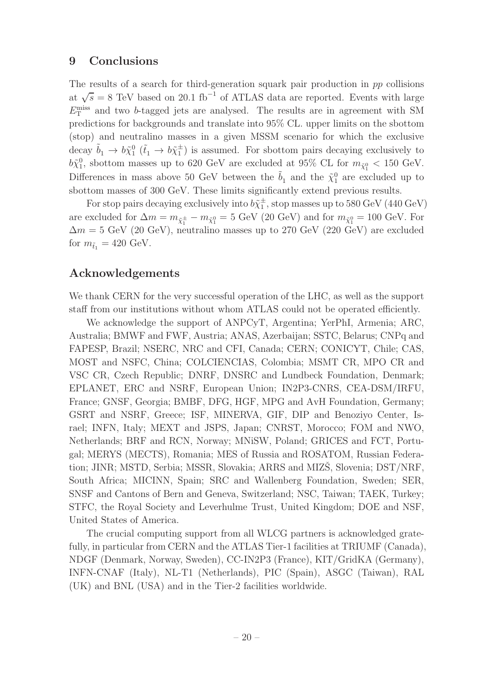## <span id="page-21-0"></span>9 Conclusions

The results of a search for third-generation squark pair production in pp collisions at  $\sqrt{s} = 8$  TeV based on 20.1 fb<sup>-1</sup> of ATLAS data are reported. Events with large  $E_{\rm T}^{\rm miss}$  and two b-tagged jets are analysed. The results are in agreement with SM predictions for backgrounds and translate into 95% CL. upper limits on the sbottom (stop) and neutralino masses in a given MSSM scenario for which the exclusive decay  $\tilde{b}_1 \to b \tilde{\chi}_1^0$  ( $\tilde{t}_1 \to b \tilde{\chi}_1^{\pm}$  $_{1}^{\pm}$ ) is assumed. For sbottom pairs decaying exclusively to  $b\tilde{\chi}_1^0$ , sbottom masses up to 620 GeV are excluded at 95% CL for  $m_{\tilde{\chi}_1^0} < 150$  GeV. Differences in mass above 50 GeV between the  $\tilde{b}_1$  and the  $\tilde{\chi}_1^0$  are excluded up to sbottom masses of 300 GeV. These limits significantly extend previous results.

For stop pairs decaying exclusively into  $b\tilde{\chi}^{\pm}_{1}$  $_1^{\pm}$ , stop masses up to 580 GeV (440 GeV) are excluded for  $\Delta m = m_{\tilde{\chi}_1^{\pm}} - m_{\tilde{\chi}_1^0} = 5 \text{ GeV}$  (20 GeV) and for  $m_{\tilde{\chi}_1^0} = 100 \text{ GeV}$ . For  $\Delta m = 5$  GeV (20 GeV), neutralino masses up to 270 GeV (220 GeV) are excluded for  $m_{\tilde{t}_1} = 420 \text{ GeV}.$ 

## Acknowledgements

We thank CERN for the very successful operation of the LHC, as well as the support staff from our institutions without whom ATLAS could not be operated efficiently.

We acknowledge the support of ANPCyT, Argentina; YerPhI, Armenia; ARC, Australia; BMWF and FWF, Austria; ANAS, Azerbaijan; SSTC, Belarus; CNPq and FAPESP, Brazil; NSERC, NRC and CFI, Canada; CERN; CONICYT, Chile; CAS, MOST and NSFC, China; COLCIENCIAS, Colombia; MSMT CR, MPO CR and VSC CR, Czech Republic; DNRF, DNSRC and Lundbeck Foundation, Denmark; EPLANET, ERC and NSRF, European Union; IN2P3-CNRS, CEA-DSM/IRFU, France; GNSF, Georgia; BMBF, DFG, HGF, MPG and AvH Foundation, Germany; GSRT and NSRF, Greece; ISF, MINERVA, GIF, DIP and Benoziyo Center, Israel; INFN, Italy; MEXT and JSPS, Japan; CNRST, Morocco; FOM and NWO, Netherlands; BRF and RCN, Norway; MNiSW, Poland; GRICES and FCT, Portugal; MERYS (MECTS), Romania; MES of Russia and ROSATOM, Russian Federation; JINR; MSTD, Serbia; MSSR, Slovakia; ARRS and MIZS, Slovenia; DST/NRF, South Africa; MICINN, Spain; SRC and Wallenberg Foundation, Sweden; SER, SNSF and Cantons of Bern and Geneva, Switzerland; NSC, Taiwan; TAEK, Turkey; STFC, the Royal Society and Leverhulme Trust, United Kingdom; DOE and NSF, United States of America.

The crucial computing support from all WLCG partners is acknowledged gratefully, in particular from CERN and the ATLAS Tier-1 facilities at TRIUMF (Canada), NDGF (Denmark, Norway, Sweden), CC-IN2P3 (France), KIT/GridKA (Germany), INFN-CNAF (Italy), NL-T1 (Netherlands), PIC (Spain), ASGC (Taiwan), RAL (UK) and BNL (USA) and in the Tier-2 facilities worldwide.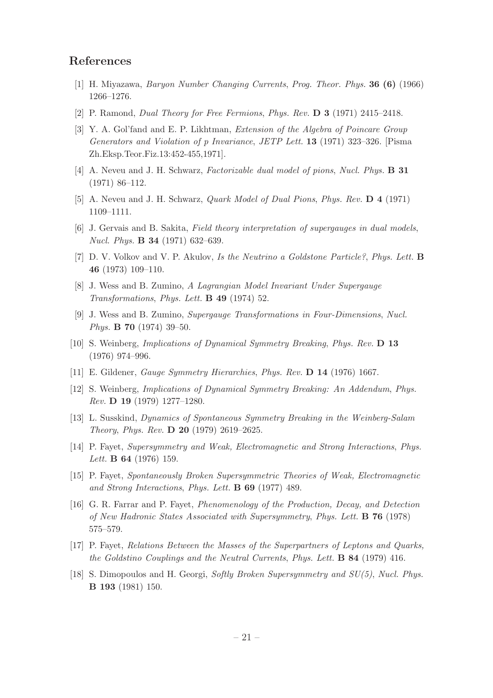## References

- <span id="page-22-0"></span>[1] H. Miyazawa, Baryon Number Changing Currents, Prog. Theor. Phys. 36 (6) (1966) 1266–1276.
- [2] P. Ramond, Dual Theory for Free Fermions, Phys. Rev. D 3 (1971) 2415–2418.
- [3] Y. A. Gol'fand and E. P. Likhtman, Extension of the Algebra of Poincare Group Generators and Violation of p Invariance, JETP Lett. 13 (1971) 323–326. [Pisma Zh.Eksp.Teor.Fiz.13:452-455,1971].
- [4] A. Neveu and J. H. Schwarz, Factorizable dual model of pions, Nucl. Phys. B 31 (1971) 86–112.
- [5] A. Neveu and J. H. Schwarz, Quark Model of Dual Pions, Phys. Rev. D 4 (1971) 1109–1111.
- [6] J. Gervais and B. Sakita, Field theory interpretation of supergauges in dual models, Nucl. Phys. B 34 (1971) 632–639.
- [7] D. V. Volkov and V. P. Akulov, Is the Neutrino a Goldstone Particle?, Phys. Lett. B 46 (1973) 109–110.
- [8] J. Wess and B. Zumino, A Lagrangian Model Invariant Under Supergauge Transformations, Phys. Lett. B 49 (1974) 52.
- <span id="page-22-1"></span>[9] J. Wess and B. Zumino, Supergauge Transformations in Four-Dimensions, Nucl. Phys. B 70 (1974) 39–50.
- <span id="page-22-2"></span>[10] S. Weinberg, Implications of Dynamical Symmetry Breaking, Phys. Rev. D 13 (1976) 974–996.
- [11] E. Gildener, Gauge Symmetry Hierarchies, Phys. Rev. D 14 (1976) 1667.
- [12] S. Weinberg, Implications of Dynamical Symmetry Breaking: An Addendum, Phys. Rev. D 19 (1979) 1277–1280.
- <span id="page-22-3"></span>[13] L. Susskind, Dynamics of Spontaneous Symmetry Breaking in the Weinberg-Salam Theory, Phys. Rev. D 20 (1979) 2619–2625.
- <span id="page-22-4"></span>[14] P. Fayet, Supersymmetry and Weak, Electromagnetic and Strong Interactions, Phys. Lett. **B 64** (1976) 159.
- [15] P. Fayet, Spontaneously Broken Supersymmetric Theories of Weak, Electromagnetic and Strong Interactions, Phys. Lett. B 69 (1977) 489.
- [16] G. R. Farrar and P. Fayet, Phenomenology of the Production, Decay, and Detection of New Hadronic States Associated with Supersymmetry, Phys. Lett. B 76 (1978) 575–579.
- [17] P. Fayet, Relations Between the Masses of the Superpartners of Leptons and Quarks, the Goldstino Couplings and the Neutral Currents, Phys. Lett. B 84 (1979) 416.
- <span id="page-22-5"></span>[18] S. Dimopoulos and H. Georgi, Softly Broken Supersymmetry and SU(5), Nucl. Phys. B 193 (1981) 150.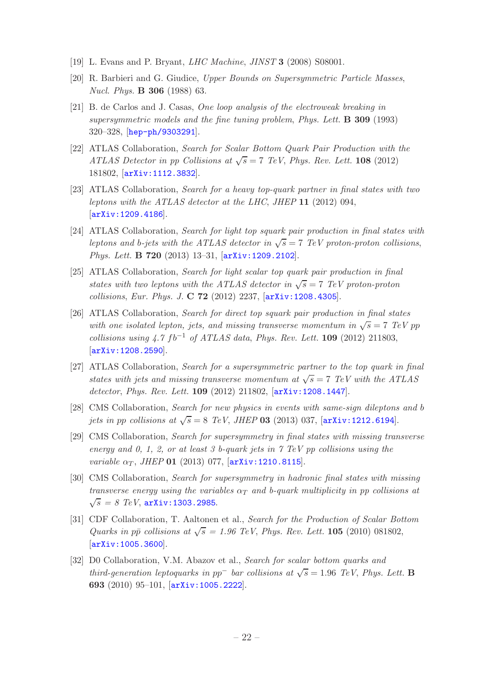- <span id="page-23-0"></span>[19] L. Evans and P. Bryant, LHC Machine, JINST 3 (2008) S08001.
- <span id="page-23-1"></span>[20] R. Barbieri and G. Giudice, Upper Bounds on Supersymmetric Particle Masses, Nucl. Phys. B 306 (1988) 63.
- <span id="page-23-2"></span>[21] B. de Carlos and J. Casas, One loop analysis of the electroweak breaking in supersymmetric models and the fine tuning problem, Phys. Lett. **B** 309 (1993) 320–328, [[hep-ph/9303291](http://xxx.lanl.gov/abs/hep-ph/9303291)].
- <span id="page-23-3"></span>[22] ATLAS Collaboration, Search for Scalar Bottom Quark Pair Production with the ATLAS Detector in pp Collisions at  $\sqrt{s} = 7$  TeV, Phys. Rev. Lett. 108 (2012) 181802, [[arXiv:1112.3832](http://xxx.lanl.gov/abs/1112.3832)].
- [23] ATLAS Collaboration, Search for a heavy top-quark partner in final states with two leptons with the ATLAS detector at the LHC, JHEP 11 (2012) 094, [[arXiv:1209.4186](http://xxx.lanl.gov/abs/1209.4186)].
- [24] ATLAS Collaboration, Search for light top squark pair production in final states with leptons and b-jets with the ATLAS detector in  $\sqrt{s} = 7$  TeV proton-proton collisions, Phys. Lett. B 720 (2013) 13–31, [[arXiv:1209.2102](http://xxx.lanl.gov/abs/1209.2102)].
- [25] ATLAS Collaboration, Search for light scalar top quark pair production in final states with two leptons with the ATLAS detector in  $\sqrt{s} = 7$  TeV proton-proton collisions, Eur. Phys. J. C 72 (2012) 2237, [[arXiv:1208.4305](http://xxx.lanl.gov/abs/1208.4305)].
- [26] ATLAS Collaboration, Search for direct top squark pair production in final states with one isolated lepton, jets, and missing transverse momentum in  $\sqrt{s} = 7$  TeV pp collisions using  $4.7$  fb<sup>-1</sup> of ATLAS data, Phys. Rev. Lett. 109 (2012) 211803, [[arXiv:1208.2590](http://xxx.lanl.gov/abs/1208.2590)].
- <span id="page-23-4"></span>[27] ATLAS Collaboration, Search for a supersymmetric partner to the top quark in final states with jets and missing transverse momentum at  $\sqrt{s} = 7$  TeV with the ATLAS detector, Phys. Rev. Lett. 109 (2012) 211802, [[arXiv:1208.1447](http://xxx.lanl.gov/abs/1208.1447)].
- <span id="page-23-5"></span>[28] CMS Collaboration, Search for new physics in events with same-sign dileptons and b jets in pp collisions at  $\sqrt{s} = 8$  TeV, JHEP 03 (2013) 037, [[arXiv:1212.6194](http://xxx.lanl.gov/abs/1212.6194)].
- [29] CMS Collaboration, Search for supersymmetry in final states with missing transverse energy and 0, 1, 2, or at least 3 b-quark jets in  $\gamma$  TeV pp collisions using the variable  $\alpha_T$ , JHEP 01 (2013) 077,  $\alpha$ xiv:1210.8115.
- <span id="page-23-6"></span>[30] CMS Collaboration, Search for supersymmetry in hadronic final states with missing transverse energy using the variables  $\alpha_T$  and b-quark multiplicity in pp collisions at  $\sqrt{s} = 8$  TeV, [arXiv:1303.2985](http://xxx.lanl.gov/abs/1303.2985).
- <span id="page-23-7"></span>[31] CDF Collaboration, T. Aaltonen et al., Search for the Production of Scalar Bottom Quarks in pp̄ collisions at  $\sqrt{s} = 1.96$  TeV, Phys. Rev. Lett. 105 (2010) 081802, [[arXiv:1005.3600](http://xxx.lanl.gov/abs/1005.3600)].
- <span id="page-23-8"></span>[32] D0 Collaboration, V.M. Abazov et al., Search for scalar bottom quarks and third-generation leptoquarks in pp<sup>-</sup> bar collisions at  $\sqrt{s} = 1.96$  TeV, Phys. Lett. **B** 693 (2010) 95–101, [[arXiv:1005.2222](http://xxx.lanl.gov/abs/1005.2222)].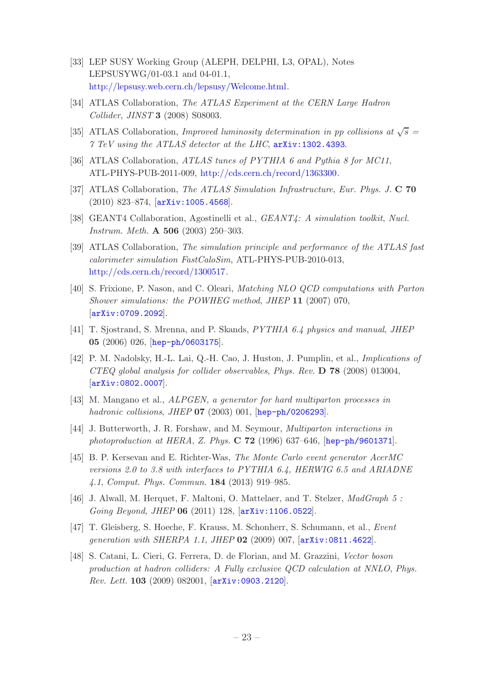- <span id="page-24-0"></span>[33] LEP SUSY Working Group (ALEPH, DELPHI, L3, OPAL), Notes LEPSUSYWG/01-03.1 and 04-01.1, [http://lepsusy.web.cern.ch/lepsusy/Welcome.html.](http://lepsusy.web.cern.ch/lepsusy/Welcome.html)
- <span id="page-24-1"></span>[34] ATLAS Collaboration, The ATLAS Experiment at the CERN Large Hadron Collider, JINST 3 (2008) S08003.
- <span id="page-24-2"></span>[35] ATLAS Collaboration, *Improved luminosity determination in pp collisions at*  $\sqrt{s}$  = 7 TeV using the ATLAS detector at the LHC, [arXiv:1302.4393](http://xxx.lanl.gov/abs/1302.4393).
- <span id="page-24-3"></span>[36] ATLAS Collaboration, ATLAS tunes of PYTHIA 6 and Puthia 8 for MC11, ATL-PHYS-PUB-2011-009, [http://cds.cern.ch/record/1363300.](http://cds.cern.ch/record/1363300)
- <span id="page-24-4"></span>[37] ATLAS Collaboration, The ATLAS Simulation Infrastructure, Eur. Phys. J. C 70 (2010) 823–874, [[arXiv:1005.4568](http://xxx.lanl.gov/abs/1005.4568)].
- <span id="page-24-5"></span>[38] GEANT4 Collaboration, Agostinelli et al., GEANT4: A simulation toolkit, Nucl. Instrum. Meth. A 506 (2003) 250–303.
- <span id="page-24-6"></span>[39] ATLAS Collaboration, The simulation principle and performance of the ATLAS fast calorimeter simulation FastCaloSim, ATL-PHYS-PUB-2010-013, [http://cds.cern.ch/record/1300517.](http://cds.cern.ch/record/1300517)
- <span id="page-24-7"></span>[40] S. Frixione, P. Nason, and C. Oleari, Matching NLO QCD computations with Parton Shower simulations: the POWHEG method, JHEP 11 (2007) 070, [[arXiv:0709.2092](http://xxx.lanl.gov/abs/0709.2092)].
- <span id="page-24-8"></span>[41] T. Sjostrand, S. Mrenna, and P. Skands, PYTHIA 6.4 physics and manual, JHEP 05 (2006) 026, [[hep-ph/0603175](http://xxx.lanl.gov/abs/hep-ph/0603175)].
- <span id="page-24-9"></span>[42] P. M. Nadolsky, H.-L. Lai, Q.-H. Cao, J. Huston, J. Pumplin, et al., Implications of CTEQ global analysis for collider observables, Phys. Rev. D 78 (2008) 013004, [[arXiv:0802.0007](http://xxx.lanl.gov/abs/0802.0007)].
- <span id="page-24-10"></span>[43] M. Mangano et al., ALPGEN, a generator for hard multiparton processes in hadronic collisions, JHEP 07 (2003) 001, [[hep-ph/0206293](http://xxx.lanl.gov/abs/hep-ph/0206293)].
- <span id="page-24-11"></span>[44] J. Butterworth, J. R. Forshaw, and M. Seymour, Multiparton interactions in photoproduction at HERA, Z. Phys. C 72 (1996) 637–646, [[hep-ph/9601371](http://xxx.lanl.gov/abs/hep-ph/9601371)].
- <span id="page-24-12"></span>[45] B. P. Kersevan and E. Richter-Was, The Monte Carlo event generator AcerMC versions 2.0 to 3.8 with interfaces to PYTHIA 6.4, HERWIG 6.5 and ARIADNE 4.1, Comput. Phys. Commun. 184 (2013) 919–985.
- <span id="page-24-13"></span>[46] J. Alwall, M. Herquet, F. Maltoni, O. Mattelaer, and T. Stelzer, MadGraph 5 : Going Beyond, JHEP 06 (2011) 128, [[arXiv:1106.0522](http://xxx.lanl.gov/abs/1106.0522)].
- <span id="page-24-14"></span>[47] T. Gleisberg, S. Hoeche, F. Krauss, M. Schonherr, S. Schumann, et al., Event generation with SHERPA 1.1, JHEP 02 (2009) 007, [[arXiv:0811.4622](http://xxx.lanl.gov/abs/0811.4622)].
- <span id="page-24-15"></span>[48] S. Catani, L. Cieri, G. Ferrera, D. de Florian, and M. Grazzini, Vector boson production at hadron colliders: A Fully exclusive QCD calculation at NNLO, Phys. Rev. Lett. 103 (2009) 082001, [[arXiv:0903.2120](http://xxx.lanl.gov/abs/0903.2120)].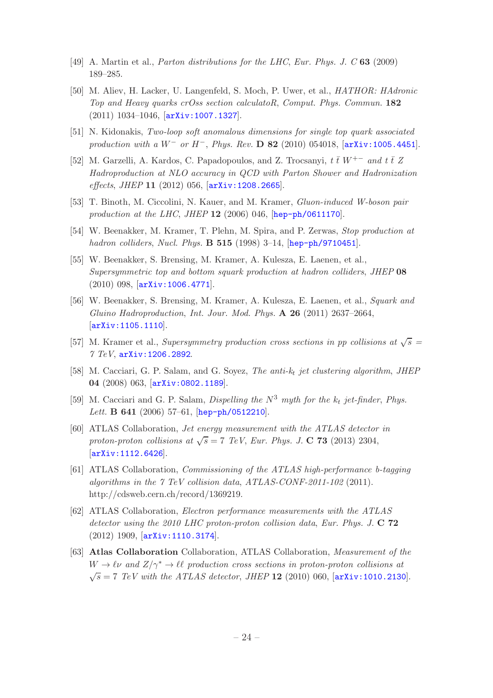- <span id="page-25-0"></span>[49] A. Martin et al., Parton distributions for the LHC, Eur. Phys. J. C 63 (2009) 189–285.
- <span id="page-25-1"></span>[50] M. Aliev, H. Lacker, U. Langenfeld, S. Moch, P. Uwer, et al., HATHOR: HAdronic Top and Heavy quarks crOss section calculatoR, Comput. Phys. Commun. 182 (2011) 1034–1046, [[arXiv:1007.1327](http://xxx.lanl.gov/abs/1007.1327)].
- <span id="page-25-2"></span>[51] N. Kidonakis, Two-loop soft anomalous dimensions for single top quark associated production with a  $W^-$  or  $H^-$ , Phys. Rev. D 82 (2010) 054018, [[arXiv:1005.4451](http://xxx.lanl.gov/abs/1005.4451)].
- <span id="page-25-3"></span>[52] M. Garzelli, A. Kardos, C. Papadopoulos, and Z. Trocsanyi,  $t \bar{t} W^{+-}$  and  $t \bar{t} Z$ Hadroproduction at NLO accuracy in QCD with Parton Shower and Hadronization effects, JHEP 11 (2012) 056, [[arXiv:1208.2665](http://xxx.lanl.gov/abs/1208.2665)].
- <span id="page-25-4"></span>[53] T. Binoth, M. Ciccolini, N. Kauer, and M. Kramer, Gluon-induced W-boson pair production at the LHC, JHEP  $12$  (2006) 046, [[hep-ph/0611170](http://xxx.lanl.gov/abs/hep-ph/0611170)].
- <span id="page-25-5"></span>[54] W. Beenakker, M. Kramer, T. Plehn, M. Spira, and P. Zerwas, Stop production at hadron colliders, Nucl. Phys. **B 515** (1998) 3-14, [[hep-ph/9710451](http://xxx.lanl.gov/abs/hep-ph/9710451)].
- [55] W. Beenakker, S. Brensing, M. Kramer, A. Kulesza, E. Laenen, et al., Supersymmetric top and bottom squark production at hadron colliders, JHEP 08 (2010) 098, [[arXiv:1006.4771](http://xxx.lanl.gov/abs/1006.4771)].
- <span id="page-25-6"></span>[56] W. Beenakker, S. Brensing, M. Kramer, A. Kulesza, E. Laenen, et al., Squark and Gluino Hadroproduction, Int. Jour. Mod. Phys. A 26 (2011) 2637–2664, [[arXiv:1105.1110](http://xxx.lanl.gov/abs/1105.1110)].
- <span id="page-25-7"></span>[57] M. Kramer et al., Supersymmetry production cross sections in pp collisions at  $\sqrt{s}$  = 7 TeV, [arXiv:1206.2892](http://xxx.lanl.gov/abs/1206.2892).
- <span id="page-25-8"></span>[58] M. Cacciari, G. P. Salam, and G. Soyez, *The anti-k<sub>t</sub>* jet clustering algorithm, *JHEP* 04 (2008) 063, [[arXiv:0802.1189](http://xxx.lanl.gov/abs/0802.1189)].
- <span id="page-25-9"></span>[59] M. Cacciari and G. P. Salam, *Dispelling the*  $N^3$  myth for the  $k_t$  jet-finder, Phys. Lett. B 641 (2006) 57-61, [[hep-ph/0512210](http://xxx.lanl.gov/abs/hep-ph/0512210)].
- <span id="page-25-10"></span>[60] ATLAS Collaboration, Jet energy measurement with the ATLAS detector in proton-proton collisions at  $\sqrt{s} = 7$  TeV, Eur. Phys. J. C 73 (2013) 2304, [[arXiv:1112.6426](http://xxx.lanl.gov/abs/1112.6426)].
- <span id="page-25-11"></span>[61] ATLAS Collaboration, Commissioning of the ATLAS high-performance b-tagging algorithms in the 7 TeV collision data, ATLAS-CONF-2011-102 (2011). http://cdsweb.cern.ch/record/1369219.
- <span id="page-25-12"></span>[62] ATLAS Collaboration, Electron performance measurements with the ATLAS detector using the 2010 LHC proton-proton collision data, Eur. Phys. J. C 72 (2012) 1909, [[arXiv:1110.3174](http://xxx.lanl.gov/abs/1110.3174)].
- <span id="page-25-13"></span>[63] Atlas Collaboration Collaboration, ATLAS Collaboration, Measurement of the  $W \to \ell \nu$  and  $Z/\gamma^* \to \ell \ell$  production cross sections in proton-proton collisions at  $\sqrt{s} = 7$  TeV with the ATLAS detector, JHEP 12 (2010) 060,  $[$ [arXiv:1010.2130](http://xxx.lanl.gov/abs/1010.2130)].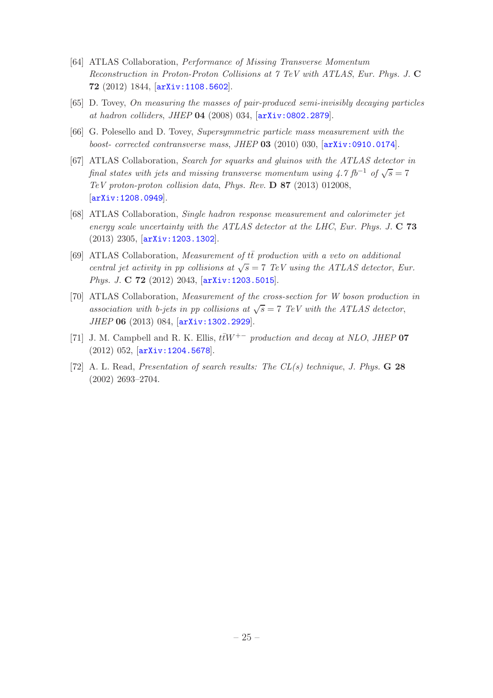- <span id="page-26-0"></span>[64] ATLAS Collaboration, Performance of Missing Transverse Momentum Reconstruction in Proton-Proton Collisions at 7 TeV with ATLAS, Eur. Phys. J. C 72 (2012) 1844, [[arXiv:1108.5602](http://xxx.lanl.gov/abs/1108.5602)].
- <span id="page-26-1"></span>[65] D. Tovey, On measuring the masses of pair-produced semi-invisibly decaying particles at hadron colliders, JHEP 04 (2008) 034, [[arXiv:0802.2879](http://xxx.lanl.gov/abs/0802.2879)].
- <span id="page-26-2"></span>[66] G. Polesello and D. Tovey, Supersymmetric particle mass measurement with the boost- corrected contransverse mass, JHEP 03 (2010) 030, [[arXiv:0910.0174](http://xxx.lanl.gov/abs/0910.0174)].
- <span id="page-26-3"></span>[67] ATLAS Collaboration, Search for squarks and gluinos with the ATLAS detector in final states with jets and missing transverse momentum using  $4.7 f b^{-1}$  of  $\sqrt{s} = 7$  $TeV$  proton-proton collision data, Phys. Rev.  $\bf{D} 87$  (2013) 012008, [[arXiv:1208.0949](http://xxx.lanl.gov/abs/1208.0949)].
- <span id="page-26-4"></span>[68] ATLAS Collaboration, Single hadron response measurement and calorimeter jet energy scale uncertainty with the ATLAS detector at the LHC, Eur. Phys. J. C 73 (2013) 2305, [[arXiv:1203.1302](http://xxx.lanl.gov/abs/1203.1302)].
- <span id="page-26-5"></span>[69] ATLAS Collaboration, Measurement of  $t\bar{t}$  production with a veto on additional central jet activity in pp collisions at  $\sqrt{s} = 7$  TeV using the ATLAS detector, Eur. Phys. J. C 72 (2012) 2043, [[arXiv:1203.5015](http://xxx.lanl.gov/abs/1203.5015)].
- <span id="page-26-6"></span>[70] ATLAS Collaboration, Measurement of the cross-section for W boson production in association with b-jets in pp collisions at  $\sqrt{s} = 7$  TeV with the ATLAS detector, JHEP 06 (2013) 084, [[arXiv:1302.2929](http://xxx.lanl.gov/abs/1302.2929)].
- <span id="page-26-7"></span>[71] J. M. Campbell and R. K. Ellis,  $t\bar{t}W^{+-}$  production and decay at NLO, JHEP 07 (2012) 052, [[arXiv:1204.5678](http://xxx.lanl.gov/abs/1204.5678)].
- <span id="page-26-8"></span>[72] A. L. Read, Presentation of search results: The  $CL(s)$  technique, J. Phys. **G 28** (2002) 2693–2704.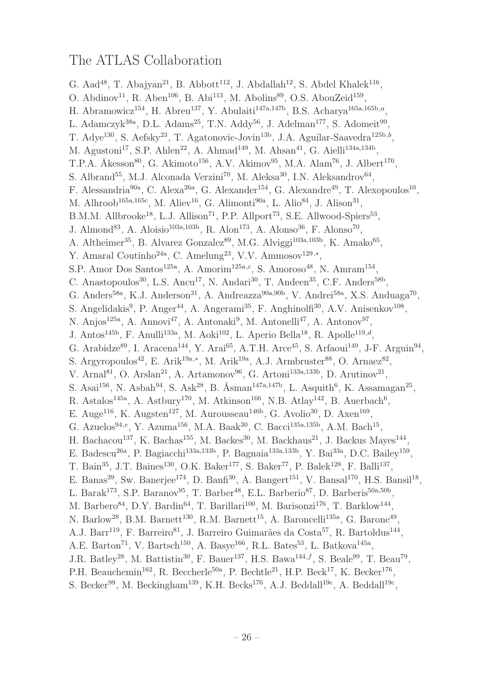## The ATLAS Collaboration

G. Aad<sup>48</sup>, T. Abajyan<sup>21</sup>, B. Abbott<sup>112</sup>, J. Abdallah<sup>12</sup>, S. Abdel Khalek<sup>116</sup>, O. Abdinov<sup>11</sup>, R. Aben<sup>106</sup>, B. Abi<sup>113</sup>, M. Abolins<sup>89</sup>, O.S. AbouZeid<sup>159</sup>, H. Abramowicz<sup>154</sup>, H. Abreu<sup>137</sup>, Y. Abulaiti<sup>147a,147b</sup>, B.S. Acharya<sup>165a,165b,a</sup>, L. Adamczyk<sup>38a</sup>, D.L. Adams<sup>25</sup>, T.N. Addy<sup>56</sup>, J. Adelman<sup>177</sup>, S. Adomeit<sup>99</sup>, T. Adye<sup>130</sup>, S. Aefsky<sup>23</sup>, T. Agatonovic-Jovin<sup>13b</sup>, J.A. Aguilar-Saavedra<sup>125b,b</sup>, M. Agustoni<sup>17</sup>, S.P. Ahlen<sup>22</sup>, A. Ahmad<sup>149</sup>, M. Ahsan<sup>41</sup>, G. Aielli<sup>134a,134b</sup>, T.P.A. Åkesson<sup>80</sup>, G. Akimoto<sup>156</sup>, A.V. Akimov<sup>95</sup>, M.A. Alam<sup>76</sup>, J. Albert<sup>170</sup>, S. Albrand<sup>55</sup>, M.J. Alconada Verzini<sup>70</sup>, M. Aleksa<sup>30</sup>, I.N. Aleksandrov<sup>64</sup>, F. Alessandria<sup>90a</sup>, C. Alexa<sup>26a</sup>, G. Alexander<sup>154</sup>, G. Alexandre<sup>49</sup>, T. Alexopoulos<sup>10</sup>, M. Alhroob<sup>165a,165c</sup>, M. Aliev<sup>16</sup>, G. Alimonti<sup>90a</sup>, L. Alio<sup>84</sup>, J. Alison<sup>31</sup>, B.M.M. Allbrooke<sup>18</sup>, L.J. Allison<sup>71</sup>, P.P. Allport<sup>73</sup>, S.E. Allwood-Spiers<sup>53</sup>, J. Almond<sup>83</sup>, A. Aloisio<sup>103a,103b</sup>, R. Alon<sup>173</sup>, A. Alonso<sup>36</sup>, F. Alonso<sup>70</sup>, A. Altheimer<sup>35</sup>, B. Alvarez Gonzalez<sup>89</sup>, M.G. Alviggi<sup>103a,103b</sup>, K. Amako<sup>65</sup>, Y. Amaral Coutinho<sup>24a</sup>, C. Amelung<sup>23</sup>, V.V. Ammosov<sup>129,∗</sup>, S.P. Amor Dos Santos<sup>125a</sup>, A. Amorim<sup>125a,c</sup>, S. Amoroso<sup>48</sup>, N. Amram<sup>154</sup>, C. Anastopoulos<sup>30</sup>, L.S. Ancu<sup>17</sup>, N. Andari<sup>30</sup>, T. Andeen<sup>35</sup>, C.F. Anders<sup>58b</sup>, G. Anders<sup>58a</sup>, K.J. Anderson<sup>31</sup>, A. Andreazza<sup>90a,90b</sup>, V. Andrei<sup>58a</sup>, X.S. Anduaga<sup>70</sup>, S. Angelidakis<sup>9</sup>, P. Anger<sup>44</sup>, A. Angerami<sup>35</sup>, F. Anghinolfi<sup>30</sup>, A.V. Anisenkov<sup>108</sup>, N. Anjos<sup>125a</sup>, A. Annovi<sup>47</sup>, A. Antonaki<sup>9</sup>, M. Antonelli<sup>47</sup>, A. Antonov<sup>97</sup>, J. Antos<sup>145b</sup>, F. Anulli<sup>133a</sup>, M. Aoki<sup>102</sup>, L. Aperio Bella<sup>18</sup>, R. Apolle<sup>119,d</sup>, G. Arabidze<sup>89</sup>, I. Aracena<sup>144</sup>, Y. Arai<sup>65</sup>, A.T.H. Arce<sup>45</sup>, S. Arfaoui<sup>149</sup>, J-F. Arguin<sup>94</sup>, S. Argyropoulos<sup>42</sup>, E. Arik<sup>19a,\*</sup>, M. Arik<sup>19a</sup>, A.J. Armbruster<sup>88</sup>, O. Arnaez<sup>82</sup>, V. Arnal<sup>81</sup>, O. Arslan<sup>21</sup>, A. Artamonov<sup>96</sup>, G. Artoni<sup>133a,133b</sup>, D. Arutinov<sup>21</sup>, S. Asai<sup>156</sup>, N. Asbah<sup>94</sup>, S. Ask<sup>28</sup>, B. Åsman<sup>147a,147b</sup>, L. Asquith<sup>6</sup>, K. Assamagan<sup>25</sup>, R. Astalos<sup>145a</sup>, A. Astbury<sup>170</sup>, M. Atkinson<sup>166</sup>, N.B. Atlay<sup>142</sup>, B. Auerbach<sup>6</sup>, E. Auge<sup>116</sup>, K. Augsten<sup>127</sup>, M. Aurousseau<sup>146b</sup>, G. Avolio<sup>30</sup>, D. Axen<sup>169</sup>, G. Azuelos<sup>94,e</sup>, Y. Azuma<sup>156</sup>, M.A. Baak<sup>30</sup>, C. Bacci<sup>135a,135b</sup>, A.M. Bach<sup>15</sup>, H. Bachacou<sup>137</sup>, K. Bachas<sup>155</sup>, M. Backes<sup>30</sup>, M. Backhaus<sup>21</sup>, J. Backus Mayes<sup>144</sup>, E. Badescu<sup>26a</sup>, P. Bagiacchi<sup>133a,133b</sup>, P. Bagnaia<sup>133a,133b</sup>, Y. Bai<sup>33a</sup>, D.C. Bailey<sup>159</sup>, T. Bain<sup>35</sup>, J.T. Baines<sup>130</sup>, O.K. Baker<sup>177</sup>, S. Baker<sup>77</sup>, P. Balek<sup>128</sup>, F. Balli<sup>137</sup>, E. Banas<sup>39</sup>, Sw. Banerjee<sup>174</sup>, D. Banfi<sup>30</sup>, A. Bangert<sup>151</sup>, V. Bansal<sup>170</sup>, H.S. Bansil<sup>18</sup>, L. Barak<sup>173</sup>, S.P. Baranov<sup>95</sup>, T. Barber<sup>48</sup>, E.L. Barberio<sup>87</sup>, D. Barberis<sup>50a,50b</sup>, M. Barbero<sup>84</sup>, D.Y. Bardin<sup>64</sup>, T. Barillari<sup>100</sup>, M. Barisonzi<sup>176</sup>, T. Barklow<sup>144</sup>, N. Barlow<sup>28</sup>, B.M. Barnett<sup>130</sup>, R.M. Barnett<sup>15</sup>, A. Baroncelli<sup>135a</sup>, G. Barone<sup>49</sup>, A.J. Barr<sup>119</sup>, F. Barreiro<sup>81</sup>, J. Barreiro Guimarães da Costa<sup>57</sup>, R. Bartoldus<sup>144</sup>, A.E. Barton<sup>71</sup>, V. Bartsch<sup>150</sup>, A. Basye<sup>166</sup>, R.L. Bates<sup>53</sup>, L. Batkova<sup>145a</sup>, J.R. Batley<sup>28</sup>, M. Battistin<sup>30</sup>, F. Bauer<sup>137</sup>, H.S. Bawa<sup>144,f</sup>, S. Beale<sup>99</sup>, T. Beau<sup>79</sup>, P.H. Beauchemin<sup>162</sup>, R. Beccherle<sup>50a</sup>, P. Bechtle<sup>21</sup>, H.P. Beck<sup>17</sup>, K. Becker<sup>176</sup>,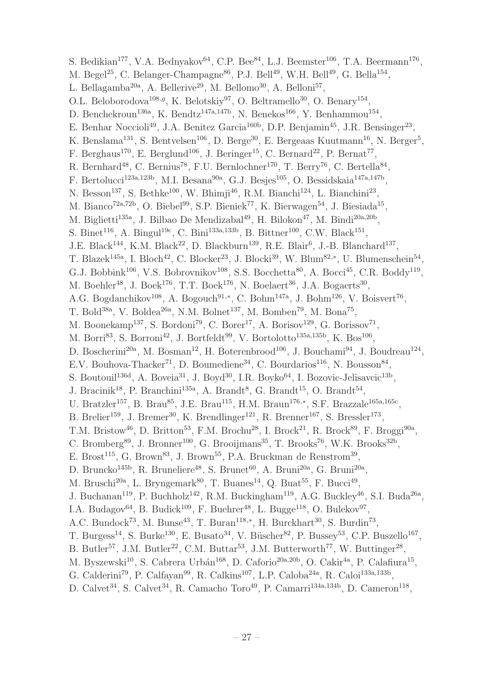S. Bedikian<sup>177</sup>, V.A. Bednyakov<sup>64</sup>, C.P. Bee<sup>84</sup>, L.J. Beemster<sup>106</sup>, T.A. Beermann<sup>176</sup>, M. Begel<sup>25</sup>, C. Belanger-Champagne<sup>86</sup>, P.J. Bell<sup>49</sup>, W.H. Bell<sup>49</sup>, G. Bella<sup>154</sup>, L. Bellagamba<sup>20a</sup>, A. Bellerive<sup>29</sup>, M. Bellomo<sup>30</sup>, A. Belloni<sup>57</sup>, O.L. Beloborodova<sup>108,g</sup>, K. Belotskiy<sup>97</sup>, O. Beltramello<sup>30</sup>, O. Benary<sup>154</sup>, D. Benchekroun<sup>136a</sup>, K. Bendtz<sup>147a,147b</sup>, N. Benekos<sup>166</sup>, Y. Benhammou<sup>154</sup>, E. Benhar Noccioli<sup>49</sup>, J.A. Benitez Garcia<sup>160b</sup>, D.P. Benjamin<sup>45</sup>, J.R. Bensinger<sup>23</sup>, K. Benslama<sup>131</sup>, S. Bentvelsen<sup>106</sup>, D. Berge<sup>30</sup>, E. Bergeaas Kuutmann<sup>16</sup>, N. Berger<sup>5</sup>, F. Berghaus<sup>170</sup>, E. Berglund<sup>106</sup>, J. Beringer<sup>15</sup>, C. Bernard<sup>22</sup>, P. Bernat<sup>77</sup>, R. Bernhard<sup>48</sup>, C. Bernius<sup>78</sup>, F.U. Bernlochner<sup>170</sup>, T. Berry<sup>76</sup>, C. Bertella<sup>84</sup>, F. Bertolucci<sup>123a,123b</sup>, M.I. Besana<sup>90a</sup>, G.J. Besjes<sup>105</sup>, O. Bessidskaia<sup>147a,147b</sup>, N. Besson<sup>137</sup>, S. Bethke<sup>100</sup>, W. Bhimji<sup>46</sup>, R.M. Bianchi<sup>124</sup>, L. Bianchini<sup>23</sup>, M. Bianco<sup>72a,72b</sup>, O. Biebel<sup>99</sup>, S.P. Bieniek<sup>77</sup>, K. Bierwagen<sup>54</sup>, J. Biesiada<sup>15</sup>, M. Biglietti<sup>135a</sup>, J. Bilbao De Mendizabal<sup>49</sup>, H. Bilokon<sup>47</sup>, M. Bindi<sup>20a,20b</sup>, S. Binet<sup>116</sup>, A. Bingul<sup>19c</sup>, C. Bini<sup>133a,133b</sup>, B. Bittner<sup>100</sup>, C.W. Black<sup>151</sup>, J.E. Black<sup>144</sup>, K.M. Black<sup>22</sup>, D. Blackburn<sup>139</sup>, R.E. Blair<sup>6</sup>, J.-B. Blanchard<sup>137</sup>, T. Blazek<sup>145a</sup>, I. Bloch<sup>42</sup>, C. Blocker<sup>23</sup>, J. Blocki<sup>39</sup>, W. Blum<sup>82,\*</sup>, U. Blumenschein<sup>54</sup>, G.J. Bobbink<sup>106</sup>, V.S. Bobrovnikov<sup>108</sup>, S.S. Bocchetta<sup>80</sup>, A. Bocci<sup>45</sup>, C.R. Boddy<sup>119</sup>, M. Boehler<sup>48</sup>, J. Boek<sup>176</sup>, T.T. Boek<sup>176</sup>, N. Boelaert<sup>36</sup>, J.A. Bogaerts<sup>30</sup>, A.G. Bogdanchikov<sup>108</sup>, A. Bogouch<sup>91,\*</sup>, C. Bohm<sup>147a</sup>, J. Bohm<sup>126</sup>, V. Boisvert<sup>76</sup>, T. Bold<sup>38a</sup>, V. Boldea<sup>26a</sup>, N.M. Bolnet<sup>137</sup>, M. Bomben<sup>79</sup>, M. Bona<sup>75</sup>, M. Boonekamp<sup>137</sup>, S. Bordoni<sup>79</sup>, C. Borer<sup>17</sup>, A. Borisov<sup>129</sup>, G. Borissov<sup>71</sup>, M. Borri<sup>83</sup>, S. Borroni<sup>42</sup>, J. Bortfeldt<sup>99</sup>, V. Bortolotto<sup>135a,135b</sup>, K. Bos<sup>106</sup>, D. Boscherini<sup>20a</sup>, M. Bosman<sup>12</sup>, H. Boterenbrood<sup>106</sup>, J. Bouchami<sup>94</sup>, J. Boudreau<sup>124</sup>, E.V. Bouhova-Thacker<sup>71</sup>, D. Boumediene<sup>34</sup>, C. Bourdarios<sup>116</sup>, N. Bousson<sup>84</sup>, S. Boutouil<sup>136d</sup>, A. Boveia<sup>31</sup>, J. Boyd<sup>30</sup>, I.R. Boyko<sup>64</sup>, I. Bozovic-Jelisavcic<sup>13b</sup>, J. Bracinik<sup>18</sup>, P. Branchini<sup>135a</sup>, A. Brandt<sup>8</sup>, G. Brandt<sup>15</sup>, O. Brandt<sup>54</sup>, U. Bratzler<sup>157</sup>, B. Brau<sup>85</sup>, J.E. Brau<sup>115</sup>, H.M. Braun<sup>176,\*</sup>, S.F. Brazzale<sup>165a,165c</sup>, B. Brelier<sup>159</sup>, J. Bremer<sup>30</sup>, K. Brendlinger<sup>121</sup>, R. Brenner<sup>167</sup>, S. Bressler<sup>173</sup>, T.M. Bristow<sup>46</sup>, D. Britton<sup>53</sup>, F.M. Brochu<sup>28</sup>, I. Brock<sup>21</sup>, R. Brock<sup>89</sup>, F. Broggi<sup>90a</sup>, C. Bromberg<sup>89</sup>, J. Bronner<sup>100</sup>, G. Brooijmans<sup>35</sup>, T. Brooks<sup>76</sup>, W.K. Brooks<sup>32b</sup>, E. Brost<sup>115</sup>, G. Brown<sup>83</sup>, J. Brown<sup>55</sup>, P.A. Bruckman de Renstrom<sup>39</sup>, D. Bruncko<sup>145b</sup>, R. Bruneliere<sup>48</sup>, S. Brunet<sup>60</sup>, A. Bruni<sup>20a</sup>, G. Bruni<sup>20a</sup>, M. Bruschi<sup>20a</sup>, L. Bryngemark<sup>80</sup>, T. Buanes<sup>14</sup>, Q. Buat<sup>55</sup>, F. Bucci<sup>49</sup>, J. Buchanan<sup>119</sup>, P. Buchholz<sup>142</sup>, R.M. Buckingham<sup>119</sup>, A.G. Buckley<sup>46</sup>, S.I. Buda<sup>26a</sup>, I.A. Budagov<sup>64</sup>, B. Budick<sup>109</sup>, F. Buehrer<sup>48</sup>, L. Bugge<sup>118</sup>, O. Bulekov<sup>97</sup>, A.C. Bundock<sup>73</sup>, M. Bunse<sup>43</sup>, T. Buran<sup>118,\*</sup>, H. Burckhart<sup>30</sup>, S. Burdin<sup>73</sup>, T. Burgess<sup>14</sup>, S. Burke<sup>130</sup>, E. Busato<sup>34</sup>, V. Büscher<sup>82</sup>, P. Bussey<sup>53</sup>, C.P. Buszello<sup>167</sup>, B. Butler<sup>57</sup>, J.M. Butler<sup>22</sup>, C.M. Buttar<sup>53</sup>, J.M. Butterworth<sup>77</sup>, W. Buttinger<sup>28</sup>, M. Byszewski<sup>10</sup>, S. Cabrera Urbán<sup>168</sup>, D. Caforio<sup>20a, 20b</sup>, O. Cakir<sup>4a</sup>, P. Calafiura<sup>15</sup>, G. Calderini<sup>79</sup>, P. Calfayan<sup>99</sup>, R. Calkins<sup>107</sup>, L.P. Caloba<sup>24a</sup>, R. Caloi<sup>133a,133b</sup>,

D. Calvet<sup>34</sup>, S. Calvet<sup>34</sup>, R. Camacho Toro<sup>49</sup>, P. Camarri<sup>134a,134b</sup>, D. Cameron<sup>118</sup>,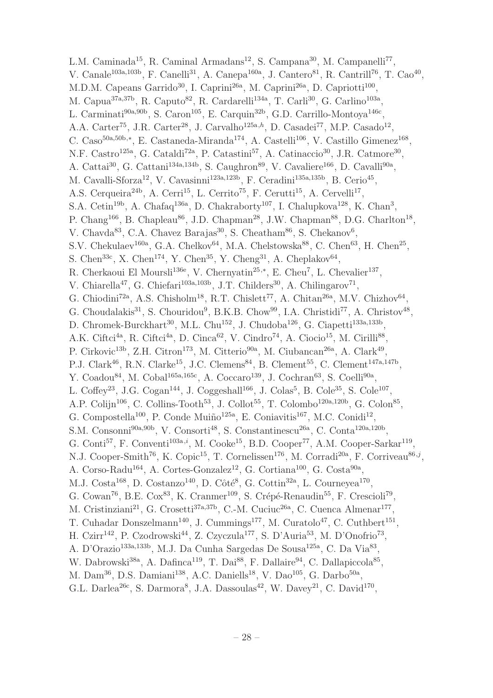L.M. Caminada<sup>15</sup>, R. Caminal Armadans<sup>12</sup>, S. Campana<sup>30</sup>, M. Campanelli<sup>77</sup>, V. Canale<sup>103a,103b</sup>, F. Canelli<sup>31</sup>, A. Canepa<sup>160a</sup>, J. Cantero<sup>81</sup>, R. Cantrill<sup>76</sup>, T. Cao<sup>40</sup>, M.D.M. Capeans Garrido<sup>30</sup>, I. Caprini<sup>26a</sup>, M. Caprini<sup>26a</sup>, D. Capriotti<sup>100</sup>, M. Capua<sup>37a,37b</sup>, R. Caputo<sup>82</sup>, R. Cardarelli<sup>134a</sup>, T. Carli<sup>30</sup>, G. Carlino<sup>103a</sup>, L. Carminati<sup>90a, 90b</sup>, S. Caron<sup>105</sup>, E. Carquin<sup>32b</sup>, G.D. Carrillo-Montoya<sup>146c</sup>, A.A. Carter<sup>75</sup>, J.R. Carter<sup>28</sup>, J. Carvalho<sup>125a,h</sup>, D. Casadei<sup>77</sup>, M.P. Casado<sup>12</sup>, C. Caso<sup>50a,50b,\*</sup>, E. Castaneda-Miranda<sup>174</sup>, A. Castelli<sup>106</sup>, V. Castillo Gimenez<sup>168</sup>, N.F. Castro<sup>125a</sup>, G. Cataldi<sup>72a</sup>, P. Catastini<sup>57</sup>, A. Catinaccio<sup>30</sup>, J.R. Catmore<sup>30</sup>, A. Cattai<sup>30</sup>, G. Cattani<sup>134a,134b</sup>, S. Caughron<sup>89</sup>, V. Cavaliere<sup>166</sup>, D. Cavalli<sup>90a</sup>, M. Cavalli-Sforza<sup>12</sup>, V. Cavasinni<sup>123a,123b</sup>, F. Ceradini<sup>135a,135b</sup>, B. Cerio<sup>45</sup>, A.S. Cerqueira<sup>24b</sup>, A. Cerri<sup>15</sup>, L. Cerrito<sup>75</sup>, F. Cerutti<sup>15</sup>, A. Cervelli<sup>17</sup>, S.A. Cetin<sup>19b</sup>, A. Chafaq<sup>136a</sup>, D. Chakraborty<sup>107</sup>, I. Chalupkova<sup>128</sup>, K. Chan<sup>3</sup>, P. Chang<sup>166</sup>, B. Chapleau<sup>86</sup>, J.D. Chapman<sup>28</sup>, J.W. Chapman<sup>88</sup>, D.G. Charlton<sup>18</sup>, V. Chavda<sup>83</sup>, C.A. Chavez Barajas<sup>30</sup>, S. Cheatham<sup>86</sup>, S. Chekanov<sup>6</sup>, S.V. Chekulaev<sup>160a</sup>, G.A. Chelkov<sup>64</sup>, M.A. Chelstowska<sup>88</sup>, C. Chen<sup>63</sup>, H. Chen<sup>25</sup>, S. Chen<sup>33c</sup>, X. Chen<sup>174</sup>, Y. Chen<sup>35</sup>, Y. Cheng<sup>31</sup>, A. Cheplakov<sup>64</sup>, R. Cherkaoui El Moursli<sup>136e</sup>, V. Chernyatin<sup>25,\*</sup>, E. Cheu<sup>7</sup>, L. Chevalier<sup>137</sup>, V. Chiarella<sup>47</sup>, G. Chiefari<sup>103a,103b</sup>, J.T. Childers<sup>30</sup>, A. Chilingarov<sup>71</sup>, G. Chiodini<sup>72a</sup>, A.S. Chisholm<sup>18</sup>, R.T. Chislett<sup>77</sup>, A. Chitan<sup>26a</sup>, M.V. Chizhov<sup>64</sup>, G. Choudalakis<sup>31</sup>, S. Chouridou<sup>9</sup>, B.K.B. Chow<sup>99</sup>, I.A. Christidi<sup>77</sup>, A. Christov<sup>48</sup>, D. Chromek-Burckhart<sup>30</sup>, M.L. Chu<sup>152</sup>, J. Chudoba<sup>126</sup>, G. Ciapetti<sup>133a,133b</sup>, A.K. Ciftci<sup>4a</sup>, R. Ciftci<sup>4a</sup>, D. Cinca<sup>62</sup>, V. Cindro<sup>74</sup>, A. Ciocio<sup>15</sup>, M. Cirilli<sup>88</sup>, P. Cirkovic<sup>13b</sup>, Z.H. Citron<sup>173</sup>, M. Citterio<sup>90a</sup>, M. Ciubancan<sup>26a</sup>, A. Clark<sup>49</sup>, P.J. Clark<sup>46</sup>, R.N. Clarke<sup>15</sup>, J.C. Clemens<sup>84</sup>, B. Clement<sup>55</sup>, C. Clement<sup>147a,147b</sup>, Y. Coadou<sup>84</sup>, M. Cobal<sup>165a,165c</sup>, A. Coccaro<sup>139</sup>, J. Cochran<sup>63</sup>, S. Coelli<sup>90a</sup>, L. Coffey<sup>23</sup>, J.G. Cogan<sup>144</sup>, J. Coggeshall<sup>166</sup>, J. Colas<sup>5</sup>, B. Cole<sup>35</sup>, S. Cole<sup>107</sup>, A.P. Colijn<sup>106</sup>, C. Collins-Tooth<sup>53</sup>, J. Collot<sup>55</sup>, T. Colombo<sup>120a,120b</sup>, G. Colon<sup>85</sup>, G. Compostella<sup>100</sup>, P. Conde Muiño<sup>125a</sup>, E. Coniavitis<sup>167</sup>, M.C. Conidi<sup>12</sup>, S.M. Consonni<sup>90a, 90b</sup>, V. Consorti<sup>48</sup>, S. Constantinescu<sup>26a</sup>, C. Conta<sup>120a, 120b</sup>, G. Conti<sup>57</sup>, F. Conventi<sup>103a,i</sup>, M. Cooke<sup>15</sup>, B.D. Cooper<sup>77</sup>, A.M. Cooper-Sarkar<sup>119</sup>, N.J. Cooper-Smith<sup>76</sup>, K. Copic<sup>15</sup>, T. Cornelissen<sup>176</sup>, M. Corradi<sup>20a</sup>, F. Corriveau<sup>86,j</sup>, A. Corso-Radu<sup>164</sup>, A. Cortes-Gonzalez<sup>12</sup>, G. Cortiana<sup>100</sup>, G. Costa<sup>90a</sup>, M.J. Costa<sup>168</sup>, D. Costanzo<sup>140</sup>, D. Côté<sup>8</sup>, G. Cottin<sup>32a</sup>, L. Courneyea<sup>170</sup>, G. Cowan<sup>76</sup>, B.E. Cox<sup>83</sup>, K. Cranmer<sup>109</sup>, S. Crépé-Renaudin<sup>55</sup>, F. Crescioli<sup>79</sup>, M. Cristinziani<sup>21</sup>, G. Crosetti<sup>37a,37b</sup>, C.-M. Cuciuc<sup>26a</sup>, C. Cuenca Almenar<sup>177</sup>, T. Cuhadar Donszelmann<sup>140</sup>, J. Cummings<sup>177</sup>, M. Curatolo<sup>47</sup>, C. Cuthbert<sup>151</sup>, H. Czirr<sup>142</sup>, P. Czodrowski<sup>44</sup>, Z. Czyczula<sup>177</sup>, S. D'Auria<sup>53</sup>, M. D'Onofrio<sup>73</sup>, A. D'Orazio<sup>133a,133b</sup>, M.J. Da Cunha Sargedas De Sousa<sup>125a</sup>, C. Da Via<sup>83</sup>, W. Dabrowski<sup>38a</sup>, A. Dafinca<sup>119</sup>, T. Dai<sup>88</sup>, F. Dallaire<sup>94</sup>, C. Dallapiccola<sup>85</sup>, M. Dam<sup>36</sup>, D.S. Damiani<sup>138</sup>, A.C. Daniells<sup>18</sup>, V. Dao<sup>105</sup>, G. Darbo<sup>50a</sup>, G.L. Darlea<sup>26c</sup>, S. Darmora<sup>8</sup>, J.A. Dassoulas<sup>42</sup>, W. Davey<sup>21</sup>, C. David<sup>170</sup>,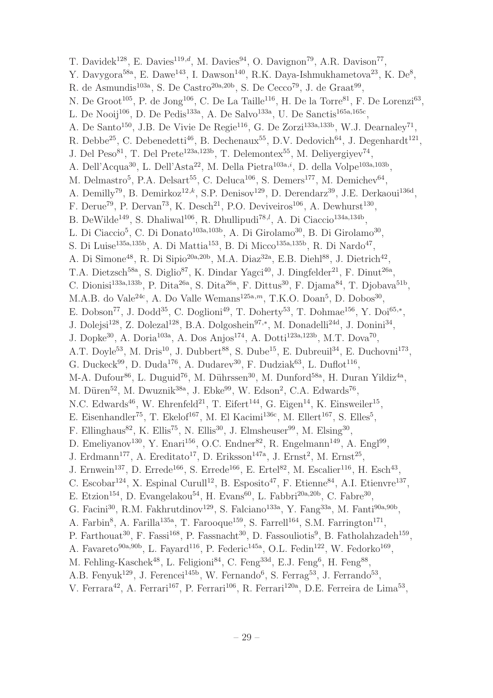T. Davidek<sup>128</sup>, E. Davies<sup>119,d</sup>, M. Davies<sup>94</sup>, O. Davignon<sup>79</sup>, A.R. Davison<sup>77</sup>, Y. Davygora<sup>58a</sup>, E. Dawe<sup>143</sup>, I. Dawson<sup>140</sup>, R.K. Daya-Ishmukhametova<sup>23</sup>, K. De<sup>8</sup>, R. de Asmundis<sup>103a</sup>, S. De Castro<sup>20a, 20b</sup>, S. De Cecco<sup>79</sup>, J. de Graat<sup>99</sup>, N. De Groot<sup>105</sup>, P. de Jong<sup>106</sup>, C. De La Taille<sup>116</sup>, H. De la Torre<sup>81</sup>, F. De Lorenzi<sup>63</sup>, L. De Nooij<sup>106</sup>, D. De Pedis<sup>133a</sup>, A. De Salvo<sup>133a</sup>, U. De Sanctis<sup>165a,165c</sup>, A. De Santo<sup>150</sup>, J.B. De Vivie De Regie<sup>116</sup>, G. De Zorzi<sup>133a,133b</sup>, W.J. Dearnaley<sup>71</sup>, R. Debbe<sup>25</sup>, C. Debenedetti<sup>46</sup>, B. Dechenaux<sup>55</sup>, D.V. Dedovich<sup>64</sup>, J. Degenhardt<sup>121</sup>, J. Del Peso<sup>81</sup>, T. Del Prete<sup>123a,123b</sup>, T. Delemontex<sup>55</sup>, M. Deliyergiyev<sup>74</sup>, A. Dell'Acqua<sup>30</sup>, L. Dell'Asta<sup>22</sup>, M. Della Pietra<sup>103a,*i*</sup>, D. della Volpe<sup>103a,103b</sup>, M. Delmastro<sup>5</sup>, P.A. Delsart<sup>55</sup>, C. Deluca<sup>106</sup>, S. Demers<sup>177</sup>, M. Demichev<sup>64</sup>, A. Demilly<sup>79</sup>, B. Demirkoz<sup>12,k</sup>, S.P. Denisov<sup>129</sup>, D. Derendarz<sup>39</sup>, J.E. Derkaoui<sup>136d</sup>, F. Derue<sup>79</sup>, P. Dervan<sup>73</sup>, K. Desch<sup>21</sup>, P.O. Deviveiros<sup>106</sup>, A. Dewhurst<sup>130</sup>, B. DeWilde<sup>149</sup>, S. Dhaliwal<sup>106</sup>, R. Dhullipudi<sup>78,*l*</sup>, A. Di Ciaccio<sup>134a,134b</sup>, L. Di Ciaccio<sup>5</sup>, C. Di Donato<sup>103a,103b</sup>, A. Di Girolamo<sup>30</sup>, B. Di Girolamo<sup>30</sup>, S. Di Luise<sup>135a,135b</sup>, A. Di Mattia<sup>153</sup>, B. Di Micco<sup>135a,135b</sup>, R. Di Nardo<sup>47</sup>, A. Di Simone<sup>48</sup>, R. Di Sipio<sup>20a, 20b</sup>, M.A. Diaz<sup>32a</sup>, E.B. Diehl<sup>88</sup>, J. Dietrich<sup>42</sup>, T.A. Dietzsch<sup>58a</sup>, S. Diglio<sup>87</sup>, K. Dindar Yagci<sup>40</sup>, J. Dingfelder<sup>21</sup>, F. Dinut<sup>26a</sup>, C. Dionisi<sup>133a,133b</sup>, P. Dita<sup>26a</sup>, S. Dita<sup>26a</sup>, F. Dittus<sup>30</sup>, F. Djama<sup>84</sup>, T. Djobava<sup>51b</sup>, M.A.B. do Vale<sup>24c</sup>, A. Do Valle Wemans<sup>125a,m</sup>, T.K.O. Doan<sup>5</sup>, D. Dobos<sup>30</sup>, E. Dobson<sup>77</sup>, J. Dodd<sup>35</sup>, C. Doglioni<sup>49</sup>, T. Doherty<sup>53</sup>, T. Dohmae<sup>156</sup>, Y. Doi<sup>65,\*</sup>, J. Dolejsi<sup>128</sup>, Z. Dolezal<sup>128</sup>, B.A. Dolgoshein<sup>97,\*</sup>, M. Donadelli<sup>24d</sup>, J. Donini<sup>34</sup>, J. Dopke<sup>30</sup>, A. Doria<sup>103a</sup>, A. Dos Anjos<sup>174</sup>, A. Dotti<sup>123a,123b</sup>, M.T. Dova<sup>70</sup>, A.T. Doyle<sup>53</sup>, M. Dris<sup>10</sup>, J. Dubbert<sup>88</sup>, S. Dube<sup>15</sup>, E. Dubreuil<sup>34</sup>, E. Duchovni<sup>173</sup>, G. Duckeck<sup>99</sup>, D. Duda<sup>176</sup>, A. Dudarev<sup>30</sup>, F. Dudziak<sup>63</sup>, L. Duflot<sup>116</sup>, M-A. Dufour<sup>86</sup>, L. Duguid<sup>76</sup>, M. Dührssen<sup>30</sup>, M. Dunford<sup>58a</sup>, H. Duran Yildiz<sup>4a</sup>, M. Düren<sup>52</sup>, M. Dwuznik<sup>38a</sup>, J. Ebke<sup>99</sup>, W. Edson<sup>2</sup>, C.A. Edwards<sup>76</sup>, N.C. Edwards<sup>46</sup>, W. Ehrenfeld<sup>21</sup>, T. Eifert<sup>144</sup>, G. Eigen<sup>14</sup>, K. Einsweiler<sup>15</sup>, E. Eisenhandler<sup>75</sup>, T. Ekelof<sup>167</sup>, M. El Kacimi<sup>136c</sup>, M. Ellert<sup>167</sup>, S. Elles<sup>5</sup>, F. Ellinghaus<sup>82</sup>, K. Ellis<sup>75</sup>, N. Ellis<sup>30</sup>, J. Elmsheuser<sup>99</sup>, M. Elsing<sup>30</sup>, D. Emeliyanov<sup>130</sup>, Y. Enari<sup>156</sup>, O.C. Endner<sup>82</sup>, R. Engelmann<sup>149</sup>, A. Engl<sup>99</sup>, J. Erdmann<sup>177</sup>, A. Ereditato<sup>17</sup>, D. Eriksson<sup>147a</sup>, J. Ernst<sup>2</sup>, M. Ernst<sup>25</sup>, J. Ernwein<sup>137</sup>, D. Errede<sup>166</sup>, S. Errede<sup>166</sup>, E. Ertel<sup>82</sup>, M. Escalier<sup>116</sup>, H. Esch<sup>43</sup>, C. Escobar<sup>124</sup>, X. Espinal Curull<sup>12</sup>, B. Esposito<sup>47</sup>, F. Etienne<sup>84</sup>, A.I. Etienvre<sup>137</sup>, E. Etzion<sup>154</sup>, D. Evangelakou<sup>54</sup>, H. Evans<sup>60</sup>, L. Fabbri<sup>20a, 20b</sup>, C. Fabre<sup>30</sup>, G. Facini<sup>30</sup>, R.M. Fakhrutdinov<sup>129</sup>, S. Falciano<sup>133a</sup>, Y. Fang<sup>33a</sup>, M. Fanti<sup>90a,90b</sup>, A. Farbin<sup>8</sup>, A. Farilla<sup>135a</sup>, T. Farooque<sup>159</sup>, S. Farrell<sup>164</sup>, S.M. Farrington<sup>171</sup>, P. Farthouat<sup>30</sup>, F. Fassi<sup>168</sup>, P. Fassnacht<sup>30</sup>, D. Fassouliotis<sup>9</sup>, B. Fatholahzadeh<sup>159</sup>, A. Favareto<sup>90a,90b</sup>, L. Fayard<sup>116</sup>, P. Federic<sup>145a</sup>, O.L. Fedin<sup>122</sup>, W. Fedorko<sup>169</sup>, M. Fehling-Kaschek<sup>48</sup>, L. Feligioni<sup>84</sup>, C. Feng<sup>33d</sup>, E.J. Feng<sup>6</sup>, H. Feng<sup>88</sup>, A.B. Fenyuk<sup>129</sup>, J. Ferencei<sup>145b</sup>, W. Fernando<sup>6</sup>, S. Ferrag<sup>53</sup>, J. Ferrando<sup>53</sup>, V. Ferrara<sup>42</sup>, A. Ferrari<sup>167</sup>, P. Ferrari<sup>106</sup>, R. Ferrari<sup>120a</sup>, D.E. Ferreira de Lima<sup>53</sup>,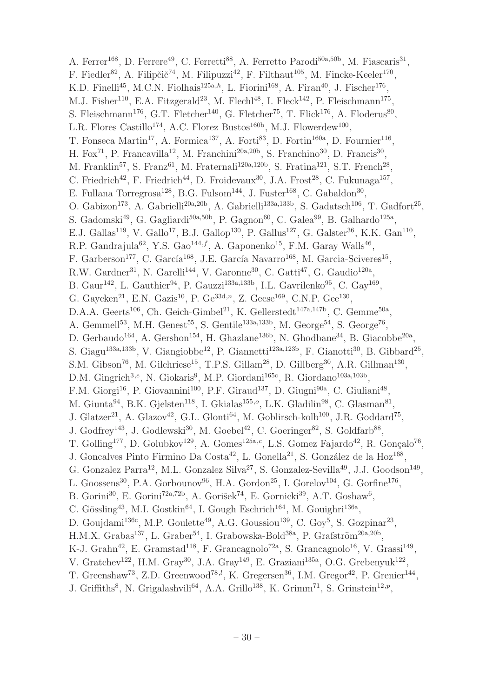A. Ferrer<sup>168</sup>, D. Ferrere<sup>49</sup>, C. Ferretti<sup>88</sup>, A. Ferretto Parodi<sup>50a,50b</sup>, M. Fiascaris<sup>31</sup>, F. Fiedler<sup>82</sup>, A. Filipčič<sup>74</sup>, M. Filipuzzi<sup>42</sup>, F. Filthaut<sup>105</sup>, M. Fincke-Keeler<sup>170</sup>, K.D. Finelli<sup>45</sup>, M.C.N. Fiolhais<sup>125a,h</sup>, L. Fiorini<sup>168</sup>, A. Firan<sup>40</sup>, J. Fischer<sup>176</sup>, M.J. Fisher<sup>110</sup>, E.A. Fitzgerald<sup>23</sup>, M. Flechl<sup>48</sup>, I. Fleck<sup>142</sup>, P. Fleischmann<sup>175</sup>, S. Fleischmann<sup>176</sup>, G.T. Fletcher<sup>140</sup>, G. Fletcher<sup>75</sup>, T. Flick<sup>176</sup>, A. Floderus<sup>80</sup>, L.R. Flores Castillo<sup>174</sup>, A.C. Florez Bustos<sup>160b</sup>, M.J. Flowerdew<sup>100</sup>, T. Fonseca Martin<sup>17</sup>, A. Formica<sup>137</sup>, A. Forti<sup>83</sup>, D. Fortin<sup>160a</sup>, D. Fournier<sup>116</sup>, H. Fox<sup>71</sup>, P. Francavilla<sup>12</sup>, M. Franchini<sup>20a,20b</sup>, S. Franchino<sup>30</sup>, D. Francis<sup>30</sup>, M. Franklin<sup>57</sup>, S. Franz<sup>61</sup>, M. Fraternali<sup>120a,120b</sup>, S. Fratina<sup>121</sup>, S.T. French<sup>28</sup>, C. Friedrich<sup>42</sup>, F. Friedrich<sup>44</sup>, D. Froidevaux<sup>30</sup>, J.A. Frost<sup>28</sup>, C. Fukunaga<sup>157</sup>, E. Fullana Torregrosa<sup>128</sup>, B.G. Fulsom<sup>144</sup>, J. Fuster<sup>168</sup>, C. Gabaldon<sup>30</sup>, O. Gabizon<sup>173</sup>, A. Gabrielli<sup>20a, 20b</sup>, A. Gabrielli<sup>133a, 133b</sup>, S. Gadatsch<sup>106</sup>, T. Gadfort<sup>25</sup>, S. Gadomski<sup>49</sup>, G. Gagliardi<sup>50a,50b</sup>, P. Gagnon<sup>60</sup>, C. Galea<sup>99</sup>, B. Galhardo<sup>125a</sup>, E.J. Gallas<sup>119</sup>, V. Gallo<sup>17</sup>, B.J. Gallop<sup>130</sup>, P. Gallus<sup>127</sup>, G. Galster<sup>36</sup>, K.K. Gan<sup>110</sup>, R.P. Gandrajula<sup>62</sup>, Y.S. Gao<sup>144,f</sup>, A. Gaponenko<sup>15</sup>, F.M. Garay Walls<sup>46</sup>, F. Garberson<sup>177</sup>, C. García<sup>168</sup>, J.E. García Navarro<sup>168</sup>, M. Garcia-Sciveres<sup>15</sup>, R.W. Gardner<sup>31</sup>, N. Garelli<sup>144</sup>, V. Garonne<sup>30</sup>, C. Gatti<sup>47</sup>, G. Gaudio<sup>120a</sup>, B. Gaur<sup>142</sup>, L. Gauthier<sup>94</sup>, P. Gauzzi<sup>133a,133b</sup>, I.L. Gavrilenko<sup>95</sup>, C. Gay<sup>169</sup>, G. Gaycken<sup>21</sup>, E.N. Gazis<sup>10</sup>, P. Ge<sup>33d,n</sup>, Z. Gecse<sup>169</sup>, C.N.P. Gee<sup>130</sup>, D.A.A. Geerts<sup>106</sup>, Ch. Geich-Gimbel<sup>21</sup>, K. Gellerstedt<sup>147a,147b</sup>, C. Gemme<sup>50a</sup>, A. Gemmell<sup>53</sup>, M.H. Genest<sup>55</sup>, S. Gentile<sup>133a,133b</sup>, M. George<sup>54</sup>, S. George<sup>76</sup>, D. Gerbaudo<sup>164</sup>, A. Gershon<sup>154</sup>, H. Ghazlane<sup>136b</sup>, N. Ghodbane<sup>34</sup>, B. Giacobbe<sup>20a</sup>, S. Giagu<sup>133a,133b</sup>, V. Giangiobbe<sup>12</sup>, P. Giannetti<sup>123a,123b</sup>, F. Gianotti<sup>30</sup>, B. Gibbard<sup>25</sup>, S.M. Gibson<sup>76</sup>, M. Gilchriese<sup>15</sup>, T.P.S. Gillam<sup>28</sup>, D. Gillberg<sup>30</sup>, A.R. Gillman<sup>130</sup>, D.M. Gingrich<sup>3,e</sup>, N. Giokaris<sup>9</sup>, M.P. Giordani<sup>165c</sup>, R. Giordano<sup>103a,103b</sup>, F.M. Giorgi<sup>16</sup>, P. Giovannini<sup>100</sup>, P.F. Giraud<sup>137</sup>, D. Giugni<sup>90a</sup>, C. Giuliani<sup>48</sup>, M. Giunta<sup>94</sup>, B.K. Gjelsten<sup>118</sup>, I. Gkialas<sup>155,</sup><sup>o</sup>, L.K. Gladilin<sup>98</sup>, C. Glasman<sup>81</sup>, J. Glatzer<sup>21</sup>, A. Glazov<sup>42</sup>, G.L. Glonti<sup>64</sup>, M. Goblirsch-kolb<sup>100</sup>, J.R. Goddard<sup>75</sup>, J. Godfrey<sup>143</sup>, J. Godlewski<sup>30</sup>, M. Goebel<sup>42</sup>, C. Goeringer<sup>82</sup>, S. Goldfarb<sup>88</sup>, T. Golling<sup>177</sup>, D. Golubkov<sup>129</sup>, A. Gomes<sup>125a,c</sup>, L.S. Gomez Fajardo<sup>42</sup>, R. Gonçalo<sup>76</sup>, J. Goncalves Pinto Firmino Da Costa<sup>42</sup>, L. Gonella<sup>21</sup>, S. González de la Hoz<sup>168</sup>, G. Gonzalez Parra<sup>12</sup>, M.L. Gonzalez Silva<sup>27</sup>, S. Gonzalez-Sevilla<sup>49</sup>, J.J. Goodson<sup>149</sup>, L. Goossens<sup>30</sup>, P.A. Gorbounov<sup>96</sup>, H.A. Gordon<sup>25</sup>, I. Gorelov<sup>104</sup>, G. Gorfine<sup>176</sup>, B. Gorini<sup>30</sup>, E. Gorini<sup>72a,72b</sup>, A. Gorišek<sup>74</sup>, E. Gornicki<sup>39</sup>, A.T. Goshaw<sup>6</sup>, C. Gössling<sup>43</sup>, M.I. Gostkin<sup>64</sup>, I. Gough Eschrich<sup>164</sup>, M. Gouighri<sup>136a</sup>, D. Goujdami<sup>136c</sup>, M.P. Goulette<sup>49</sup>, A.G. Goussiou<sup>139</sup>, C. Goy<sup>5</sup>, S. Gozpinar<sup>23</sup>, H.M.X. Grabas<sup>137</sup>, L. Graber<sup>54</sup>, I. Grabowska-Bold<sup>38a</sup>, P. Grafström<sup>20a,20b</sup>, K-J. Grahn<sup>42</sup>, E. Gramstad<sup>118</sup>, F. Grancagnolo<sup>72a</sup>, S. Grancagnolo<sup>16</sup>, V. Grassi<sup>149</sup>, V. Gratchev<sup>122</sup>, H.M. Gray<sup>30</sup>, J.A. Gray<sup>149</sup>, E. Graziani<sup>135a</sup>, O.G. Grebenyuk<sup>122</sup>, T. Greenshaw<sup>73</sup>, Z.D. Greenwood<sup>78,*l*</sup>, K. Gregersen<sup>36</sup>, I.M. Gregor<sup>42</sup>, P. Grenier<sup>144</sup>, J. Griffiths<sup>8</sup>, N. Grigalashvili<sup>64</sup>, A.A. Grillo<sup>138</sup>, K. Grimm<sup>71</sup>, S. Grinstein<sup>12,p</sup>,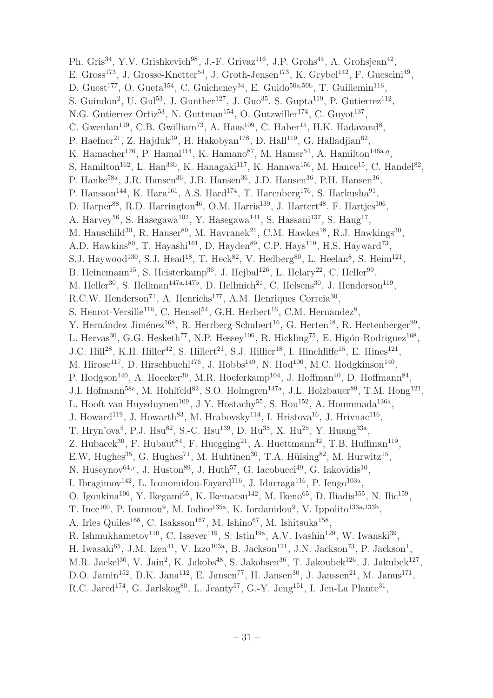Ph. Gris<sup>34</sup>, Y.V. Grishkevich<sup>98</sup>, J.-F. Grivaz<sup>116</sup>, J.P. Grohs<sup>44</sup>, A. Grohsjean<sup>42</sup>, E. Gross<sup>173</sup>, J. Grosse-Knetter<sup>54</sup>, J. Groth-Jensen<sup>173</sup>, K. Grybel<sup>142</sup>, F. Guescini<sup>49</sup>, D. Guest<sup>177</sup>, O. Gueta<sup>154</sup>, C. Guicheney<sup>34</sup>, E. Guido<sup>50a,50b</sup>, T. Guillemin<sup>116</sup>, S. Guindon<sup>2</sup>, U. Gul<sup>53</sup>, J. Gunther<sup>127</sup>, J. Guo<sup>35</sup>, S. Gupta<sup>119</sup>, P. Gutierrez<sup>112</sup>, N.G. Gutierrez Ortiz<sup>53</sup>, N. Guttman<sup>154</sup>, O. Gutzwiller<sup>174</sup>, C. Guyot<sup>137</sup>, C. Gwenlan<sup>119</sup>, C.B. Gwilliam<sup>73</sup>, A. Haas<sup>109</sup>, C. Haber<sup>15</sup>, H.K. Hadavand<sup>8</sup>, P. Haefner<sup>21</sup>, Z. Hajduk<sup>39</sup>, H. Hakobyan<sup>178</sup>, D. Hall<sup>119</sup>, G. Halladjian<sup>62</sup>, K. Hamacher<sup>176</sup>, P. Hamal<sup>114</sup>, K. Hamano<sup>87</sup>, M. Hamer<sup>54</sup>, A. Hamilton<sup>146a,q</sup>, S. Hamilton<sup>162</sup>, L. Han<sup>33b</sup>, K. Hanagaki<sup>117</sup>, K. Hanawa<sup>156</sup>, M. Hance<sup>15</sup>, C. Handel<sup>82</sup>, P. Hanke<sup>58a</sup>, J.R. Hansen<sup>36</sup>, J.B. Hansen<sup>36</sup>, J.D. Hansen<sup>36</sup>, P.H. Hansen<sup>36</sup>, P. Hansson<sup>144</sup>, K. Hara<sup>161</sup>, A.S. Hard<sup>174</sup>, T. Harenberg<sup>176</sup>, S. Harkusha<sup>91</sup>, D. Harper<sup>88</sup>, R.D. Harrington<sup>46</sup>, O.M. Harris<sup>139</sup>, J. Hartert<sup>48</sup>, F. Hartjes<sup>106</sup>, A. Harvey<sup>56</sup>, S. Hasegawa<sup>102</sup>, Y. Hasegawa<sup>141</sup>, S. Hassani<sup>137</sup>, S. Haug<sup>17</sup>, M. Hauschild<sup>30</sup>, R. Hauser<sup>89</sup>, M. Havranek<sup>21</sup>, C.M. Hawkes<sup>18</sup>, R.J. Hawkings<sup>30</sup>, A.D. Hawkins<sup>80</sup>, T. Hayashi<sup>161</sup>, D. Hayden<sup>89</sup>, C.P. Hays<sup>119</sup>, H.S. Hayward<sup>73</sup>, S.J. Haywood<sup>130</sup>, S.J. Head<sup>18</sup>, T. Heck<sup>82</sup>, V. Hedberg<sup>80</sup>, L. Heelan<sup>8</sup>, S. Heim<sup>121</sup>, B. Heinemann<sup>15</sup>, S. Heisterkamp<sup>36</sup>, J. Hejbal<sup>126</sup>, L. Helary<sup>22</sup>, C. Heller<sup>99</sup>, M. Heller<sup>30</sup>, S. Hellman<sup>147a,147b</sup>, D. Hellmich<sup>21</sup>, C. Helsens<sup>30</sup>, J. Henderson<sup>119</sup>, R.C.W. Henderson<sup>71</sup>, A. Henrichs<sup>177</sup>, A.M. Henriques Correia<sup>30</sup>, S. Henrot-Versille<sup>116</sup>, C. Hensel<sup>54</sup>, G.H. Herbert<sup>16</sup>, C.M. Hernandez<sup>8</sup>, Y. Hernández Jiménez<sup>168</sup>, R. Herrberg-Schubert<sup>16</sup>, G. Herten<sup>48</sup>, R. Hertenberger<sup>99</sup>, L. Hervas<sup>30</sup>, G.G. Hesketh<sup>77</sup>, N.P. Hessey<sup>106</sup>, R. Hickling<sup>75</sup>, E. Higón-Rodriguez<sup>168</sup>, J.C. Hill<sup>28</sup>, K.H. Hiller<sup>42</sup>, S. Hillert<sup>21</sup>, S.J. Hillier<sup>18</sup>, I. Hinchliffe<sup>15</sup>, E. Hines<sup>121</sup>, M. Hirose<sup>117</sup>, D. Hirschbuehl<sup>176</sup>, J. Hobbs<sup>149</sup>, N. Hod<sup>106</sup>, M.C. Hodgkinson<sup>140</sup>, P. Hodgson<sup>140</sup>, A. Hoecker<sup>30</sup>, M.R. Hoeferkamp<sup>104</sup>, J. Hoffman<sup>40</sup>, D. Hoffmann<sup>84</sup>, J.I. Hofmann<sup>58a</sup>, M. Hohlfeld<sup>82</sup>, S.O. Holmgren<sup>147a</sup>, J.L. Holzbauer<sup>89</sup>, T.M. Hong<sup>121</sup>, L. Hooft van Huysduynen<sup>109</sup>, J-Y. Hostachy<sup>55</sup>, S. Hou<sup>152</sup>, A. Hoummada<sup>136a</sup>, J. Howard<sup>119</sup>, J. Howarth<sup>83</sup>, M. Hrabovsky<sup>114</sup>, I. Hristova<sup>16</sup>, J. Hrivnac<sup>116</sup>, T. Hryn'ova<sup>5</sup>, P.J. Hsu<sup>82</sup>, S.-C. Hsu<sup>139</sup>, D. Hu<sup>35</sup>, X. Hu<sup>25</sup>, Y. Huang<sup>33a</sup>, Z. Hubacek<sup>30</sup>, F. Hubaut<sup>84</sup>, F. Huegging<sup>21</sup>, A. Huettmann<sup>42</sup>, T.B. Huffman<sup>119</sup>, E.W. Hughes<sup>35</sup>, G. Hughes<sup>71</sup>, M. Huhtinen<sup>30</sup>, T.A. Hülsing<sup>82</sup>, M. Hurwitz<sup>15</sup>, N. Huseynov<sup>64, $r$ </sup>, J. Huston<sup>89</sup>, J. Huth<sup>57</sup>, G. Iacobucci<sup>49</sup>, G. Iakovidis<sup>10</sup>, I. Ibragimov<sup>142</sup>, L. Iconomidou-Fayard<sup>116</sup>, J. Idarraga<sup>116</sup>, P. Iengo<sup>103a</sup>, O. Igonkina<sup>106</sup>, Y. Ikegami<sup>65</sup>, K. Ikematsu<sup>142</sup>, M. Ikeno<sup>65</sup>, D. Iliadis<sup>155</sup>, N. Ilic<sup>159</sup>, T. Ince<sup>100</sup>, P. Ioannou<sup>9</sup>, M. Iodice<sup>135a</sup>, K. Iordanidou<sup>9</sup>, V. Ippolito<sup>133a,133b</sup>, A. Irles Quiles<sup>168</sup>, C. Isaksson<sup>167</sup>, M. Ishino<sup>67</sup>, M. Ishitsuka<sup>158</sup>, R. Ishmukhametov<sup>110</sup>, C. Issever<sup>119</sup>, S. Istin<sup>19a</sup>, A.V. Ivashin<sup>129</sup>, W. Iwanski<sup>39</sup>, H. Iwasaki<sup>65</sup>, J.M. Izen<sup>41</sup>, V. Izzo<sup>103a</sup>, B. Jackson<sup>121</sup>, J.N. Jackson<sup>73</sup>, P. Jackson<sup>1</sup>, M.R. Jaekel<sup>30</sup>, V. Jain<sup>2</sup>, K. Jakobs<sup>48</sup>, S. Jakobsen<sup>36</sup>, T. Jakoubek<sup>126</sup>, J. Jakubek<sup>127</sup>, D.O. Jamin<sup>152</sup>, D.K. Jana<sup>112</sup>, E. Jansen<sup>77</sup>, H. Jansen<sup>30</sup>, J. Janssen<sup>21</sup>, M. Janus<sup>171</sup>, R.C. Jared<sup>174</sup>, G. Jarlskog<sup>80</sup>, L. Jeanty<sup>57</sup>, G.-Y. Jeng<sup>151</sup>, I. Jen-La Plante<sup>31</sup>,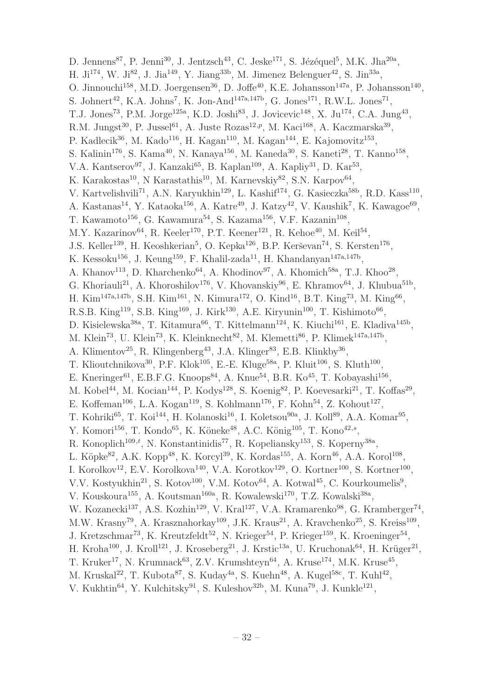D. Jennens<sup>87</sup>, P. Jenni<sup>30</sup>, J. Jentzsch<sup>43</sup>, C. Jeske<sup>171</sup>, S. Jézéquel<sup>5</sup>, M.K. Jha<sup>20a</sup>, H. Ji<sup>174</sup>, W. Ji<sup>82</sup>, J. Jia<sup>149</sup>, Y. Jiang<sup>33b</sup>, M. Jimenez Belenguer<sup>42</sup>, S. Jin<sup>33a</sup>, O. Jinnouchi<sup>158</sup>, M.D. Joergensen<sup>36</sup>, D. Joffe<sup>40</sup>, K.E. Johansson<sup>147a</sup>, P. Johansson<sup>140</sup>, S. Johnert<sup>42</sup>, K.A. Johns<sup>7</sup>, K. Jon-And<sup>147a,147b</sup>, G. Jones<sup>171</sup>, R.W.L. Jones<sup>71</sup>, T.J. Jones<sup>73</sup>, P.M. Jorge<sup>125a</sup>, K.D. Joshi<sup>83</sup>, J. Jovicevic<sup>148</sup>, X. Ju<sup>174</sup>, C.A. Jung<sup>43</sup>, R.M. Jungst<sup>30</sup>, P. Jussel<sup>61</sup>, A. Juste Rozas<sup>12,p</sup>, M. Kaci<sup>168</sup>, A. Kaczmarska<sup>39</sup>, P. Kadlecik<sup>36</sup>, M. Kado<sup>116</sup>, H. Kagan<sup>110</sup>, M. Kagan<sup>144</sup>, E. Kajomovitz<sup>153</sup>, S. Kalinin<sup>176</sup>, S. Kama<sup>40</sup>, N. Kanaya<sup>156</sup>, M. Kaneda<sup>30</sup>, S. Kaneti<sup>28</sup>, T. Kanno<sup>158</sup>, V.A. Kantserov<sup>97</sup>, J. Kanzaki<sup>65</sup>, B. Kaplan<sup>109</sup>, A. Kapliy<sup>31</sup>, D. Kar<sup>53</sup>, K. Karakostas<sup>10</sup>, N Karastathis<sup>10</sup>, M. Karnevskiy<sup>82</sup>, S.N. Karpov<sup>64</sup>, V. Kartvelishvili<sup>71</sup>, A.N. Karyukhin<sup>129</sup>, L. Kashif<sup>174</sup>, G. Kasieczka<sup>58b</sup>, R.D. Kass<sup>110</sup>, A. Kastanas<sup>14</sup>, Y. Kataoka<sup>156</sup>, A. Katre<sup>49</sup>, J. Katzy<sup>42</sup>, V. Kaushik<sup>7</sup>, K. Kawagoe<sup>69</sup>, T. Kawamoto<sup>156</sup>, G. Kawamura<sup>54</sup>, S. Kazama<sup>156</sup>, V.F. Kazanin<sup>108</sup>, M.Y. Kazarinov<sup>64</sup>, R. Keeler<sup>170</sup>, P.T. Keener<sup>121</sup>, R. Kehoe<sup>40</sup>, M. Keil<sup>54</sup>, J.S. Keller<sup>139</sup>, H. Keoshkerian<sup>5</sup>, O. Kepka<sup>126</sup>, B.P. Kerševan<sup>74</sup>, S. Kersten<sup>176</sup>, K. Kessoku<sup>156</sup>, J. Keung<sup>159</sup>, F. Khalil-zada<sup>11</sup>, H. Khandanyan<sup>147a,147b</sup>, A. Khanov<sup>113</sup>, D. Kharchenko<sup>64</sup>, A. Khodinov<sup>97</sup>, A. Khomich<sup>58a</sup>, T.J. Khoo<sup>28</sup>, G. Khoriauli<sup>21</sup>, A. Khoroshilov<sup>176</sup>, V. Khovanskiy<sup>96</sup>, E. Khramov<sup>64</sup>, J. Khubua<sup>51b</sup>, H. Kim<sup>147a,147b</sup>, S.H. Kim<sup>161</sup>, N. Kimura<sup>172</sup>, O. Kind<sup>16</sup>, B.T. King<sup>73</sup>, M. King<sup>66</sup>, R.S.B. King<sup>119</sup>, S.B. King<sup>169</sup>, J. Kirk<sup>130</sup>, A.E. Kiryunin<sup>100</sup>, T. Kishimoto<sup>66</sup>, D. Kisielewska<sup>38a</sup>, T. Kitamura<sup>66</sup>, T. Kittelmann<sup>124</sup>, K. Kiuchi<sup>161</sup>, E. Kladiva<sup>145b</sup>, M. Klein<sup>73</sup>, U. Klein<sup>73</sup>, K. Kleinknecht<sup>82</sup>, M. Klemetti<sup>86</sup>, P. Klimek<sup>147a,147b</sup>, A. Klimentov<sup>25</sup>, R. Klingenberg<sup>43</sup>, J.A. Klinger<sup>83</sup>, E.B. Klinkby<sup>36</sup>, T. Klioutchnikova<sup>30</sup>, P.F. Klok<sup>105</sup>, E.-E. Kluge<sup>58a</sup>, P. Kluit<sup>106</sup>, S. Kluth<sup>100</sup>, E. Kneringer<sup>61</sup>, E.B.F.G. Knoops<sup>84</sup>, A. Knue<sup>54</sup>, B.R. Ko<sup>45</sup>, T. Kobayashi<sup>156</sup>, M. Kobel<sup>44</sup>, M. Kocian<sup>144</sup>, P. Kodys<sup>128</sup>, S. Koenig<sup>82</sup>, P. Koevesarki<sup>21</sup>, T. Koffas<sup>29</sup>, E. Koffeman<sup>106</sup>, L.A. Kogan<sup>119</sup>, S. Kohlmann<sup>176</sup>, F. Kohn<sup>54</sup>, Z. Kohout<sup>127</sup>, T. Kohriki<sup>65</sup>, T. Koi<sup>144</sup>, H. Kolanoski<sup>16</sup>, I. Koletsou<sup>90a</sup>, J. Koll<sup>89</sup>, A.A. Komar<sup>95</sup>, Y. Komori<sup>156</sup>, T. Kondo<sup>65</sup>, K. Köneke<sup>48</sup>, A.C. König<sup>105</sup>, T. Kono<sup>42,s</sup>, R. Konoplich<sup>109,*t*</sup>, N. Konstantinidis<sup>77</sup>, R. Kopeliansky<sup>153</sup>, S. Koperny<sup>38a</sup>, L. Köpke<sup>82</sup>, A.K. Kopp<sup>48</sup>, K. Korcyl<sup>39</sup>, K. Kordas<sup>155</sup>, A. Korn<sup>46</sup>, A.A. Korol<sup>108</sup>, I. Korolkov<sup>12</sup>, E.V. Korolkova<sup>140</sup>, V.A. Korotkov<sup>129</sup>, O. Kortner<sup>100</sup>, S. Kortner<sup>100</sup>, V.V. Kostyukhin<sup>21</sup>, S. Kotov<sup>100</sup>, V.M. Kotov<sup>64</sup>, A. Kotwal<sup>45</sup>, C. Kourkoumelis<sup>9</sup>, V. Kouskoura<sup>155</sup>, A. Koutsman<sup>160a</sup>, R. Kowalewski<sup>170</sup>, T.Z. Kowalski<sup>38a</sup>, W. Kozanecki<sup>137</sup>, A.S. Kozhin<sup>129</sup>, V. Kral<sup>127</sup>, V.A. Kramarenko<sup>98</sup>, G. Kramberger<sup>74</sup>, M.W. Krasny<sup>79</sup>, A. Krasznahorkay<sup>109</sup>, J.K. Kraus<sup>21</sup>, A. Kravchenko<sup>25</sup>, S. Kreiss<sup>109</sup>, J. Kretzschmar<sup>73</sup>, K. Kreutzfeldt<sup>52</sup>, N. Krieger<sup>54</sup>, P. Krieger<sup>159</sup>, K. Kroeninger<sup>54</sup>, H. Kroha<sup>100</sup>, J. Kroll<sup>121</sup>, J. Kroseberg<sup>21</sup>, J. Krstic<sup>13a</sup>, U. Kruchonak<sup>64</sup>, H. Krüger<sup>21</sup>, T. Kruker<sup>17</sup>, N. Krumnack<sup>63</sup>, Z.V. Krumshteyn<sup>64</sup>, A. Kruse<sup>174</sup>, M.K. Kruse<sup>45</sup>, M. Kruskal<sup>22</sup>, T. Kubota<sup>87</sup>, S. Kuday<sup>4a</sup>, S. Kuehn<sup>48</sup>, A. Kugel<sup>58c</sup>, T. Kuhl<sup>42</sup>, V. Kukhtin<sup>64</sup>, Y. Kulchitsky<sup>91</sup>, S. Kuleshov<sup>32b</sup>, M. Kuna<sup>79</sup>, J. Kunkle<sup>121</sup>,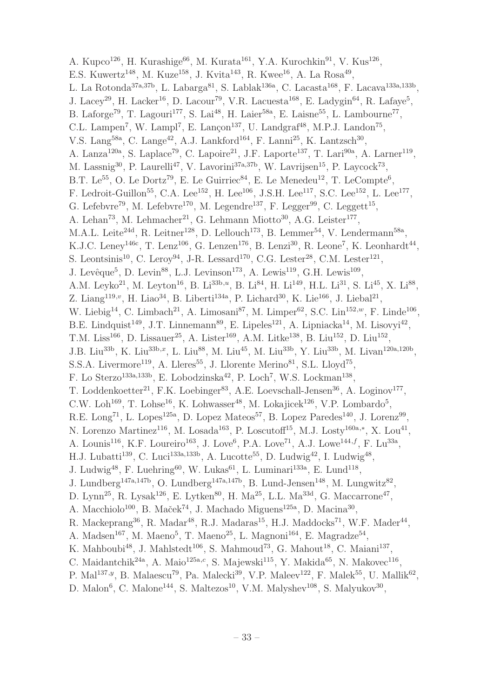A. Kupco<sup>126</sup>, H. Kurashige<sup>66</sup>, M. Kurata<sup>161</sup>, Y.A. Kurochkin<sup>91</sup>, V. Kus<sup>126</sup>, E.S. Kuwertz<sup>148</sup>, M. Kuze<sup>158</sup>, J. Kvita<sup>143</sup>, R. Kwee<sup>16</sup>, A. La Rosa<sup>49</sup>, L. La Rotonda<sup>37a,37b</sup>, L. Labarga<sup>81</sup>, S. Lablak<sup>136a</sup>, C. Lacasta<sup>168</sup>, F. Lacava<sup>133a,133b</sup>, J. Lacey<sup>29</sup>, H. Lacker<sup>16</sup>, D. Lacour<sup>79</sup>, V.R. Lacuesta<sup>168</sup>, E. Ladygin<sup>64</sup>, R. Lafaye<sup>5</sup>, B. Laforge<sup>79</sup>, T. Lagouri<sup>177</sup>, S. Lai<sup>48</sup>, H. Laier<sup>58a</sup>, E. Laisne<sup>55</sup>, L. Lambourne<sup>77</sup>, C.L. Lampen<sup>7</sup>, W. Lampl<sup>7</sup>, E. Lançon<sup>137</sup>, U. Landgraf<sup>48</sup>, M.P.J. Landon<sup>75</sup>, V.S. Lang<sup>58a</sup>, C. Lange<sup>42</sup>, A.J. Lankford<sup>164</sup>, F. Lanni<sup>25</sup>, K. Lantzsch<sup>30</sup>, A. Lanza<sup>120a</sup>, S. Laplace<sup>79</sup>, C. Lapoire<sup>21</sup>, J.F. Laporte<sup>137</sup>, T. Lari<sup>90a</sup>, A. Larner<sup>119</sup>, M. Lassnig<sup>30</sup>, P. Laurelli<sup>47</sup>, V. Lavorini<sup>37a,37b</sup>, W. Lavrijsen<sup>15</sup>, P. Laycock<sup>73</sup>, B.T. Le<sup>55</sup>, O. Le Dortz<sup>79</sup>, E. Le Guirriec<sup>84</sup>, E. Le Menedeu<sup>12</sup>, T. LeCompte<sup>6</sup>, F. Ledroit-Guillon<sup>55</sup>, C.A. Lee<sup>152</sup>, H. Lee<sup>106</sup>, J.S.H. Lee<sup>117</sup>, S.C. Lee<sup>152</sup>, L. Lee<sup>177</sup>, G. Lefebvre<sup>79</sup>, M. Lefebvre<sup>170</sup>, M. Legendre<sup>137</sup>, F. Legger<sup>99</sup>, C. Leggett<sup>15</sup>, A. Lehan<sup>73</sup>, M. Lehmacher<sup>21</sup>, G. Lehmann Miotto<sup>30</sup>, A.G. Leister<sup>177</sup>, M.A.L. Leite<sup>24d</sup>, R. Leitner<sup>128</sup>, D. Lellouch<sup>173</sup>, B. Lemmer<sup>54</sup>, V. Lendermann<sup>58a</sup>, K.J.C. Leney<sup>146c</sup>, T. Lenz<sup>106</sup>, G. Lenzen<sup>176</sup>, B. Lenzi<sup>30</sup>, R. Leone<sup>7</sup>, K. Leonhardt<sup>44</sup>, S. Leontsinis<sup>10</sup>, C. Leroy<sup>94</sup>, J-R. Lessard<sup>170</sup>, C.G. Lester<sup>28</sup>, C.M. Lester<sup>121</sup>, J. Levêque<sup>5</sup>, D. Levin<sup>88</sup>, L.J. Levinson<sup>173</sup>, A. Lewis<sup>119</sup>, G.H. Lewis<sup>109</sup>, A.M. Leyko<sup>21</sup>, M. Leyton<sup>16</sup>, B. Li<sup>33b,u</sup>, B. Li<sup>84</sup>, H. Li<sup>149</sup>, H.L. Li<sup>31</sup>, S. Li<sup>45</sup>, X. Li<sup>88</sup>, Z. Liang<sup>119,</sup><sup>v</sup>, H. Liao<sup>34</sup>, B. Liberti<sup>134a</sup>, P. Lichard<sup>30</sup>, K. Lie<sup>166</sup>, J. Liebal<sup>21</sup>, W. Liebig<sup>14</sup>, C. Limbach<sup>21</sup>, A. Limosani<sup>87</sup>, M. Limper<sup>62</sup>, S.C. Lin<sup>152,*w*</sup>, F. Linde<sup>106</sup>, B.E. Lindquist<sup>149</sup>, J.T. Linnemann<sup>89</sup>, E. Lipeles<sup>121</sup>, A. Lipniacka<sup>14</sup>, M. Lisovyi<sup>42</sup>, T.M. Liss<sup>166</sup>, D. Lissauer<sup>25</sup>, A. Lister<sup>169</sup>, A.M. Litke<sup>138</sup>, B. Liu<sup>152</sup>, D. Liu<sup>152</sup>, J.B. Liu<sup>33b</sup>, K. Liu<sup>33b,x</sup>, L. Liu<sup>88</sup>, M. Liu<sup>45</sup>, M. Liu<sup>33b</sup>, Y. Liu<sup>33b</sup>, M. Livan<sup>120a,120b</sup>, S.S.A. Livermore<sup>119</sup>, A. Lleres<sup>55</sup>, J. Llorente Merino<sup>81</sup>, S.L. Lloyd<sup>75</sup>, F. Lo Sterzo<sup>133a, 133b</sup>, E. Lobodzinska<sup>42</sup>, P. Loch<sup>7</sup>, W.S. Lockman<sup>138</sup>, T. Loddenkoetter<sup>21</sup>, F.K. Loebinger<sup>83</sup>, A.E. Loevschall-Jensen<sup>36</sup>, A. Loginov<sup>177</sup>, C.W. Loh<sup>169</sup>, T. Lohse<sup>16</sup>, K. Lohwasser<sup>48</sup>, M. Lokajicek<sup>126</sup>, V.P. Lombardo<sup>5</sup>, R.E. Long<sup>71</sup>, L. Lopes<sup>125a</sup>, D. Lopez Mateos<sup>57</sup>, B. Lopez Paredes<sup>140</sup>, J. Lorenz<sup>99</sup>, N. Lorenzo Martinez<sup>116</sup>, M. Losada<sup>163</sup>, P. Loscutoff<sup>15</sup>, M.J. Losty<sup>160a,\*</sup>, X. Lou<sup>41</sup>, A. Lounis<sup>116</sup>, K.F. Loureiro<sup>163</sup>, J. Love<sup>6</sup>, P.A. Love<sup>71</sup>, A.J. Lowe<sup>144,f</sup>, F. Lu<sup>33a</sup>,  $H.J. Lubatti<sup>139</sup>, C. Luci<sup>133a,133b</sup>, A. Lucotte<sup>55</sup>, D. Ludwig<sup>42</sup>, I. Ludwig<sup>48</sup>,$ J. Ludwig<sup>48</sup>, F. Luehring<sup>60</sup>, W. Lukas<sup>61</sup>, L. Luminari<sup>133a</sup>, E. Lund<sup>118</sup>, J. Lundberg<sup>147a,147b</sup>, O. Lundberg<sup>147a,147b</sup>, B. Lund-Jensen<sup>148</sup>, M. Lungwitz<sup>82</sup>, D. Lynn<sup>25</sup>, R. Lysak<sup>126</sup>, E. Lytken<sup>80</sup>, H. Ma<sup>25</sup>, L.L. Ma<sup>33d</sup>, G. Maccarrone<sup>47</sup>, A. Macchiolo<sup>100</sup>, B. Maček<sup>74</sup>, J. Machado Miguens<sup>125a</sup>, D. Macina<sup>30</sup>, R. Mackeprang<sup>36</sup>, R. Madar<sup>48</sup>, R.J. Madaras<sup>15</sup>, H.J. Maddocks<sup>71</sup>, W.F. Mader<sup>44</sup>, A. Madsen<sup>167</sup>, M. Maeno<sup>5</sup>, T. Maeno<sup>25</sup>, L. Magnoni<sup>164</sup>, E. Magradze<sup>54</sup>, K. Mahboubi<sup>48</sup>, J. Mahlstedt<sup>106</sup>, S. Mahmoud<sup>73</sup>, G. Mahout<sup>18</sup>, C. Maiani<sup>137</sup>, C. Maidantchik<sup>24a</sup>, A. Maio<sup>125a,c</sup>, S. Majewski<sup>115</sup>, Y. Makida<sup>65</sup>, N. Makovec<sup>116</sup>, P. Mal<sup>137,y</sup>, B. Malaescu<sup>79</sup>, Pa. Malecki<sup>39</sup>, V.P. Maleev<sup>122</sup>, F. Malek<sup>55</sup>, U. Mallik<sup>62</sup>,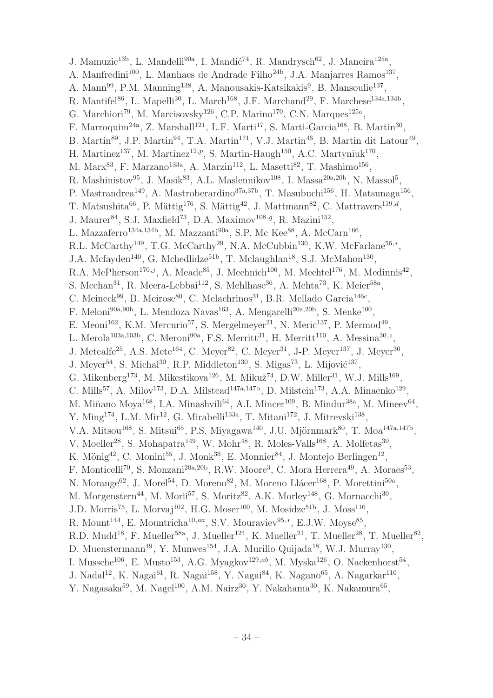J. Mamuzic<sup>13b</sup>, L. Mandelli<sup>90a</sup>, I. Mandić<sup>74</sup>, R. Mandrysch<sup>62</sup>, J. Maneira<sup>125a</sup>, A. Manfredini<sup>100</sup>, L. Manhaes de Andrade Filho<sup>24b</sup>, J.A. Manjarres Ramos<sup>137</sup>, A. Mann<sup>99</sup>, P.M. Manning<sup>138</sup>, A. Manousakis-Katsikakis<sup>9</sup>, B. Mansoulie<sup>137</sup>, R. Mantifel<sup>86</sup>, L. Mapelli<sup>30</sup>, L. March<sup>168</sup>, J.F. Marchand<sup>29</sup>, F. Marchese<sup>134a,134b</sup>, G. Marchiori<sup>79</sup>, M. Marcisovsky<sup>126</sup>, C.P. Marino<sup>170</sup>, C.N. Marques<sup>125a</sup>, F. Marroquim<sup>24a</sup>, Z. Marshall<sup>121</sup>, L.F. Marti<sup>17</sup>, S. Marti-Garcia<sup>168</sup>, B. Martin<sup>30</sup>, B. Martin<sup>89</sup>, J.P. Martin<sup>94</sup>, T.A. Martin<sup>171</sup>, V.J. Martin<sup>46</sup>, B. Martin dit Latour<sup>49</sup>, H. Martinez<sup>137</sup>, M. Martinez<sup>12,p</sup>, S. Martin-Haugh<sup>150</sup>, A.C. Martyniuk<sup>170</sup>, M. Marx<sup>83</sup>, F. Marzano<sup>133a</sup>, A. Marzin<sup>112</sup>, L. Masetti<sup>82</sup>, T. Mashimo<sup>156</sup>, R. Mashinistov<sup>95</sup>, J. Masik<sup>83</sup>, A.L. Maslennikov<sup>108</sup>, I. Massa<sup>20a,20b</sup>, N. Massol<sup>5</sup>, P. Mastrandrea<sup>149</sup>, A. Mastroberardino<sup>37a,37b</sup>, T. Masubuchi<sup>156</sup>, H. Matsunaga<sup>156</sup>, T. Matsushita<sup>66</sup>, P. Mättig<sup>176</sup>, S. Mättig<sup>42</sup>, J. Mattmann<sup>82</sup>, C. Mattravers<sup>119,d</sup>, J. Maurer<sup>84</sup>, S.J. Maxfield<sup>73</sup>, D.A. Maximov<sup>108,9</sup>, R. Mazini<sup>152</sup>, L. Mazzaferro<sup>134a,134b</sup>, M. Mazzanti<sup>90a</sup>, S.P. Mc Kee<sup>88</sup>, A. McCarn<sup>166</sup>, R.L. McCarthy<sup>149</sup>, T.G. McCarthy<sup>29</sup>, N.A. McCubbin<sup>130</sup>, K.W. McFarlane<sup>56,\*</sup>, J.A. Mcfayden<sup>140</sup>, G. Mchedlidze<sup>51b</sup>, T. Mclaughlan<sup>18</sup>, S.J. McMahon<sup>130</sup>, R.A. McPherson<sup>170,j</sup>, A. Meade<sup>85</sup>, J. Mechnich<sup>106</sup>, M. Mechtel<sup>176</sup>, M. Medinnis<sup>42</sup>, S. Meehan<sup>31</sup>, R. Meera-Lebbai<sup>112</sup>, S. Mehlhase<sup>36</sup>, A. Mehta<sup>73</sup>, K. Meier<sup>58a</sup>, C. Meineck<sup>99</sup>, B. Meirose<sup>80</sup>, C. Melachrinos<sup>31</sup>, B.R. Mellado Garcia<sup>146c</sup>, F. Meloni<sup>90a, 90b</sup>, L. Mendoza Navas<sup>163</sup>, A. Mengarelli<sup>20a, 20b</sup>, S. Menke<sup>100</sup>, E. Meoni<sup>162</sup>, K.M. Mercurio<sup>57</sup>, S. Mergelmeyer<sup>21</sup>, N. Meric<sup>137</sup>, P. Mermod<sup>49</sup>, L. Merola<sup>103a,103b</sup>, C. Meroni<sup>90a</sup>, F.S. Merritt<sup>31</sup>, H. Merritt<sup>110</sup>, A. Messina<sup>30,z</sup>, J. Metcalfe<sup>25</sup>, A.S. Mete<sup>164</sup>, C. Meyer<sup>82</sup>, C. Meyer<sup>31</sup>, J-P. Meyer<sup>137</sup>, J. Meyer<sup>30</sup>, J. Meyer<sup>54</sup>, S. Michal<sup>30</sup>, R.P. Middleton<sup>130</sup>, S. Migas<sup>73</sup>, L. Mijović<sup>137</sup>, G. Mikenberg<sup>173</sup>, M. Mikestikova<sup>126</sup>, M. Mikuž<sup>74</sup>, D.W. Miller<sup>31</sup>, W.J. Mills<sup>169</sup>, C. Mills<sup>57</sup>, A. Milov<sup>173</sup>, D.A. Milstead<sup>147a,147b</sup>, D. Milstein<sup>173</sup>, A.A. Minaenko<sup>129</sup>, M. Miñano Moya<sup>168</sup>, I.A. Minashvili<sup>64</sup>, A.I. Mincer<sup>109</sup>, B. Mindur<sup>38a</sup>, M. Mineev<sup>64</sup>, Y. Ming<sup>174</sup>, L.M. Mir<sup>12</sup>, G. Mirabelli<sup>133a</sup>, T. Mitani<sup>172</sup>, J. Mitrevski<sup>138</sup>, V.A. Mitsou<sup>168</sup>, S. Mitsui<sup>65</sup>, P.S. Miyagawa<sup>140</sup>, J.U. Mjörnmark<sup>80</sup>, T. Moa<sup>147a,147b</sup>, V. Moeller<sup>28</sup>, S. Mohapatra<sup>149</sup>, W. Mohr<sup>48</sup>, R. Moles-Valls<sup>168</sup>, A. Molfetas<sup>30</sup>, K. Mönig<sup>42</sup>, C. Monini<sup>55</sup>, J. Monk<sup>36</sup>, E. Monnier<sup>84</sup>, J. Montejo Berlingen<sup>12</sup>, F. Monticelli<sup>70</sup>, S. Monzani<sup>20a,20b</sup>, R.W. Moore<sup>3</sup>, C. Mora Herrera<sup>49</sup>, A. Moraes<sup>53</sup>, N. Morange<sup>62</sup>, J. Morel<sup>54</sup>, D. Moreno<sup>82</sup>, M. Moreno Llácer<sup>168</sup>, P. Morettini<sup>50a</sup>, M. Morgenstern<sup>44</sup>, M. Morii<sup>57</sup>, S. Moritz<sup>82</sup>, A.K. Morley<sup>148</sup>, G. Mornacchi<sup>30</sup>, J.D. Morris<sup>75</sup>, L. Morvaj<sup>102</sup>, H.G. Moser<sup>100</sup>, M. Mosidze<sup>51b</sup>, J. Moss<sup>110</sup>, R. Mount<sup>144</sup>, E. Mountricha<sup>10,aa</sup>, S.V. Mouraviev<sup>95,\*</sup>, E.J.W. Moyse<sup>85</sup>, R.D. Mudd<sup>18</sup>, F. Mueller<sup>58a</sup>, J. Mueller<sup>124</sup>, K. Mueller<sup>21</sup>, T. Mueller<sup>28</sup>, T. Mueller<sup>82</sup>, D. Muenstermann<sup>49</sup>, Y. Munwes<sup>154</sup>, J.A. Murillo Quijada<sup>18</sup>, W.J. Murray<sup>130</sup>, I. Mussche<sup>106</sup>, E. Musto<sup>153</sup>, A.G. Myagkov<sup>129,ab</sup>, M. Myska<sup>126</sup>, O. Nackenhorst<sup>54</sup>, J. Nadal<sup>12</sup>, K. Nagai<sup>61</sup>, R. Nagai<sup>158</sup>, Y. Nagai<sup>84</sup>, K. Nagano<sup>65</sup>, A. Nagarkar<sup>110</sup>, Y. Nagasaka $^{59}$ , M. Nagel<sup>100</sup>, A.M. Nairz<sup>30</sup>, Y. Nakahama<sup>30</sup>, K. Nakamura<sup>65</sup>,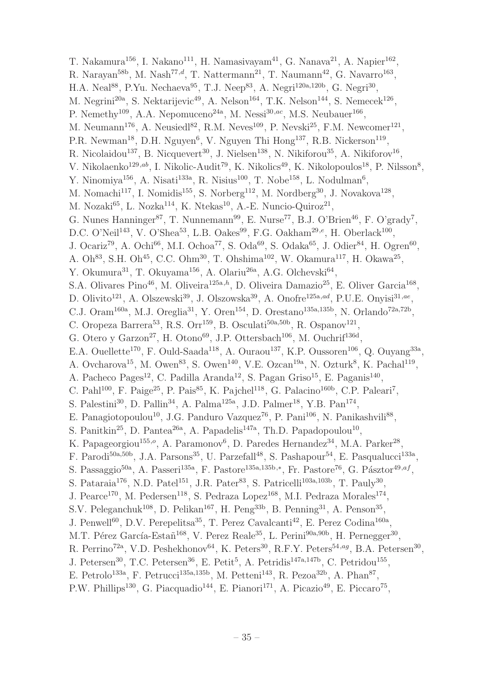T. Nakamura<sup>156</sup>, I. Nakano<sup>111</sup>, H. Namasivayam<sup>41</sup>, G. Nanava<sup>21</sup>, A. Napier<sup>162</sup>, R. Narayan<sup>58b</sup>, M. Nash<sup>77,d</sup>, T. Nattermann<sup>21</sup>, T. Naumann<sup>42</sup>, G. Navarro<sup>163</sup>, H.A. Neal<sup>88</sup>, P.Yu. Nechaeva<sup>95</sup>, T.J. Neep<sup>83</sup>, A. Negri<sup>120a,120b</sup>, G. Negri<sup>30</sup>, M. Negrini<sup>20a</sup>, S. Nektarijevic<sup>49</sup>, A. Nelson<sup>164</sup>, T.K. Nelson<sup>144</sup>, S. Nemecek<sup>126</sup>, P. Nemethy<sup>109</sup>, A.A. Nepomuceno<sup>24a</sup>, M. Nessi<sup>30,ac</sup>, M.S. Neubauer<sup>166</sup>, M. Neumann<sup>176</sup>, A. Neusiedl<sup>82</sup>, R.M. Neves<sup>109</sup>, P. Nevski<sup>25</sup>, F.M. Newcomer<sup>121</sup>, P.R. Newman<sup>18</sup>, D.H. Nguyen<sup>6</sup>, V. Nguyen Thi Hong<sup>137</sup>, R.B. Nickerson<sup>119</sup>, R. Nicolaidou<sup>137</sup>, B. Nicquevert<sup>30</sup>, J. Nielsen<sup>138</sup>, N. Nikiforou<sup>35</sup>, A. Nikiforov<sup>16</sup>, V. Nikolaenko<sup>129,ab</sup>, I. Nikolic-Audit<sup>79</sup>, K. Nikolics<sup>49</sup>, K. Nikolopoulos<sup>18</sup>, P. Nilsson<sup>8</sup>, Y. Ninomiya<sup>156</sup>, A. Nisati<sup>133a</sup>, R. Nisius<sup>100</sup>, T. Nobe<sup>158</sup>, L. Nodulman<sup>6</sup>, M. Nomachi<sup>117</sup>, I. Nomidis<sup>155</sup>, S. Norberg<sup>112</sup>, M. Nordberg<sup>30</sup>, J. Novakova<sup>128</sup>, M. Nozaki<sup>65</sup>, L. Nozka<sup>114</sup>, K. Ntekas<sup>10</sup>, A.-E. Nuncio-Quiroz<sup>21</sup>, G. Nunes Hanninger<sup>87</sup>, T. Nunnemann<sup>99</sup>, E. Nurse<sup>77</sup>, B.J. O'Brien<sup>46</sup>, F. O'grady<sup>7</sup>, D.C. O'Neil<sup>143</sup>, V. O'Shea<sup>53</sup>, L.B. Oakes<sup>99</sup>, F.G. Oakham<sup>29,e</sup>, H. Oberlack<sup>100</sup>, J. Ocariz<sup>79</sup>, A. Ochi<sup>66</sup>, M.I. Ochoa<sup>77</sup>, S. Oda<sup>69</sup>, S. Odaka<sup>65</sup>, J. Odier<sup>84</sup>, H. Ogren<sup>60</sup>, A. Oh<sup>83</sup>, S.H. Oh<sup>45</sup>, C.C. Ohm<sup>30</sup>, T. Ohshima<sup>102</sup>, W. Okamura<sup>117</sup>, H. Okawa<sup>25</sup>, Y. Okumura<sup>31</sup>, T. Okuyama<sup>156</sup>, A. Olariu<sup>26a</sup>, A.G. Olchevski<sup>64</sup>, S.A. Olivares Pino<sup>46</sup>, M. Oliveira<sup>125a,h</sup>, D. Oliveira Damazio<sup>25</sup>, E. Oliver Garcia<sup>168</sup>, D. Olivito<sup>121</sup>, A. Olszewski<sup>39</sup>, J. Olszowska<sup>39</sup>, A. Onofre<sup>125a,ad</sup>, P.U.E. Onyisi<sup>31,ae</sup>, C.J. Oram<sup>160a</sup>, M.J. Oreglia<sup>31</sup>, Y. Oren<sup>154</sup>, D. Orestano<sup>135a,135b</sup>, N. Orlando<sup>72a,72b</sup>, C. Oropeza Barrera<sup>53</sup>, R.S. Orr<sup>159</sup>, B. Osculati<sup>50a,50b</sup>, R. Ospanov<sup>121</sup>, G. Otero y Garzon<sup>27</sup>, H. Otono<sup>69</sup>, J.P. Ottersbach<sup>106</sup>, M. Ouchrif<sup>136d</sup>, E.A. Ouellette<sup>170</sup>, F. Ould-Saada<sup>118</sup>, A. Ouraou<sup>137</sup>, K.P. Oussoren<sup>106</sup>, Q. Ouyang<sup>33a</sup>, A. Ovcharova<sup>15</sup>, M. Owen<sup>83</sup>, S. Owen<sup>140</sup>, V.E. Ozcan<sup>19a</sup>, N. Ozturk<sup>8</sup>, K. Pachal<sup>119</sup>, A. Pacheco Pages<sup>12</sup>, C. Padilla Aranda<sup>12</sup>, S. Pagan Griso<sup>15</sup>, E. Paganis<sup>140</sup>, C. Pahl<sup>100</sup>, F. Paige<sup>25</sup>, P. Pais<sup>85</sup>, K. Pajchel<sup>118</sup>, G. Palacino<sup>160b</sup>, C.P. Paleari<sup>7</sup>, S. Palestini<sup>30</sup>, D. Pallin<sup>34</sup>, A. Palma<sup>125a</sup>, J.D. Palmer<sup>18</sup>, Y.B. Pan<sup>174</sup>, E. Panagiotopoulou<sup>10</sup>, J.G. Panduro Vazquez<sup>76</sup>, P. Pani<sup>106</sup>, N. Panikashvili<sup>88</sup>, S. Panitkin<sup>25</sup>, D. Pantea<sup>26a</sup>, A. Papadelis<sup>147a</sup>, Th.D. Papadopoulou<sup>10</sup>, K. Papageorgiou<sup>155,</sup><sup>o</sup>, A. Paramonov<sup>6</sup>, D. Paredes Hernandez<sup>34</sup>, M.A. Parker<sup>28</sup>, F. Parodi<sup>50a,50b</sup>, J.A. Parsons<sup>35</sup>, U. Parzefall<sup>48</sup>, S. Pashapour<sup>54</sup>, E. Pasqualucci<sup>133a</sup>, S. Passaggio<sup>50a</sup>, A. Passeri<sup>135a</sup>, F. Pastore<sup>135a,135b,\*</sup>, Fr. Pastore<sup>76</sup>, G. Pásztor<sup>49,af</sup>, S. Pataraia<sup>176</sup>, N.D. Patel<sup>151</sup>, J.R. Pater<sup>83</sup>, S. Patricelli<sup>103a,103b</sup>, T. Pauly<sup>30</sup>, J. Pearce<sup>170</sup>, M. Pedersen<sup>118</sup>, S. Pedraza Lopez<sup>168</sup>, M.I. Pedraza Morales<sup>174</sup>, S.V. Peleganchuk<sup>108</sup>, D. Pelikan<sup>167</sup>, H. Peng<sup>33b</sup>, B. Penning<sup>31</sup>, A. Penson<sup>35</sup>, J. Penwell<sup>60</sup>, D.V. Perepelitsa<sup>35</sup>, T. Perez Cavalcanti<sup>42</sup>, E. Perez Codina<sup>160a</sup>, M.T. Pérez García-Estañ<sup>168</sup>, V. Perez Reale<sup>35</sup>, L. Perini<sup>90a,90b</sup>, H. Pernegger<sup>30</sup>, R. Perrino<sup>72a</sup>, V.D. Peshekhonov<sup>64</sup>, K. Peters<sup>30</sup>, R.F.Y. Peters<sup>54,ag</sup>, B.A. Petersen<sup>30</sup>, J. Petersen<sup>30</sup>, T.C. Petersen<sup>36</sup>, E. Petit<sup>5</sup>, A. Petridis<sup>147a,147b</sup>, C. Petridou<sup>155</sup>, E. Petrolo<sup>133a</sup>, F. Petrucci<sup>135a,135b</sup>, M. Petteni<sup>143</sup>, R. Pezoa<sup>32b</sup>, A. Phan<sup>87</sup>, P.W. Phillips<sup>130</sup>, G. Piacquadio<sup>144</sup>, E. Pianori<sup>171</sup>, A. Picazio<sup>49</sup>, E. Piccaro<sup>75</sup>,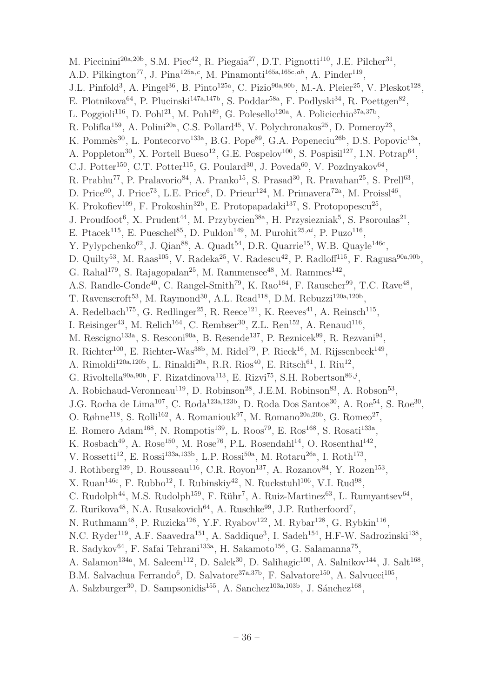M. Piccinini<sup>20a,20b</sup>, S.M. Piec<sup>42</sup>, R. Piegaia<sup>27</sup>, D.T. Pignotti<sup>110</sup>, J.E. Pilcher<sup>31</sup>, A.D. Pilkington<sup>77</sup>, J. Pina<sup>125a,c</sup>, M. Pinamonti<sup>165a,165c,ah</sup>, A. Pinder<sup>119</sup>, J.L. Pinfold<sup>3</sup>, A. Pingel<sup>36</sup>, B. Pinto<sup>125a</sup>, C. Pizio<sup>90a,90b</sup>, M.-A. Pleier<sup>25</sup>, V. Pleskot<sup>128</sup>, E. Plotnikova<sup>64</sup>, P. Plucinski<sup>147a,147b</sup>, S. Poddar<sup>58a</sup>, F. Podlyski<sup>34</sup>, R. Poettgen<sup>82</sup>, L. Poggioli<sup>116</sup>, D. Pohl<sup>21</sup>, M. Pohl<sup>49</sup>, G. Polesello<sup>120a</sup>, A. Policicchio<sup>37a,37b</sup>, R. Polifka<sup>159</sup>, A. Polini<sup>20a</sup>, C.S. Pollard<sup>45</sup>, V. Polychronakos<sup>25</sup>, D. Pomeroy<sup>23</sup>, K. Pommès<sup>30</sup>, L. Pontecorvo<sup>133a</sup>, B.G. Pope<sup>89</sup>, G.A. Popeneciu<sup>26b</sup>, D.S. Popovic<sup>13a</sup>, A. Poppleton<sup>30</sup>, X. Portell Bueso<sup>12</sup>, G.E. Pospelov<sup>100</sup>, S. Pospisil<sup>127</sup>, I.N. Potrap<sup>64</sup>, C.J. Potter<sup>150</sup>, C.T. Potter<sup>115</sup>, G. Poulard<sup>30</sup>, J. Poveda<sup>60</sup>, V. Pozdnyakov<sup>64</sup>, R. Prabhu<sup>77</sup>, P. Pralavorio<sup>84</sup>, A. Pranko<sup>15</sup>, S. Prasad<sup>30</sup>, R. Pravahan<sup>25</sup>, S. Prell<sup>63</sup>, D. Price<sup>60</sup>, J. Price<sup>73</sup>, L.E. Price<sup>6</sup>, D. Prieur<sup>124</sup>, M. Primavera<sup>72a</sup>, M. Proissl<sup>46</sup>, K. Prokofiev<sup>109</sup>, F. Prokoshin<sup>32b</sup>, E. Protopapadaki<sup>137</sup>, S. Protopopescu<sup>25</sup>, J. Proudfoot<sup>6</sup>, X. Prudent<sup>44</sup>, M. Przybycien<sup>38a</sup>, H. Przysiezniak<sup>5</sup>, S. Psoroulas<sup>21</sup>, E. Ptacek<sup>115</sup>, E. Pueschel<sup>85</sup>, D. Puldon<sup>149</sup>, M. Purohit<sup>25,ai</sup>, P. Puzo<sup>116</sup>, Y. Pylypchenko<sup>62</sup>, J. Qian<sup>88</sup>, A. Quadt<sup>54</sup>, D.R. Quarrie<sup>15</sup>, W.B. Quayle<sup>146c</sup>, D. Quilty<sup>53</sup>, M. Raas<sup>105</sup>, V. Radeka<sup>25</sup>, V. Radescu<sup>42</sup>, P. Radloff<sup>115</sup>, F. Ragusa<sup>90a,90b</sup>, G. Rahal<sup>179</sup>, S. Rajagopalan<sup>25</sup>, M. Rammensee<sup>48</sup>, M. Rammes<sup>142</sup>, A.S. Randle-Conde<sup>40</sup>, C. Rangel-Smith<sup>79</sup>, K. Rao<sup>164</sup>, F. Rauscher<sup>99</sup>, T.C. Rave<sup>48</sup>, T. Ravenscroft<sup>53</sup>, M. Raymond<sup>30</sup>, A.L. Read<sup>118</sup>, D.M. Rebuzzi<sup>120a,120b</sup>, A. Redelbach<sup>175</sup>, G. Redlinger<sup>25</sup>, R. Reece<sup>121</sup>, K. Reeves<sup>41</sup>, A. Reinsch<sup>115</sup>, I. Reisinger<sup>43</sup>, M. Relich<sup>164</sup>, C. Rembser<sup>30</sup>, Z.L. Ren<sup>152</sup>, A. Renaud<sup>116</sup>, M. Rescigno<sup>133a</sup>, S. Resconi<sup>90a</sup>, B. Resende<sup>137</sup>, P. Reznicek<sup>99</sup>, R. Rezvani<sup>94</sup>, R. Richter<sup>100</sup>, E. Richter-Was<sup>38b</sup>, M. Ridel<sup>79</sup>, P. Rieck<sup>16</sup>, M. Rijssenbeek<sup>149</sup>, A. Rimoldi<sup>120a,120b</sup>, L. Rinaldi<sup>20a</sup>, R.R. Rios<sup>40</sup>, E. Ritsch<sup>61</sup>, I. Riu<sup>12</sup>, G. Rivoltella<sup>90a, 90b</sup>, F. Rizatdinova<sup>113</sup>, E. Rizvi<sup>75</sup>, S.H. Robertson<sup>86, j</sup>, A. Robichaud-Veronneau<sup>119</sup>, D. Robinson<sup>28</sup>, J.E.M. Robinson<sup>83</sup>, A. Robson<sup>53</sup>, J.G. Rocha de Lima<sup>107</sup>, C. Roda<sup>123a,123b</sup>, D. Roda Dos Santos<sup>30</sup>, A. Roe<sup>54</sup>, S. Roe<sup>30</sup>, O. Røhne<sup>118</sup>, S. Rolli<sup>162</sup>, A. Romaniouk<sup>97</sup>, M. Romano<sup>20a, 20b</sup>, G. Romeo<sup>27</sup>, E. Romero Adam<sup>168</sup>, N. Rompotis<sup>139</sup>, L. Roos<sup>79</sup>, E. Ros<sup>168</sup>, S. Rosati<sup>133a</sup>, K. Rosbach<sup>49</sup>, A. Rose<sup>150</sup>, M. Rose<sup>76</sup>, P.L. Rosendahl<sup>14</sup>, O. Rosenthal<sup>142</sup>, V. Rossetti<sup>12</sup>, E. Rossi<sup>133a,133b</sup>, L.P. Rossi<sup>50a</sup>, M. Rotaru<sup>26a</sup>, I. Roth<sup>173</sup>, J. Rothberg<sup>139</sup>, D. Rousseau<sup>116</sup>, C.R. Royon<sup>137</sup>, A. Rozanov<sup>84</sup>, Y. Rozen<sup>153</sup>, X. Ruan<sup>146c</sup>, F. Rubbo<sup>12</sup>, I. Rubinskiy<sup>42</sup>, N. Ruckstuhl<sup>106</sup>, V.I. Rud<sup>98</sup>, C. Rudolph<sup>44</sup>, M.S. Rudolph<sup>159</sup>, F. Rühr<sup>7</sup>, A. Ruiz-Martinez<sup>63</sup>, L. Rumyantsev<sup>64</sup>, Z. Rurikova<sup>48</sup>, N.A. Rusakovich<sup>64</sup>, A. Ruschke<sup>99</sup>, J.P. Rutherfoord<sup>7</sup>, N. Ruthmann<sup>48</sup>, P. Ruzicka<sup>126</sup>, Y.F. Ryabov<sup>122</sup>, M. Rybar<sup>128</sup>, G. Rybkin<sup>116</sup>, N.C. Ryder<sup>119</sup>, A.F. Saavedra<sup>151</sup>, A. Saddique<sup>3</sup>, I. Sadeh<sup>154</sup>, H.F-W. Sadrozinski<sup>138</sup>, R. Sadykov<sup>64</sup>, F. Safai Tehrani<sup>133a</sup>, H. Sakamoto<sup>156</sup>, G. Salamanna<sup>75</sup>, A. Salamon<sup>134a</sup>, M. Saleem<sup>112</sup>, D. Salek<sup>30</sup>, D. Salihagic<sup>100</sup>, A. Salnikov<sup>144</sup>, J. Salt<sup>168</sup>, B.M. Salvachua Ferrando<sup>6</sup>, D. Salvatore<sup>37a,37b</sup>, F. Salvatore<sup>150</sup>, A. Salvucci<sup>105</sup>,

A. Salzburger<sup>30</sup>, D. Sampsonidis<sup>155</sup>, A. Sanchez<sup>103a,103b</sup>, J. Sánchez<sup>168</sup>,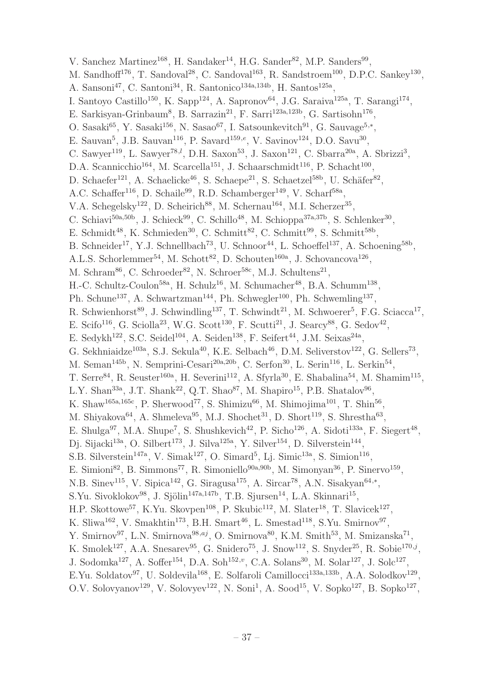V. Sanchez Martinez<sup>168</sup>, H. Sandaker<sup>14</sup>, H.G. Sander<sup>82</sup>, M.P. Sanders<sup>99</sup>, M. Sandhoff<sup>176</sup>, T. Sandoval<sup>28</sup>, C. Sandoval<sup>163</sup>, R. Sandstroem<sup>100</sup>, D.P.C. Sankey<sup>130</sup>, A. Sansoni<sup>47</sup>, C. Santoni<sup>34</sup>, R. Santonico<sup>134a,134b</sup>, H. Santos<sup>125a</sup>, I. Santoyo Castillo<sup>150</sup>, K. Sapp<sup>124</sup>, A. Sapronov<sup>64</sup>, J.G. Saraiva<sup>125a</sup>, T. Sarangi<sup>174</sup>, E. Sarkisyan-Grinbaum<sup>8</sup>, B. Sarrazin<sup>21</sup>, F. Sarri<sup>123a,123b</sup>, G. Sartisohn<sup>176</sup>, O. Sasaki<sup>65</sup>, Y. Sasaki<sup>156</sup>, N. Sasao<sup>67</sup>, I. Satsounkevitch<sup>91</sup>, G. Sauvage<sup>5,\*</sup>, E. Sauvan<sup>5</sup>, J.B. Sauvan<sup>116</sup>, P. Savard<sup>159,e</sup>, V. Savinov<sup>124</sup>, D.O. Savu<sup>30</sup>, C. Sawyer<sup>119</sup>, L. Sawyer<sup>78,*l*</sup>, D.H. Saxon<sup>53</sup>, J. Saxon<sup>121</sup>, C. Sbarra<sup>20a</sup>, A. Sbrizzi<sup>3</sup>, D.A. Scannicchio<sup>164</sup>, M. Scarcella<sup>151</sup>, J. Schaarschmidt<sup>116</sup>, P. Schacht<sup>100</sup>, D. Schaefer<sup>121</sup>, A. Schaelicke<sup>46</sup>, S. Schaepe<sup>21</sup>, S. Schaetzel<sup>58b</sup>, U. Schäfer<sup>82</sup>, A.C. Schaffer<sup>116</sup>, D. Schaile<sup>99</sup>, R.D. Schamberger<sup>149</sup>, V. Scharf<sup>58a</sup>, V.A. Schegelsky<sup>122</sup>, D. Scheirich<sup>88</sup>, M. Schernau<sup>164</sup>, M.I. Scherzer<sup>35</sup>, C. Schiavi<sup>50a,50b</sup>, J. Schieck<sup>99</sup>, C. Schillo<sup>48</sup>, M. Schioppa<sup>37a,37b</sup>, S. Schlenker<sup>30</sup>, E. Schmidt<sup>48</sup>, K. Schmieden<sup>30</sup>, C. Schmitt<sup>82</sup>, C. Schmitt<sup>99</sup>, S. Schmitt<sup>58b</sup>, B. Schneider<sup>17</sup>, Y.J. Schnellbach<sup>73</sup>, U. Schnoor<sup>44</sup>, L. Schoeffel<sup>137</sup>, A. Schoening<sup>58b</sup>, A.L.S. Schorlemmer<sup>54</sup>, M. Schott<sup>82</sup>, D. Schouten<sup>160a</sup>, J. Schovancova<sup>126</sup>, M. Schram<sup>86</sup>, C. Schroeder<sup>82</sup>, N. Schroer<sup>58c</sup>, M.J. Schultens<sup>21</sup>, H.-C. Schultz-Coulon<sup>58a</sup>, H. Schulz<sup>16</sup>, M. Schumacher<sup>48</sup>, B.A. Schumm<sup>138</sup>, Ph. Schune<sup>137</sup>, A. Schwartzman<sup>144</sup>, Ph. Schwegler<sup>100</sup>, Ph. Schwemling<sup>137</sup>, R. Schwienhorst<sup>89</sup>, J. Schwindling<sup>137</sup>, T. Schwindt<sup>21</sup>, M. Schwoerer<sup>5</sup>, F.G. Sciacca<sup>17</sup>, E. Scifo<sup>116</sup>, G. Sciolla<sup>23</sup>, W.G. Scott<sup>130</sup>, F. Scutti<sup>21</sup>, J. Searcy<sup>88</sup>, G. Sedov<sup>42</sup>, E. Sedykh<sup>122</sup>, S.C. Seidel<sup>104</sup>, A. Seiden<sup>138</sup>, F. Seifert<sup>44</sup>, J.M. Seixas<sup>24a</sup>, G. Sekhniaidze<sup>103a</sup>, S.J. Sekula<sup>40</sup>, K.E. Selbach<sup>46</sup>, D.M. Seliverstov<sup>122</sup>, G. Sellers<sup>73</sup>, M. Seman<sup>145b</sup>, N. Semprini-Cesari<sup>20a, 20b</sup>, C. Serfon<sup>30</sup>, L. Serin<sup>116</sup>, L. Serkin<sup>54</sup>, T. Serre<sup>84</sup>, R. Seuster<sup>160a</sup>, H. Severini<sup>112</sup>, A. Sfyrla<sup>30</sup>, E. Shabalina<sup>54</sup>, M. Shamim<sup>115</sup>, L.Y. Shan<sup>33a</sup>, J.T. Shank<sup>22</sup>, Q.T. Shao<sup>87</sup>, M. Shapiro<sup>15</sup>, P.B. Shatalov<sup>96</sup>, K. Shaw<sup>165a,165c</sup>, P. Sherwood<sup>77</sup>, S. Shimizu<sup>66</sup>, M. Shimojima<sup>101</sup>, T. Shin<sup>56</sup>, M. Shiyakova<sup>64</sup>, A. Shmeleva<sup>95</sup>, M.J. Shochet<sup>31</sup>, D. Short<sup>119</sup>, S. Shrestha<sup>63</sup>, E. Shulga<sup>97</sup>, M.A. Shupe<sup>7</sup>, S. Shushkevich<sup>42</sup>, P. Sicho<sup>126</sup>, A. Sidoti<sup>133a</sup>, F. Siegert<sup>48</sup>, Dj. Sijacki<sup>13a</sup>, O. Silbert<sup>173</sup>, J. Silva<sup>125a</sup>, Y. Silver<sup>154</sup>, D. Silverstein<sup>144</sup>, S.B. Silverstein<sup>147a</sup>, V. Simak<sup>127</sup>, O. Simard<sup>5</sup>, Lj. Simic<sup>13a</sup>, S. Simion<sup>116</sup>, E. Simioni<sup>82</sup>, B. Simmons<sup>77</sup>, R. Simoniello<sup>90a,90b</sup>, M. Simonyan<sup>36</sup>, P. Sinervo<sup>159</sup>, N.B. Sinev<sup>115</sup>, V. Sipica<sup>142</sup>, G. Siragusa<sup>175</sup>, A. Sircar<sup>78</sup>, A.N. Sisakyan<sup>64,\*</sup>, S.Yu. Sivoklokov<sup>98</sup>, J. Sjölin<sup>147a,147b</sup>, T.B. Sjursen<sup>14</sup>, L.A. Skinnari<sup>15</sup>, H.P. Skottowe<sup>57</sup>, K.Yu. Skovpen<sup>108</sup>, P. Skubic<sup>112</sup>, M. Slater<sup>18</sup>, T. Slavicek<sup>127</sup>, K. Sliwa<sup>162</sup>, V. Smakhtin<sup>173</sup>, B.H. Smart<sup>46</sup>, L. Smestad<sup>118</sup>, S.Yu. Smirnov<sup>97</sup>, Y. Smirnov<sup>97</sup>, L.N. Smirnova<sup>98,aj</sup>, O. Smirnova<sup>80</sup>, K.M. Smith<sup>53</sup>, M. Smizanska<sup>71</sup>, K. Smolek<sup>127</sup>, A.A. Snesarev<sup>95</sup>, G. Snidero<sup>75</sup>, J. Snow<sup>112</sup>, S. Snyder<sup>25</sup>, R. Sobie<sup>170,j</sup>, J. Sodomka<sup>127</sup>, A. Soffer<sup>154</sup>, D.A. Soh<sup>152,*v*</sup>, C.A. Solans<sup>30</sup>, M. Solar<sup>127</sup>, J. Solc<sup>127</sup>, E.Yu. Soldatov<sup>97</sup>, U. Soldevila<sup>168</sup>, E. Solfaroli Camillocci<sup>133a,133b</sup>, A.A. Solodkov<sup>129</sup>, O.V. Solovyanov<sup>129</sup>, V. Solovyev<sup>122</sup>, N. Soni<sup>1</sup>, A. Sood<sup>15</sup>, V. Sopko<sup>127</sup>, B. Sopko<sup>127</sup>,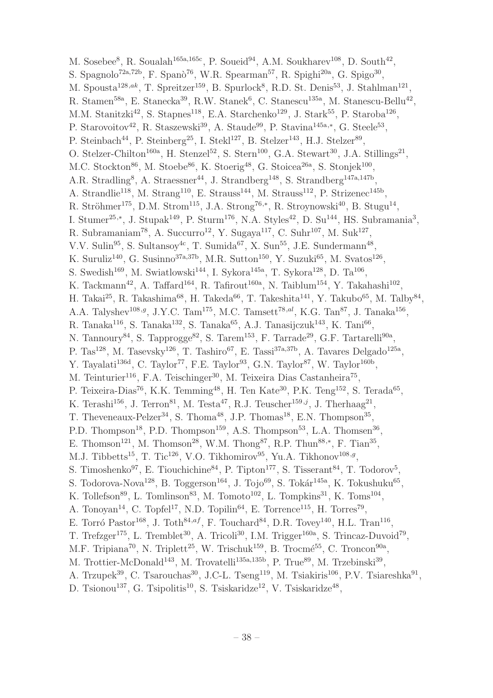M. Sosebee<sup>8</sup>, R. Soualah<sup>165a,165c</sup>, P. Soueid<sup>94</sup>, A.M. Soukharev<sup>108</sup>, D. South<sup>42</sup>, S. Spagnolo<sup>72a,72b</sup>, F. Spanò<sup>76</sup>, W.R. Spearman<sup>57</sup>, R. Spighi<sup>20a</sup>, G. Spigo<sup>30</sup>, M. Spousta<sup>128,ak</sup>, T. Spreitzer<sup>159</sup>, B. Spurlock<sup>8</sup>, R.D. St. Denis<sup>53</sup>, J. Stahlman<sup>121</sup>, R. Stamen<sup>58a</sup>, E. Stanecka<sup>39</sup>, R.W. Stanek<sup>6</sup>, C. Stanescu<sup>135a</sup>, M. Stanescu-Bellu<sup>42</sup>, M.M. Stanitzki<sup>42</sup>, S. Stapnes<sup>118</sup>, E.A. Starchenko<sup>129</sup>, J. Stark<sup>55</sup>, P. Staroba<sup>126</sup>, P. Starovoitov<sup>42</sup>, R. Staszewski<sup>39</sup>, A. Staude<sup>99</sup>, P. Stavina<sup>145a,\*</sup>, G. Steele<sup>53</sup>, P. Steinbach<sup>44</sup>, P. Steinberg<sup>25</sup>, I. Stekl<sup>127</sup>, B. Stelzer<sup>143</sup>, H.J. Stelzer<sup>89</sup>, O. Stelzer-Chilton<sup>160a</sup>, H. Stenzel<sup>52</sup>, S. Stern<sup>100</sup>, G.A. Stewart<sup>30</sup>, J.A. Stillings<sup>21</sup>, M.C. Stockton<sup>86</sup>, M. Stoebe<sup>86</sup>, K. Stoerig<sup>48</sup>, G. Stoicea<sup>26a</sup>, S. Stonjek<sup>100</sup>, A.R. Stradling<sup>8</sup>, A. Straessner<sup>44</sup>, J. Strandberg<sup>148</sup>, S. Strandberg<sup>147a,147b</sup>, A. Strandlie<sup>118</sup>, M. Strang<sup>110</sup>, E. Strauss<sup>144</sup>, M. Strauss<sup>112</sup>, P. Strizenec<sup>145b</sup>, R. Ströhmer<sup>175</sup>, D.M. Strom<sup>115</sup>, J.A. Strong<sup>76,\*</sup>, R. Stroynowski<sup>40</sup>, B. Stugu<sup>14</sup>, I. Stumer<sup>25,\*</sup>, J. Stupak<sup>149</sup>, P. Sturm<sup>176</sup>, N.A. Styles<sup>42</sup>, D. Su<sup>144</sup>, HS. Subramania<sup>3</sup>, R. Subramaniam<sup>78</sup>, A. Succurro<sup>12</sup>, Y. Sugaya<sup>117</sup>, C. Suhr<sup>107</sup>, M. Suk<sup>127</sup>, V.V. Sulin<sup>95</sup>, S. Sultansoy<sup>4c</sup>, T. Sumida<sup>67</sup>, X. Sun<sup>55</sup>, J.E. Sundermann<sup>48</sup>, K. Suruliz<sup>140</sup>, G. Susinno<sup>37a,37b</sup>, M.R. Sutton<sup>150</sup>, Y. Suzuki<sup>65</sup>, M. Svatos<sup>126</sup>, S. Swedish<sup>169</sup>, M. Swiatlowski<sup>144</sup>, I. Sykora<sup>145a</sup>, T. Sykora<sup>128</sup>, D. Ta<sup>106</sup>, K. Tackmann<sup>42</sup>, A. Taffard<sup>164</sup>, R. Tafirout<sup>160a</sup>, N. Taiblum<sup>154</sup>, Y. Takahashi<sup>102</sup>, H. Takai<sup>25</sup>, R. Takashima<sup>68</sup>, H. Takeda<sup>66</sup>, T. Takeshita<sup>141</sup>, Y. Takubo<sup>65</sup>, M. Talby<sup>84</sup>, A.A. Talyshev<sup>108, g</sup>, J.Y.C. Tam<sup>175</sup>, M.C. Tamsett<sup>78, al</sup>, K.G. Tan<sup>87</sup>, J. Tanaka<sup>156</sup>, R. Tanaka<sup>116</sup>, S. Tanaka<sup>132</sup>, S. Tanaka<sup>65</sup>, A.J. Tanasijczuk<sup>143</sup>, K. Tani<sup>66</sup>, N. Tannoury<sup>84</sup>, S. Tapprogge<sup>82</sup>, S. Tarem<sup>153</sup>, F. Tarrade<sup>29</sup>, G.F. Tartarelli<sup>90a</sup>, P. Tas<sup>128</sup>, M. Tasevsky<sup>126</sup>, T. Tashiro<sup>67</sup>, E. Tassi<sup>37a,37b</sup>, A. Tavares Delgado<sup>125a</sup>, Y. Tayalati<sup>136d</sup>, C. Taylor<sup>77</sup>, F.E. Taylor<sup>93</sup>, G.N. Taylor<sup>87</sup>, W. Taylor<sup>160b</sup>, M. Teinturier<sup>116</sup>, F.A. Teischinger<sup>30</sup>, M. Teixeira Dias Castanheira<sup>75</sup>, P. Teixeira-Dias<sup>76</sup>, K.K. Temming<sup>48</sup>, H. Ten Kate<sup>30</sup>, P.K. Teng<sup>152</sup>, S. Terada<sup>65</sup>, K. Terashi<sup>156</sup>, J. Terron<sup>81</sup>, M. Testa<sup>47</sup>, R.J. Teuscher<sup>159,j</sup>, J. Therhaag<sup>21</sup>, T. Theveneaux-Pelzer<sup>34</sup>, S. Thoma<sup>48</sup>, J.P. Thomas<sup>18</sup>, E.N. Thompson<sup>35</sup>, P.D. Thompson<sup>18</sup>, P.D. Thompson<sup>159</sup>, A.S. Thompson<sup>53</sup>, L.A. Thomsen<sup>36</sup>, E. Thomson<sup>121</sup>, M. Thomson<sup>28</sup>, W.M. Thong<sup>87</sup>, R.P. Thun<sup>88,\*</sup>, F. Tian<sup>35</sup>, M.J. Tibbetts<sup>15</sup>, T. Tic<sup>126</sup>, V.O. Tikhomirov<sup>95</sup>, Yu.A. Tikhonov<sup>108,9</sup>, S. Timoshenko<sup>97</sup>, E. Tiouchichine<sup>84</sup>, P. Tipton<sup>177</sup>, S. Tisserant<sup>84</sup>, T. Todorov<sup>5</sup>, S. Todorova-Nova $^{128}$ , B. Toggerson $^{164}$ , J. Tojo $^{69}$ , S. Tokár $^{145a}$ , K. Tokushuku $^{65}$ , K. Tollefson<sup>89</sup>, L. Tomlinson<sup>83</sup>, M. Tomoto<sup>102</sup>, L. Tompkins<sup>31</sup>, K. Toms<sup>104</sup>, A. Tonoyan<sup>14</sup>, C. Topfel<sup>17</sup>, N.D. Topilin<sup>64</sup>, E. Torrence<sup>115</sup>, H. Torres<sup>79</sup>, E. Torró Pastor<sup>168</sup>, J. Toth<sup>84,af</sup>, F. Touchard<sup>84</sup>, D.R. Tovey<sup>140</sup>, H.L. Tran<sup>116</sup>, T. Trefzger<sup>175</sup>, L. Tremblet<sup>30</sup>, A. Tricoli<sup>30</sup>, I.M. Trigger<sup>160a</sup>, S. Trincaz-Duvoid<sup>79</sup>, M.F. Tripiana<sup>70</sup>, N. Triplett<sup>25</sup>, W. Trischuk<sup>159</sup>, B. Trocmé<sup>55</sup>, C. Troncon<sup>90a</sup>, M. Trottier-McDonald<sup>143</sup>, M. Trovatelli<sup>135a,135b</sup>, P. True<sup>89</sup>, M. Trzebinski<sup>39</sup>, A. Trzupek<sup>39</sup>, C. Tsarouchas<sup>30</sup>, J.C-L. Tseng<sup>119</sup>, M. Tsiakiris<sup>106</sup>, P.V. Tsiareshka<sup>91</sup>, D. Tsionou<sup>137</sup>, G. Tsipolitis<sup>10</sup>, S. Tsiskaridze<sup>12</sup>, V. Tsiskaridze<sup>48</sup>,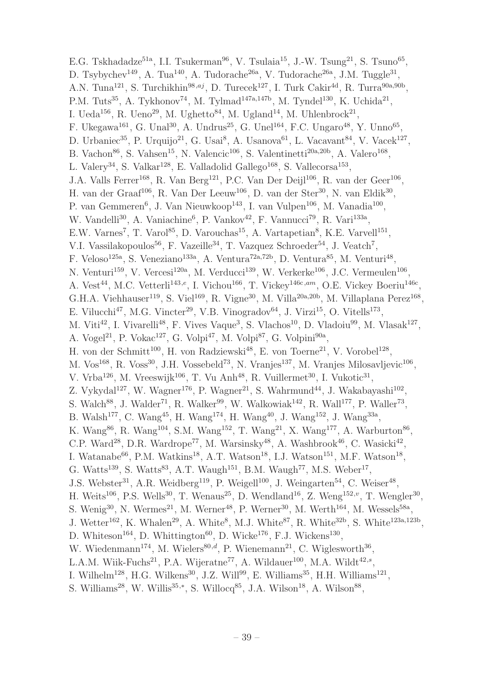E.G. Tskhadadze<sup>51a</sup>, I.I. Tsukerman<sup>96</sup>, V. Tsulaia<sup>15</sup>, J.-W. Tsung<sup>21</sup>, S. Tsuno<sup>65</sup>, D. Tsybychev<sup>149</sup>, A. Tua<sup>140</sup>, A. Tudorache<sup>26a</sup>, V. Tudorache<sup>26a</sup>, J.M. Tuggle<sup>31</sup>, A.N. Tuna<sup>121</sup>, S. Turchikhin<sup>98,aj</sup>, D. Turecek<sup>127</sup>, I. Turk Cakir<sup>4d</sup>, R. Turra<sup>90a,90b</sup>, P.M. Tuts<sup>35</sup>, A. Tykhonov<sup>74</sup>, M. Tylmad<sup>147a,147b</sup>, M. Tyndel<sup>130</sup>, K. Uchida<sup>21</sup>, I. Ueda<sup>156</sup>, R. Ueno<sup>29</sup>, M. Ughetto<sup>84</sup>, M. Ugland<sup>14</sup>, M. Uhlenbrock<sup>21</sup>, F. Ukegawa<sup>161</sup>, G. Unal<sup>30</sup>, A. Undrus<sup>25</sup>, G. Unel<sup>164</sup>, F.C. Ungaro<sup>48</sup>, Y. Unno<sup>65</sup>, D. Urbaniec<sup>35</sup>, P. Urquijo<sup>21</sup>, G. Usai<sup>8</sup>, A. Usanova<sup>61</sup>, L. Vacavant<sup>84</sup>, V. Vacek<sup>127</sup>, B. Vachon<sup>86</sup>, S. Vahsen<sup>15</sup>, N. Valencic<sup>106</sup>, S. Valentinetti<sup>20a,20b</sup>, A. Valero<sup>168</sup>, L. Valery<sup>34</sup>, S. Valkar<sup>128</sup>, E. Valladolid Gallego<sup>168</sup>, S. Vallecorsa<sup>153</sup>, J.A. Valls Ferrer<sup>168</sup>, R. Van Berg<sup>121</sup>, P.C. Van Der Deijl<sup>106</sup>, R. van der Geer<sup>106</sup>, H. van der Graaf<sup>106</sup>, R. Van Der Leeuw<sup>106</sup>, D. van der Ster<sup>30</sup>, N. van Eldik<sup>30</sup>, P. van Gemmeren<sup>6</sup>, J. Van Nieuwkoop<sup>143</sup>, I. van Vulpen<sup>106</sup>, M. Vanadia<sup>100</sup>, W. Vandelli<sup>30</sup>, A. Vaniachine<sup>6</sup>, P. Vankov<sup>42</sup>, F. Vannucci<sup>79</sup>, R. Vari<sup>133a</sup>, E.W. Varnes<sup>7</sup>, T. Varol<sup>85</sup>, D. Varouchas<sup>15</sup>, A. Vartapetian<sup>8</sup>, K.E. Varvell<sup>151</sup>, V.I. Vassilakopoulos<sup>56</sup>, F. Vazeille<sup>34</sup>, T. Vazquez Schroeder<sup>54</sup>, J. Veatch<sup>7</sup>, F. Veloso<sup>125a</sup>, S. Veneziano<sup>133a</sup>, A. Ventura<sup>72a,72b</sup>, D. Ventura<sup>85</sup>, M. Venturi<sup>48</sup>, N. Venturi<sup>159</sup>, V. Vercesi<sup>120a</sup>, M. Verducci<sup>139</sup>, W. Verkerke<sup>106</sup>, J.C. Vermeulen<sup>106</sup>, A. Vest<sup>44</sup>, M.C. Vetterli<sup>143,e</sup>, I. Vichou<sup>166</sup>, T. Vickey<sup>146c,am</sup>, O.E. Vickey Boeriu<sup>146c</sup>, G.H.A. Viehhauser<sup>119</sup>, S. Viel<sup>169</sup>, R. Vigne<sup>30</sup>, M. Villa<sup>20a,20b</sup>, M. Villaplana Perez<sup>168</sup>, E. Vilucchi<sup>47</sup>, M.G. Vincter<sup>29</sup>, V.B. Vinogradov<sup>64</sup>, J. Virzi<sup>15</sup>, O. Vitells<sup>173</sup>, M. Viti<sup>42</sup>, I. Vivarelli<sup>48</sup>, F. Vives Vaque<sup>3</sup>, S. Vlachos<sup>10</sup>, D. Vladoiu<sup>99</sup>, M. Vlasak<sup>127</sup>, A. Vogel<sup>21</sup>, P. Vokac<sup>127</sup>, G. Volpi<sup>47</sup>, M. Volpi<sup>87</sup>, G. Volpini<sup>90a</sup>, H. von der Schmitt<sup>100</sup>, H. von Radziewski<sup>48</sup>, E. von Toerne<sup>21</sup>, V. Vorobel<sup>128</sup>, M. Vos<sup>168</sup>, R. Voss<sup>30</sup>, J.H. Vossebeld<sup>73</sup>, N. Vranjes<sup>137</sup>, M. Vranjes Milosavljevic<sup>106</sup>, V. Vrba<sup>126</sup>, M. Vreeswijk<sup>106</sup>, T. Vu Anh<sup>48</sup>, R. Vuillermet<sup>30</sup>, I. Vukotic<sup>31</sup>, Z. Vykydal<sup>127</sup>, W. Wagner<sup>176</sup>, P. Wagner<sup>21</sup>, S. Wahrmund<sup>44</sup>, J. Wakabayashi<sup>102</sup>, S. Walch<sup>88</sup>, J. Walder<sup>71</sup>, R. Walker<sup>99</sup>, W. Walkowiak<sup>142</sup>, R. Wall<sup>177</sup>, P. Waller<sup>73</sup>, B. Walsh<sup>177</sup>, C. Wang<sup>45</sup>, H. Wang<sup>174</sup>, H. Wang<sup>40</sup>, J. Wang<sup>152</sup>, J. Wang<sup>33a</sup>, K. Wang<sup>86</sup>, R. Wang<sup>104</sup>, S.M. Wang<sup>152</sup>, T. Wang<sup>21</sup>, X. Wang<sup>177</sup>, A. Warburton<sup>86</sup>, C.P. Ward<sup>28</sup>, D.R. Wardrope<sup>77</sup>, M. Warsinsky<sup>48</sup>, A. Washbrook<sup>46</sup>, C. Wasicki<sup>42</sup>, I. Watanabe<sup>66</sup>, P.M. Watkins<sup>18</sup>, A.T. Watson<sup>18</sup>, I.J. Watson<sup>151</sup>, M.F. Watson<sup>18</sup>, G. Watts<sup>139</sup>, S. Watts<sup>83</sup>, A.T. Waugh<sup>151</sup>, B.M. Waugh<sup>77</sup>, M.S. Weber<sup>17</sup>, J.S. Webster<sup>31</sup>, A.R. Weidberg<sup>119</sup>, P. Weigell<sup>100</sup>, J. Weingarten<sup>54</sup>, C. Weiser<sup>48</sup>, H. Weits<sup>106</sup>, P.S. Wells<sup>30</sup>, T. Wenaus<sup>25</sup>, D. Wendland<sup>16</sup>, Z. Weng<sup>152,*v*</sup>, T. Wengler<sup>30</sup>, S. Wenig<sup>30</sup>, N. Wermes<sup>21</sup>, M. Werner<sup>48</sup>, P. Werner<sup>30</sup>, M. Werth<sup>164</sup>, M. Wessels<sup>58a</sup>, J. Wetter<sup>162</sup>, K. Whalen<sup>29</sup>, A. White<sup>8</sup>, M.J. White<sup>87</sup>, R. White<sup>32b</sup>, S. White<sup>123a,123b</sup>, D. Whiteson<sup>164</sup>, D. Whittington<sup>60</sup>, D. Wicke<sup>176</sup>, F.J. Wickens<sup>130</sup>, W. Wiedenmann<sup>174</sup>, M. Wielers<sup>80,d</sup>, P. Wienemann<sup>21</sup>, C. Wiglesworth<sup>36</sup>, L.A.M. Wiik-Fuchs<sup>21</sup>, P.A. Wijeratne<sup>77</sup>, A. Wildauer<sup>100</sup>, M.A. Wildt<sup>42,s</sup>, I. Wilhelm<sup>128</sup>, H.G. Wilkens<sup>30</sup>, J.Z. Will<sup>99</sup>, E. Williams<sup>35</sup>, H.H. Williams<sup>121</sup>, S. Williams<sup>28</sup>, W. Willis<sup>35,\*</sup>, S. Willocq<sup>85</sup>, J.A. Wilson<sup>18</sup>, A. Wilson<sup>88</sup>,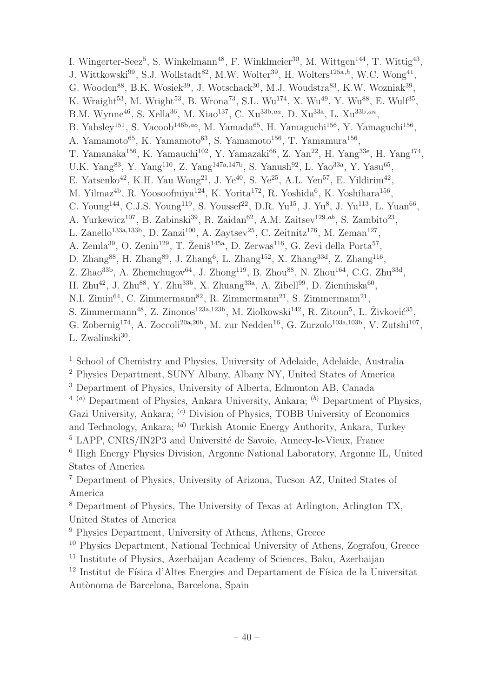I. Wingerter-Seez<sup>5</sup>, S. Winkelmann<sup>48</sup>, F. Winklmeier<sup>30</sup>, M. Wittgen<sup>144</sup>, T. Wittig<sup>43</sup>, J. Wittkowski<sup>99</sup>, S.J. Wollstadt<sup>82</sup>, M.W. Wolter<sup>39</sup>, H. Wolters<sup>125a,h</sup>, W.C. Wong<sup>41</sup>, G. Wooden<sup>88</sup>, B.K. Wosiek<sup>39</sup>, J. Wotschack<sup>30</sup>, M.J. Woudstra<sup>83</sup>, K.W. Wozniak<sup>39</sup>, K. Wraight<sup>53</sup>, M. Wright<sup>53</sup>, B. Wrona<sup>73</sup>, S.L. Wu<sup>174</sup>, X. Wu<sup>49</sup>, Y. Wu<sup>88</sup>, E. Wulf<sup>35</sup>, B.M. Wynne<sup>46</sup>, S. Xella<sup>36</sup>, M. Xiao<sup>137</sup>, C. Xu<sup>33b,aa</sup>, D. Xu<sup>33a</sup>, L. Xu<sup>33b,an</sup>, B. Yabsley<sup>151</sup>, S. Yacoob<sup>146b,ao</sup>, M. Yamada<sup>65</sup>, H. Yamaguchi<sup>156</sup>, Y. Yamaguchi<sup>156</sup>, A. Yamamoto<sup>65</sup>, K. Yamamoto<sup>63</sup>, S. Yamamoto<sup>156</sup>, T. Yamamura<sup>156</sup>, T. Yamanaka<sup>156</sup>, K. Yamauchi<sup>102</sup>, Y. Yamazaki<sup>66</sup>, Z. Yan<sup>22</sup>, H. Yang<sup>33e</sup>, H. Yang<sup>174</sup>, U.K. Yang<sup>83</sup>, Y. Yang<sup>110</sup>, Z. Yang<sup>147a,147b</sup>, S. Yanush<sup>92</sup>, L. Yao<sup>33a</sup>, Y. Yasu<sup>65</sup>, E. Yatsenko<sup>42</sup>, K.H. Yau Wong<sup>21</sup>, J. Ye<sup>40</sup>, S. Ye<sup>25</sup>, A.L. Yen<sup>57</sup>, E. Yildirim<sup>42</sup>, M. Yilmaz<sup>4b</sup>, R. Yoosoofmiya<sup>124</sup>, K. Yorita<sup>172</sup>, R. Yoshida<sup>6</sup>, K. Yoshihara<sup>156</sup>, C. Young<sup>144</sup>, C.J.S. Young<sup>119</sup>, S. Youssef<sup>22</sup>, D.R. Yu<sup>15</sup>, J. Yu<sup>8</sup>, J. Yu<sup>113</sup>, L. Yuan<sup>66</sup>, A. Yurkewicz<sup>107</sup>, B. Zabinski<sup>39</sup>, R. Zaidan<sup>62</sup>, A.M. Zaitsev<sup>129,ab</sup>, S. Zambito<sup>23</sup>, L. Zanello<sup>133a,133b</sup>, D. Zanzi<sup>100</sup>, A. Zaytsev<sup>25</sup>, C. Zeitnitz<sup>176</sup>, M. Zeman<sup>127</sup>, A. Zemla $^{39}$ , O. Zenin $^{129}$ , T. Ženiš $^{145a}$ , D. Zerwas $^{116}$ , G. Zevi della Porta $^{57}$ , D. Zhang<sup>88</sup>, H. Zhang<sup>89</sup>, J. Zhang<sup>6</sup>, L. Zhang<sup>152</sup>, X. Zhang<sup>33d</sup>, Z. Zhang<sup>116</sup>, Z. Zhao $^{33b}$ , A. Zhemchugov $^{64}$ , J. Zhong $^{119}$ , B. Zhou $^{88}$ , N. Zhou $^{164}$ , C.G. Zhu $^{33d}$ , H. Zhu<sup>42</sup>, J. Zhu<sup>88</sup>, Y. Zhu<sup>33b</sup>, X. Zhuang<sup>33a</sup>, A. Zibell<sup>99</sup>, D. Zieminska<sup>60</sup>, N.I. Zimin<sup>64</sup>, C. Zimmermann<sup>82</sup>, R. Zimmermann<sup>21</sup>, S. Zimmermann<sup>21</sup>, S. Zimmermann<sup>48</sup>, Z. Zinonos<sup>123a,123b</sup>, M. Ziolkowski<sup>142</sup>, R. Zitoun<sup>5</sup>, L. Živković<sup>35</sup>, G. Zobernig<sup>174</sup>, A. Zoccoli<sup>20a,20b</sup>, M. zur Nedden<sup>16</sup>, G. Zurzolo<sup>103a,103b</sup>, V. Zutshi<sup>107</sup>, L. Zwalinski<sup>30</sup>.

<sup>1</sup> School of Chemistry and Physics, University of Adelaide, Adelaide, Australia

<sup>2</sup> Physics Department, SUNY Albany, Albany NY, United States of America

<sup>3</sup> Department of Physics, University of Alberta, Edmonton AB, Canada

 $4(a)$  Department of Physics, Ankara University, Ankara;  $(b)$  Department of Physics,

Gazi University, Ankara; <sup>(c)</sup> Division of Physics, TOBB University of Economics

and Technology, Ankara; (d) Turkish Atomic Energy Authority, Ankara, Turkey

<sup>5</sup> LAPP, CNRS/IN2P3 and Université de Savoie, Annecy-le-Vieux, France

<sup>6</sup> High Energy Physics Division, Argonne National Laboratory, Argonne IL, United States of America

<sup>7</sup> Department of Physics, University of Arizona, Tucson AZ, United States of America

<sup>8</sup> Department of Physics, The University of Texas at Arlington, Arlington TX, United States of America

<sup>9</sup> Physics Department, University of Athens, Athens, Greece

<sup>10</sup> Physics Department, National Technical University of Athens, Zografou, Greece

<sup>11</sup> Institute of Physics, Azerbaijan Academy of Sciences, Baku, Azerbaijan

 $12$  Institut de Física d'Altes Energies and Departament de Física de la Universitat Autònoma de Barcelona, Barcelona, Spain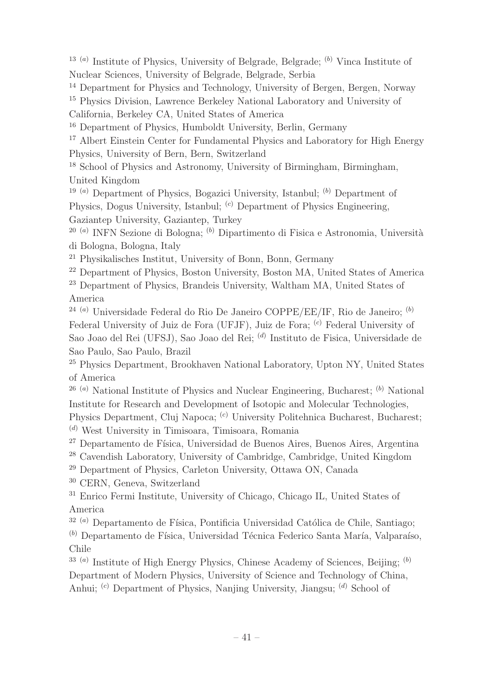<sup>13 (a)</sup> Institute of Physics, University of Belgrade, Belgrade;  $(b)$  Vinca Institute of Nuclear Sciences, University of Belgrade, Belgrade, Serbia

<sup>14</sup> Department for Physics and Technology, University of Bergen, Bergen, Norway

<sup>15</sup> Physics Division, Lawrence Berkeley National Laboratory and University of California, Berkeley CA, United States of America

<sup>16</sup> Department of Physics, Humboldt University, Berlin, Germany

<sup>17</sup> Albert Einstein Center for Fundamental Physics and Laboratory for High Energy Physics, University of Bern, Bern, Switzerland

<sup>18</sup> School of Physics and Astronomy, University of Birmingham, Birmingham, United Kingdom

<sup>19 (a)</sup> Department of Physics, Bogazici University, Istanbul; <sup>(b)</sup> Department of Physics, Dogus University, Istanbul; <sup>(c)</sup> Department of Physics Engineering,

Gaziantep University, Gaziantep, Turkey

<sup>20 (a)</sup> INFN Sezione di Bologna; <sup>(b)</sup> Dipartimento di Fisica e Astronomia, Università di Bologna, Bologna, Italy

<sup>21</sup> Physikalisches Institut, University of Bonn, Bonn, Germany

<sup>22</sup> Department of Physics, Boston University, Boston MA, United States of America

<sup>23</sup> Department of Physics, Brandeis University, Waltham MA, United States of America

<sup>24 (a)</sup> Universidade Federal do Rio De Janeiro COPPE/EE/IF, Rio de Janeiro; <sup>(b)</sup> Federal University of Juiz de Fora (UFJF), Juiz de Fora; (c) Federal University of Sao Joao del Rei (UFSJ), Sao Joao del Rei; <sup>(d)</sup> Instituto de Fisica, Universidade de Sao Paulo, Sao Paulo, Brazil

<sup>25</sup> Physics Department, Brookhaven National Laboratory, Upton NY, United States of America

<sup>26 (a)</sup> National Institute of Physics and Nuclear Engineering, Bucharest; <sup>(b)</sup> National Institute for Research and Development of Isotopic and Molecular Technologies,

Physics Department, Clui Napoca; <sup>(c)</sup> University Politehnica Bucharest, Bucharest;  $^{(d)}$  West University in Timisoara, Timisoara, Romania

<sup>27</sup> Departamento de Física, Universidad de Buenos Aires, Buenos Aires, Argentina

<sup>28</sup> Cavendish Laboratory, University of Cambridge, Cambridge, United Kingdom

<sup>29</sup> Department of Physics, Carleton University, Ottawa ON, Canada

<sup>30</sup> CERN, Geneva, Switzerland

<sup>31</sup> Enrico Fermi Institute, University of Chicago, Chicago IL, United States of America

 $32(a)$  Departamento de Física, Pontificia Universidad Católica de Chile, Santiago;

 $^{(b)}$  Departamento de Física, Universidad Técnica Federico Santa María, Valparaíso, Chile

 $33$  (a) Institute of High Energy Physics, Chinese Academy of Sciences, Beijing; (b) Department of Modern Physics, University of Science and Technology of China, Anhui; <sup>(c)</sup> Department of Physics, Nanjing University, Jiangsu; <sup>(d)</sup> School of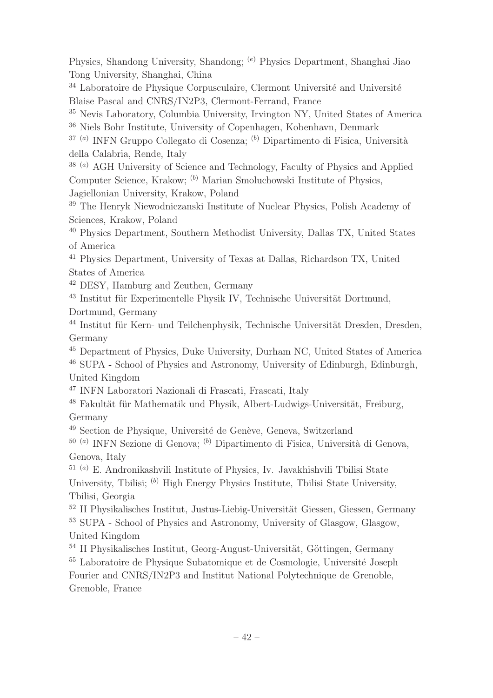Physics, Shandong University, Shandong; (e) Physics Department, Shanghai Jiao Tong University, Shanghai, China

 $34$  Laboratoire de Physique Corpusculaire, Clermont Université and Université Blaise Pascal and CNRS/IN2P3, Clermont-Ferrand, France

<sup>35</sup> Nevis Laboratory, Columbia University, Irvington NY, United States of America <sup>36</sup> Niels Bohr Institute, University of Copenhagen, Kobenhavn, Denmark

<sup>37 (a)</sup> INFN Gruppo Collegato di Cosenza; <sup>(b)</sup> Dipartimento di Fisica, Università della Calabria, Rende, Italy

38 (a) AGH University of Science and Technology, Faculty of Physics and Applied Computer Science, Krakow; <sup>(b)</sup> Marian Smoluchowski Institute of Physics, Jagiellonian University, Krakow, Poland

<sup>39</sup> The Henryk Niewodniczanski Institute of Nuclear Physics, Polish Academy of Sciences, Krakow, Poland

<sup>40</sup> Physics Department, Southern Methodist University, Dallas TX, United States of America

<sup>41</sup> Physics Department, University of Texas at Dallas, Richardson TX, United States of America

<sup>42</sup> DESY, Hamburg and Zeuthen, Germany

 $43$  Institut für Experimentelle Physik IV, Technische Universität Dortmund, Dortmund, Germany

<sup>44</sup> Institut für Kern- und Teilchenphysik, Technische Universität Dresden, Dresden, Germany

<sup>45</sup> Department of Physics, Duke University, Durham NC, United States of America <sup>46</sup> SUPA - School of Physics and Astronomy, University of Edinburgh, Edinburgh, United Kingdom

<sup>47</sup> INFN Laboratori Nazionali di Frascati, Frascati, Italy

 $48$  Fakultät für Mathematik und Physik, Albert-Ludwigs-Universität, Freiburg, Germany

 $^{49}$  Section de Physique, Université de Genève, Geneva, Switzerland

<sup>50 (a)</sup> INFN Sezione di Genova; <sup>(b)</sup> Dipartimento di Fisica, Università di Genova, Genova, Italy

 $51$ <sup>(a)</sup> E. Andronikashvili Institute of Physics, Iv. Javakhishvili Tbilisi State University, Tbilisi; <sup>(b)</sup> High Energy Physics Institute, Tbilisi State University, Tbilisi, Georgia

<sup>52</sup> II Physikalisches Institut, Justus-Liebig-Universität Giessen, Giessen, Germany <sup>53</sup> SUPA - School of Physics and Astronomy, University of Glasgow, Glasgow, United Kingdom

 $54$  II Physikalisches Institut, Georg-August-Universität, Göttingen, Germany <sup>55</sup> Laboratoire de Physique Subatomique et de Cosmologie, Université Joseph Fourier and CNRS/IN2P3 and Institut National Polytechnique de Grenoble, Grenoble, France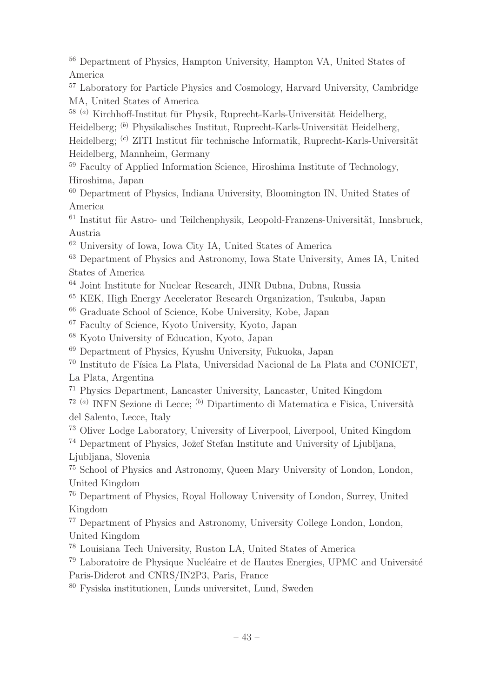<sup>56</sup> Department of Physics, Hampton University, Hampton VA, United States of America

<sup>57</sup> Laboratory for Particle Physics and Cosmology, Harvard University, Cambridge MA, United States of America

 $^{58}$  (a) Kirchhoff-Institut für Physik, Ruprecht-Karls-Universität Heidelberg, Heidelberg; (b) Physikalisches Institut, Ruprecht-Karls-Universität Heidelberg, Heidelberg; <sup>(c)</sup> ZITI Institut für technische Informatik, Ruprecht-Karls-Universität Heidelberg, Mannheim, Germany

<sup>59</sup> Faculty of Applied Information Science, Hiroshima Institute of Technology, Hiroshima, Japan

<sup>60</sup> Department of Physics, Indiana University, Bloomington IN, United States of America

 $61$  Institut für Astro- und Teilchenphysik, Leopold-Franzens-Universität, Innsbruck, Austria

<sup>62</sup> University of Iowa, Iowa City IA, United States of America

<sup>63</sup> Department of Physics and Astronomy, Iowa State University, Ames IA, United States of America

<sup>64</sup> Joint Institute for Nuclear Research, JINR Dubna, Dubna, Russia

<sup>65</sup> KEK, High Energy Accelerator Research Organization, Tsukuba, Japan

<sup>66</sup> Graduate School of Science, Kobe University, Kobe, Japan

<sup>67</sup> Faculty of Science, Kyoto University, Kyoto, Japan

<sup>68</sup> Kyoto University of Education, Kyoto, Japan

<sup>69</sup> Department of Physics, Kyushu University, Fukuoka, Japan

<sup>70</sup> Instituto de Física La Plata, Universidad Nacional de La Plata and CONICET, La Plata, Argentina

<sup>71</sup> Physics Department, Lancaster University, Lancaster, United Kingdom

<sup>72 (a)</sup> INFN Sezione di Lecce; <sup>(b)</sup> Dipartimento di Matematica e Fisica, Università del Salento, Lecce, Italy

<sup>73</sup> Oliver Lodge Laboratory, University of Liverpool, Liverpool, United Kingdom

<sup>74</sup> Department of Physics, Jožef Stefan Institute and University of Ljubliana, Ljubljana, Slovenia

<sup>75</sup> School of Physics and Astronomy, Queen Mary University of London, London, United Kingdom

<sup>76</sup> Department of Physics, Royal Holloway University of London, Surrey, United Kingdom

<sup>77</sup> Department of Physics and Astronomy, University College London, London, United Kingdom

<sup>78</sup> Louisiana Tech University, Ruston LA, United States of America

 $79$  Laboratoire de Physique Nucléaire et de Hautes Energies, UPMC and Université Paris-Diderot and CNRS/IN2P3, Paris, France

<sup>80</sup> Fysiska institutionen, Lunds universitet, Lund, Sweden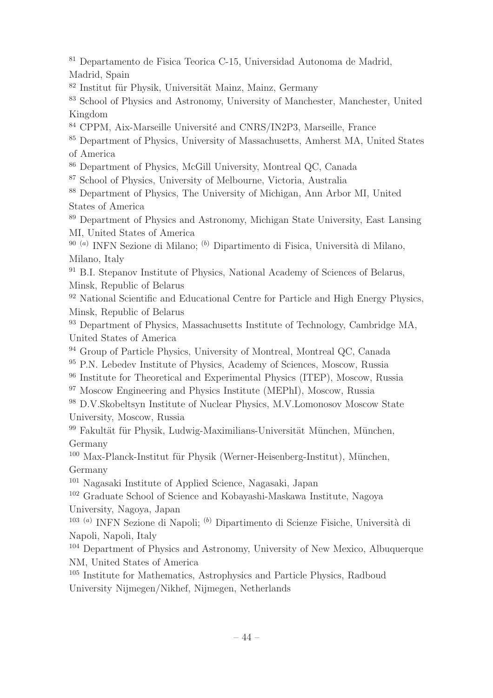<sup>81</sup> Departamento de Fisica Teorica C-15, Universidad Autonoma de Madrid,

Madrid, Spain

 $82$  Institut für Physik, Universität Mainz, Mainz, Germany

<sup>83</sup> School of Physics and Astronomy, University of Manchester, Manchester, United Kingdom

<sup>84</sup> CPPM, Aix-Marseille Université and CNRS/IN2P3, Marseille, France

<sup>85</sup> Department of Physics, University of Massachusetts, Amherst MA, United States of America

<sup>86</sup> Department of Physics, McGill University, Montreal QC, Canada

<sup>87</sup> School of Physics, University of Melbourne, Victoria, Australia

<sup>88</sup> Department of Physics, The University of Michigan, Ann Arbor MI, United States of America

<sup>89</sup> Department of Physics and Astronomy, Michigan State University, East Lansing MI, United States of America

<sup>90 (a)</sup> INFN Sezione di Milano; <sup>(b)</sup> Dipartimento di Fisica, Università di Milano, Milano, Italy

<sup>91</sup> B.I. Stepanov Institute of Physics, National Academy of Sciences of Belarus. Minsk, Republic of Belarus

<sup>92</sup> National Scientific and Educational Centre for Particle and High Energy Physics, Minsk, Republic of Belarus

<sup>93</sup> Department of Physics, Massachusetts Institute of Technology, Cambridge MA, United States of America

<sup>94</sup> Group of Particle Physics, University of Montreal, Montreal QC, Canada

- <sup>95</sup> P.N. Lebedev Institute of Physics, Academy of Sciences, Moscow, Russia
- <sup>96</sup> Institute for Theoretical and Experimental Physics (ITEP), Moscow, Russia

<sup>97</sup> Moscow Engineering and Physics Institute (MEPhI), Moscow, Russia

<sup>98</sup> D.V.Skobeltsyn Institute of Nuclear Physics, M.V.Lomonosov Moscow State University, Moscow, Russia

<sup>99</sup> Fakultät für Physik, Ludwig-Maximilians-Universität München, München, Germany

 $100$  Max-Planck-Institut für Physik (Werner-Heisenberg-Institut), München, Germany

<sup>101</sup> Nagasaki Institute of Applied Science, Nagasaki, Japan

<sup>102</sup> Graduate School of Science and Kobayashi-Maskawa Institute, Nagoya University, Nagoya, Japan

<sup>103 (a)</sup> INFN Sezione di Napoli; <sup>(b)</sup> Dipartimento di Scienze Fisiche, Università di Napoli, Napoli, Italy

<sup>104</sup> Department of Physics and Astronomy, University of New Mexico, Albuquerque NM, United States of America

<sup>105</sup> Institute for Mathematics, Astrophysics and Particle Physics, Radboud University Nijmegen/Nikhef, Nijmegen, Netherlands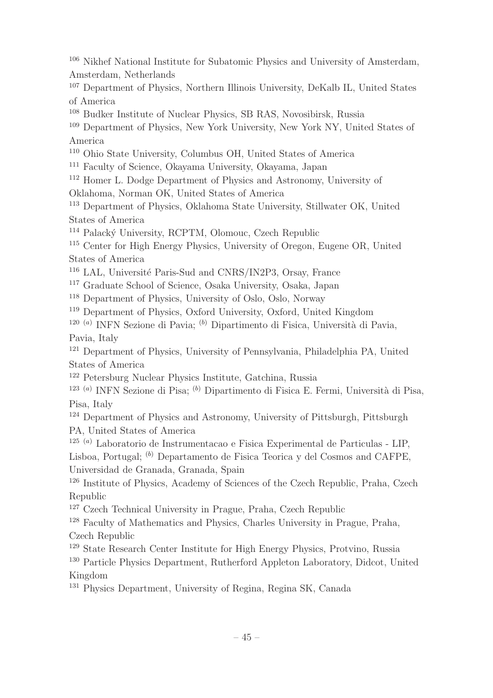<sup>106</sup> Nikhef National Institute for Subatomic Physics and University of Amsterdam, Amsterdam, Netherlands

<sup>107</sup> Department of Physics, Northern Illinois University, DeKalb IL, United States of America

<sup>108</sup> Budker Institute of Nuclear Physics, SB RAS, Novosibirsk, Russia

<sup>109</sup> Department of Physics, New York University, New York NY, United States of America

<sup>110</sup> Ohio State University, Columbus OH, United States of America

<sup>111</sup> Faculty of Science, Okayama University, Okayama, Japan

<sup>112</sup> Homer L. Dodge Department of Physics and Astronomy, University of

Oklahoma, Norman OK, United States of America

<sup>113</sup> Department of Physics, Oklahoma State University, Stillwater OK, United States of America

<sup>114</sup> Palacký University, RCPTM, Olomouc, Czech Republic

<sup>115</sup> Center for High Energy Physics, University of Oregon, Eugene OR, United States of America

<sup>116</sup> LAL, Université Paris-Sud and CNRS/IN2P3, Orsay, France

<sup>117</sup> Graduate School of Science, Osaka University, Osaka, Japan

<sup>118</sup> Department of Physics, University of Oslo, Oslo, Norway

<sup>119</sup> Department of Physics, Oxford University, Oxford, United Kingdom

<sup>120 (a)</sup> INFN Sezione di Pavia; <sup>(b)</sup> Dipartimento di Fisica, Università di Pavia, Pavia, Italy

<sup>121</sup> Department of Physics, University of Pennsylvania, Philadelphia PA, United States of America

<sup>122</sup> Petersburg Nuclear Physics Institute, Gatchina, Russia

<sup>123 (a)</sup> INFN Sezione di Pisa; <sup>(b)</sup> Dipartimento di Fisica E. Fermi, Università di Pisa, Pisa, Italy

<sup>124</sup> Department of Physics and Astronomy, University of Pittsburgh, Pittsburgh PA, United States of America

 $125$ <sup>(a)</sup> Laboratorio de Instrumentacao e Fisica Experimental de Particulas - LIP, Lisboa, Portugal; <sup>(b)</sup> Departamento de Fisica Teorica y del Cosmos and CAFPE, Universidad de Granada, Granada, Spain

<sup>126</sup> Institute of Physics, Academy of Sciences of the Czech Republic, Praha, Czech Republic

<sup>127</sup> Czech Technical University in Prague, Praha, Czech Republic

<sup>128</sup> Faculty of Mathematics and Physics, Charles University in Prague, Praha, Czech Republic

<sup>129</sup> State Research Center Institute for High Energy Physics, Protvino, Russia

<sup>130</sup> Particle Physics Department, Rutherford Appleton Laboratory, Didcot, United Kingdom

<sup>131</sup> Physics Department, University of Regina, Regina SK, Canada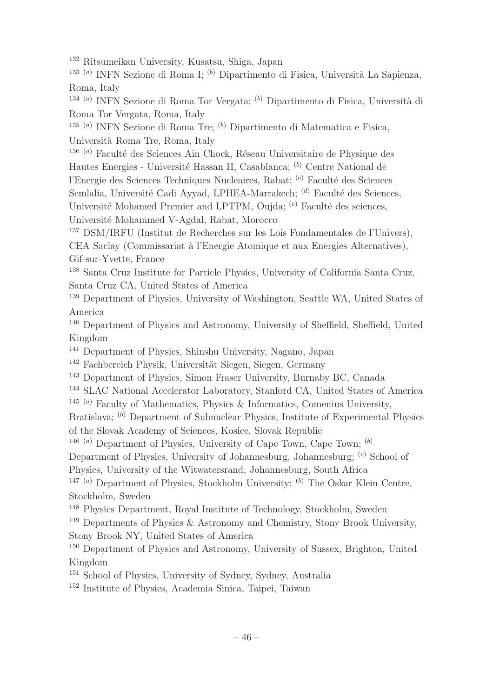<sup>132</sup> Ritsumeikan University, Kusatsu, Shiga, Japan

<sup>133 (a)</sup> INFN Sezione di Roma I; <sup>(b)</sup> Dipartimento di Fisica, Università La Sapienza, Roma, Italy

<sup>134 (a)</sup> INFN Sezione di Roma Tor Vergata; <sup>(b)</sup> Dipartimento di Fisica, Università di Roma Tor Vergata, Roma, Italy

<sup>135 (a)</sup> INFN Sezione di Roma Tre; <sup>(b)</sup> Dipartimento di Matematica e Fisica, Universit`a Roma Tre, Roma, Italy

 $^{136}$   $^{(a)}$  Faculté des Sciences Ain Chock, Réseau Universitaire de Physique des Hautes Energies - Université Hassan II, Casablanca; <sup>(b)</sup> Centre National de l'Energie des Sciences Techniques Nucleaires, Rabat; <sup>(c)</sup> Faculté des Sciences Semlalia, Université Cadi Ayyad, LPHEA-Marrakech; <sup>(d)</sup> Faculté des Sciences, Université Mohamed Premier and LPTPM, Oujda;  $(e)$  Faculté des sciences, Universit´e Mohammed V-Agdal, Rabat, Morocco

<sup>137</sup> DSM/IRFU (Institut de Recherches sur les Lois Fondamentales de l'Univers), CEA Saclay (Commissariat `a l'Energie Atomique et aux Energies Alternatives), Gif-sur-Yvette, France

<sup>138</sup> Santa Cruz Institute for Particle Physics, University of California Santa Cruz, Santa Cruz CA, United States of America

<sup>139</sup> Department of Physics, University of Washington, Seattle WA, United States of America

<sup>140</sup> Department of Physics and Astronomy, University of Sheffield, Sheffield, United Kingdom

<sup>141</sup> Department of Physics, Shinshu University, Nagano, Japan

<sup>142</sup> Fachbereich Physik, Universität Siegen, Siegen, Germany

<sup>143</sup> Department of Physics, Simon Fraser University, Burnaby BC, Canada

<sup>144</sup> SLAC National Accelerator Laboratory, Stanford CA, United States of America

<sup>145 (a)</sup> Faculty of Mathematics, Physics & Informatics, Comenius University,

Bratislava; (b) Department of Subnuclear Physics, Institute of Experimental Physics of the Slovak Academy of Sciences, Kosice, Slovak Republic

<sup>146 (a)</sup> Department of Physics, University of Cape Town, Cape Town:  $^{(b)}$ 

Department of Physics, University of Johannesburg, Johannesburg; (c) School of

Physics, University of the Witwatersrand, Johannesburg, South Africa

<sup>147 (a)</sup> Department of Physics, Stockholm University;  $(b)$  The Oskar Klein Centre, Stockholm, Sweden

<sup>148</sup> Physics Department, Royal Institute of Technology, Stockholm, Sweden

<sup>149</sup> Departments of Physics & Astronomy and Chemistry, Stony Brook University, Stony Brook NY, United States of America

<sup>150</sup> Department of Physics and Astronomy, University of Sussex, Brighton, United Kingdom

<sup>151</sup> School of Physics, University of Sydney, Sydney, Australia

<sup>152</sup> Institute of Physics, Academia Sinica, Taipei, Taiwan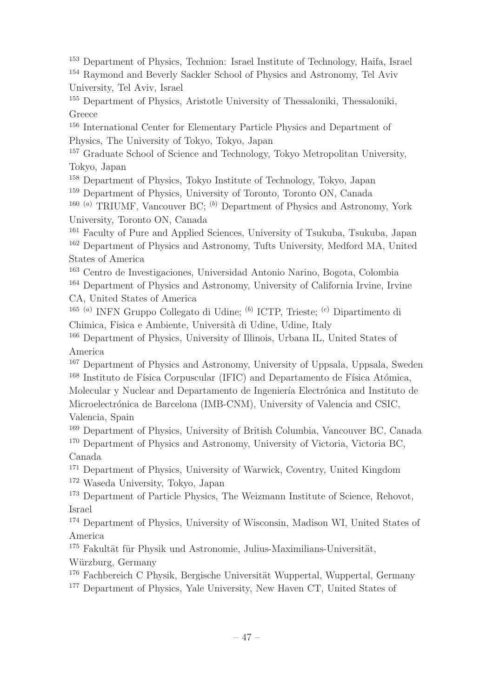<sup>153</sup> Department of Physics, Technion: Israel Institute of Technology, Haifa, Israel <sup>154</sup> Raymond and Beverly Sackler School of Physics and Astronomy, Tel Aviv University, Tel Aviv, Israel

<sup>155</sup> Department of Physics, Aristotle University of Thessaloniki, Thessaloniki, Greece

<sup>156</sup> International Center for Elementary Particle Physics and Department of Physics, The University of Tokyo, Tokyo, Japan

<sup>157</sup> Graduate School of Science and Technology, Tokyo Metropolitan University, Tokyo, Japan

<sup>158</sup> Department of Physics, Tokyo Institute of Technology, Tokyo, Japan

<sup>159</sup> Department of Physics, University of Toronto, Toronto ON, Canada

<sup>160 (a)</sup> TRIUMF, Vancouver BC; <sup>(b)</sup> Department of Physics and Astronomy, York University, Toronto ON, Canada

<sup>161</sup> Faculty of Pure and Applied Sciences, University of Tsukuba, Tsukuba, Japan <sup>162</sup> Department of Physics and Astronomy, Tufts University, Medford MA, United States of America

<sup>163</sup> Centro de Investigaciones, Universidad Antonio Narino, Bogota, Colombia

<sup>164</sup> Department of Physics and Astronomy, University of California Irvine, Irvine CA, United States of America

<sup>165 (a)</sup> INFN Gruppo Collegato di Udine; <sup>(b)</sup> ICTP, Trieste; <sup>(c)</sup> Dipartimento di Chimica, Fisica e Ambiente, Universit`a di Udine, Udine, Italy

<sup>166</sup> Department of Physics, University of Illinois, Urbana IL, United States of America

<sup>167</sup> Department of Physics and Astronomy, University of Uppsala, Uppsala, Sweden  $168$  Instituto de Física Corpuscular (IFIC) and Departamento de Física Atómica, Molecular y Nuclear and Departamento de Ingeniería Electrónica and Instituto de Microelectrónica de Barcelona (IMB-CNM), University of Valencia and CSIC, Valencia, Spain

<sup>169</sup> Department of Physics, University of British Columbia, Vancouver BC, Canada <sup>170</sup> Department of Physics and Astronomy, University of Victoria, Victoria BC, Canada

<sup>171</sup> Department of Physics, University of Warwick, Coventry, United Kingdom <sup>172</sup> Waseda University, Tokyo, Japan

<sup>173</sup> Department of Particle Physics, The Weizmann Institute of Science, Rehovot, Israel

<sup>174</sup> Department of Physics, University of Wisconsin, Madison WI, United States of America

 $175$  Fakultät für Physik und Astronomie, Julius-Maximilians-Universität. Würzburg, Germany

 $176$  Fachbereich C Physik, Bergische Universität Wuppertal, Wuppertal, Germany

<sup>177</sup> Department of Physics, Yale University, New Haven CT, United States of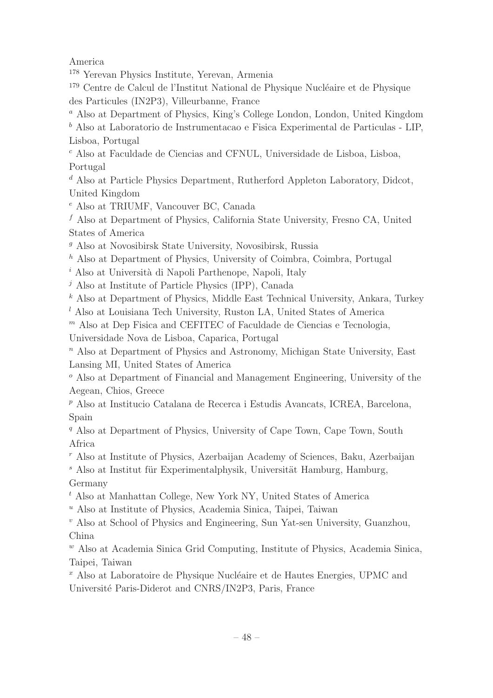America

<sup>178</sup> Yerevan Physics Institute, Yerevan, Armenia

<sup>179</sup> Centre de Calcul de l'Institut National de Physique Nucléaire et de Physique des Particules (IN2P3), Villeurbanne, France

<sup>a</sup> Also at Department of Physics, King's College London, London, United Kingdom

 $<sup>b</sup>$  Also at Laboratorio de Instrumentacao e Fisica Experimental de Particulas - LIP,</sup> Lisboa, Portugal

 $c$  Also at Faculdade de Ciencias and CFNUL, Universidade de Lisboa, Lisboa, Portugal

 $d$  Also at Particle Physics Department, Rutherford Appleton Laboratory, Didcot, United Kingdom

<sup>e</sup> Also at TRIUMF, Vancouver BC, Canada

 $f$  Also at Department of Physics, California State University, Fresno CA, United States of America

<sup>g</sup> Also at Novosibirsk State University, Novosibirsk, Russia

 $h$  Also at Department of Physics, University of Coimbra, Coimbra, Portugal

 $i$  Also at Università di Napoli Parthenope, Napoli, Italy

 $j$  Also at Institute of Particle Physics (IPP), Canada

 $k$  Also at Department of Physics, Middle East Technical University, Ankara, Turkey

 $l$  Also at Louisiana Tech University, Ruston LA, United States of America

 $<sup>m</sup>$  Also at Dep Fisica and CEFITEC of Faculdade de Ciencias e Tecnologia,</sup>

Universidade Nova de Lisboa, Caparica, Portugal

 $n$  Also at Department of Physics and Astronomy, Michigan State University, East Lansing MI, United States of America

 $\degree$  Also at Department of Financial and Management Engineering, University of the Aegean, Chios, Greece

 $p$  Also at Institucio Catalana de Recerca i Estudis Avancats, ICREA, Barcelona, Spain

<sup>q</sup> Also at Department of Physics, University of Cape Town, Cape Town, South Africa

<sup>r</sup> Also at Institute of Physics, Azerbaijan Academy of Sciences, Baku, Azerbaijan

 $s$  Also at Institut für Experimentalphysik, Universität Hamburg, Hamburg, Germany

<sup>t</sup> Also at Manhattan College, New York NY, United States of America

<sup>u</sup> Also at Institute of Physics, Academia Sinica, Taipei, Taiwan

<sup>v</sup> Also at School of Physics and Engineering, Sun Yat-sen University, Guanzhou, China

<sup>w</sup> Also at Academia Sinica Grid Computing, Institute of Physics, Academia Sinica, Taipei, Taiwan

 $^x$  Also at Laboratoire de Physique Nucléaire et de Hautes Energies, UPMC and Universit´e Paris-Diderot and CNRS/IN2P3, Paris, France